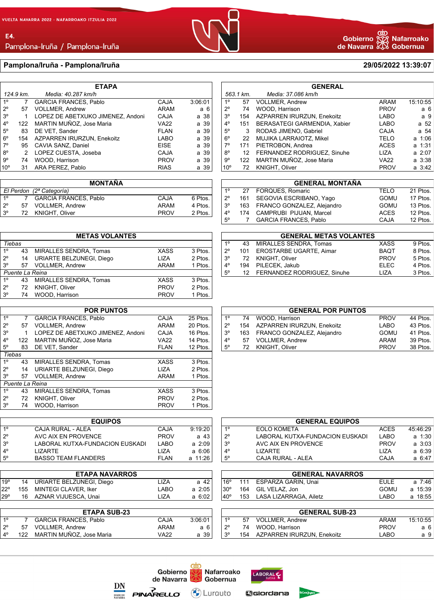E4.

Pamplona-Iruña / Pamplona-Iruña

## **Pamplona/Iruña - Pamplona/Iruña 29/05/2022 13:39:07**

| <b>ETAPA</b>    |                                 |                                   |             |         |  |
|-----------------|---------------------------------|-----------------------------------|-------------|---------|--|
|                 | 124.9 km.<br>Media: 40.287 km/h |                                   |             |         |  |
| 1 <sup>0</sup>  | 7                               | <b>GARCIA FRANCES, Pablo</b>      | <b>CAJA</b> | 3:06:01 |  |
| $2^{\circ}$     | 57                              | <b>VOLLMER, Andrew</b>            | ARAM        | а 6     |  |
| 3 <sup>o</sup>  | 1                               | LOPEZ DE ABETXUKO JIMENEZ, Andoni | <b>CAJA</b> | a 38    |  |
| $4^{\circ}$     | 122                             | MARTIN MUÑOZ, Jose Maria          | <b>VA22</b> | a 39    |  |
| $5^{\circ}$     | 83                              | DE VET, Sander                    | <b>FLAN</b> | a 39    |  |
| $6^{\circ}$     | 154                             | AZPARREN IRURZUN, Enekoitz        | LABO        | a 39    |  |
| $7^\circ$       | 95                              | CAVIA SANZ, Daniel                | <b>EISE</b> | a 39    |  |
| $8^{\circ}$     | 2                               | LOPEZ CUESTA, Joseba              | <b>CAJA</b> | a 39    |  |
| $9^{\circ}$     | 74                              | WOOD, Harrison                    | <b>PROV</b> | a 39    |  |
| 10 <sup>o</sup> | 31                              | ARA PEREZ. Pablo                  | <b>RIAS</b> | a 39    |  |

|                          |    | <b>MONTAÑA</b>               |             |         |
|--------------------------|----|------------------------------|-------------|---------|
| El Perdon (2ª Categoría) |    |                              |             |         |
| 10                       |    | <b>GARCIA FRANCES, Pablo</b> | CAJA        | 6 Ptos. |
| $2^{\circ}$              | 57 | <b>VOLLMER, Andrew</b>       | <b>ARAM</b> | 4 Ptos. |
| $3^{\circ}$              | 72 | KNIGHT, Oliver               | <b>PROV</b> | 2 Ptos. |

|                |    | <b>METAS VOLANTES</b>         |             |         |
|----------------|----|-------------------------------|-------------|---------|
| Tiebas         |    |                               |             |         |
| 1 <sup>0</sup> | 43 | MIRALLES SENDRA, Tomas        | <b>XASS</b> | 3 Ptos. |
| $2^{\circ}$    | 14 | URIARTE BELZUNEGI, Diego      | LIZA        | 2 Ptos. |
| $3^{\circ}$    | 57 | <b>VOLLMER, Andrew</b>        | ARAM        | 1 Ptos. |
|                |    | Puente La Reina               |             |         |
| $1^{\circ}$    | 43 | <b>MIRALLES SENDRA. Tomas</b> | <b>XASS</b> | 3 Ptos. |
| $2^{\circ}$    | 72 | KNIGHT, Oliver                | <b>PROV</b> | 2 Ptos. |
| 3 <sup>o</sup> | 74 | WOOD, Harrison                | <b>PROV</b> | 1 Ptos. |

| <b>POR PUNTOS</b> |                 |                                   |             |          |  |
|-------------------|-----------------|-----------------------------------|-------------|----------|--|
| 1 <sup>0</sup>    | 7               | <b>GARCIA FRANCES, Pablo</b>      | CAJA        | 25 Ptos. |  |
| $2^{\circ}$       | 57              | <b>VOLLMER. Andrew</b>            | <b>ARAM</b> | 20 Ptos. |  |
| 3 <sup>o</sup>    | 1               | LOPEZ DE ABETXUKO JIMENEZ, Andoni | CAJA        | 16 Ptos. |  |
| $4^{\circ}$       | 122             | MARTIN MUÑOZ, Jose Maria          | <b>VA22</b> | 14 Ptos. |  |
| $5^{\circ}$       | 83              | DE VET, Sander                    | <b>FLAN</b> | 12 Ptos. |  |
| Tiebas            |                 |                                   |             |          |  |
| 1 <sup>0</sup>    | 43              | MIRALLES SENDRA, Tomas            | <b>XASS</b> | 3 Ptos.  |  |
| $2^{\circ}$       | 14              | URIARTE BELZUNEGI, Diego          | <b>LIZA</b> | 2 Ptos.  |  |
| $3^{\circ}$       | 57              | VOLLMER, Andrew                   | <b>ARAM</b> | 1 Ptos.  |  |
|                   | Puente La Reina |                                   |             |          |  |
| 1 <sup>0</sup>    | 43              | <b>MIRALLES SENDRA. Tomas</b>     | <b>XASS</b> | 3 Ptos.  |  |
| $2^{\circ}$       | 72              | <b>KNIGHT, Oliver</b>             | <b>PROV</b> | 2 Ptos.  |  |
| 3 <sup>o</sup>    | 74              | WOOD, Harrison                    | <b>PROV</b> | 1 Ptos.  |  |
|                   |                 |                                   |             |          |  |

| <b>EQUIPOS</b> |                                 |             |             |  |
|----------------|---------------------------------|-------------|-------------|--|
| 10             | CAJA RURAL - ALEA               | CAJA        | 9:19:20     |  |
| $2^{\circ}$    | AVC AIX EN PROVENCE             | <b>PROV</b> | a 43        |  |
| $3^\circ$      | LABORAL KUTXA-FUNDACION EUSKADI | LABO        | $a \; 2:09$ |  |
| $4^{\circ}$    | I IZARTF                        | 1 IZA       | $a \, 6:06$ |  |
| $5^{\circ}$    | <b>BASSO TEAM FLANDERS</b>      | FI AN       | a 11:26     |  |

|                 | <b>ETAPA NAVARROS</b>       |       |             |
|-----------------|-----------------------------|-------|-------------|
| 19 <sup>o</sup> | 14 URIARTE BELZUNEGI, Diego | LIZA  | a 42        |
| 22°             | 155 MINTEGI CLAVER, Iker    | LABO  | a 2:05      |
| 29°             | 16 AZNAR VIJUESCA, Unai     | 1 IZA | $a \, 6:02$ |
|                 |                             |       |             |

|             |     | <b>ETAPA SUB-23</b>          |      |         |
|-------------|-----|------------------------------|------|---------|
| 10          |     | <b>GARCIA FRANCES, Pablo</b> | CAJA | 3:06:01 |
| $2^{\circ}$ | 57. | <b>VOLLMER.</b> Andrew       | ARAM | а6      |
| $4^{\circ}$ | 122 | MARTIN MUÑOZ, Jose Maria     | VA22 | a 39    |
|             |     |                              |      |         |

ල්හ<br>හිටි Nafarroako<br>XD Gobernua Gobierno de Navarra

| <b>GENERAL</b>                  |                  |                                   |             |             |
|---------------------------------|------------------|-----------------------------------|-------------|-------------|
| Media: 37.086 km/h<br>563.1 km. |                  |                                   |             |             |
| 1 <sup>0</sup>                  | 57               | <b>VOLLMER, Andrew</b>            | <b>ARAM</b> | 15:10:55    |
| $2^{\circ}$                     | 74               | WOOD, Harrison                    | <b>PROV</b> | a 6         |
| 3 <sup>o</sup>                  | 154              | <b>AZPARREN IRURZUN, Enekoitz</b> | <b>LABO</b> | a 9         |
| $4^{\circ}$                     | 151              | BERASATEGI GARMENDIA, Xabier      | <b>LABO</b> | a 52        |
| $5^\circ$                       | 3                | RODAS JIMENO, Gabriel             | <b>CAJA</b> | a 54        |
| $6^{\circ}$                     | 22               | MUJIKA LARRAIOTZ, Mikel           | TELO        | a 1:06      |
| $7^\circ$                       | 171              | PIETROBON, Andrea                 | <b>ACES</b> | a 1:31      |
| $8^{\circ}$                     | 12 <sup>12</sup> | FERNANDEZ RODRIGUEZ, Sinuhe       | LIZA        | $a \, 2:07$ |
| 9°                              | 122              | MARTIN MUÑOZ, Jose Maria          | VA22        | a 3:38      |
| 10 <sup>o</sup>                 | 72               | <b>KNIGHT, Oliver</b>             | <b>PROV</b> | $a \, 3:42$ |

|             |    | <b>GENERAL MONTAÑA</b>         |             |          |
|-------------|----|--------------------------------|-------------|----------|
| $1^{\circ}$ | 27 | FORQUES, Romaric               | <b>TELO</b> | 21 Ptos. |
| $2^{\circ}$ |    | 161 SEGOVIA ESCRIBANO, Yago    | <b>GOMU</b> | 17 Ptos. |
| $3^{\circ}$ |    | 163 FRANCO GONZALEZ, Alejandro | GOMU        | 13 Ptos. |
| $4^{\circ}$ |    | 174 CAMPRUBI PIJUAN, Marcel    | <b>ACES</b> | 12 Ptos. |
| $5^{\circ}$ |    | <b>GARCIA FRANCES, Pablo</b>   | CAJA        | 12 Ptos. |
|             |    |                                |             |          |

| <b>GENERAL METAS VOLANTES</b> |    |                                |             |         |  |
|-------------------------------|----|--------------------------------|-------------|---------|--|
| $1^{\circ}$                   | 43 | MIRALLES SENDRA. Tomas         | <b>XASS</b> | 9 Ptos. |  |
| $2^{\circ}$                   |    | 101 EROSTARBE UGARTE, Aimar    | <b>BAOT</b> | 8 Ptos. |  |
| $3^{\circ}$                   |    | 72 KNIGHT, Oliver              | <b>PROV</b> | 5 Ptos. |  |
| $4^\circ$                     |    | 194 PILECEK, Jakub             | <b>ELEC</b> | 4 Ptos. |  |
| $5^{\circ}$                   |    | 12 FERNANDEZ RODRIGUEZ, Sinuhe | 117A        | 3 Ptos. |  |

| <b>GENERAL POR PUNTOS</b> |    |                                |             |          |  |
|---------------------------|----|--------------------------------|-------------|----------|--|
| $1^{\circ}$               |    | 74 WOOD, Harrison              | <b>PROV</b> | 44 Ptos. |  |
| $2^{\circ}$               |    | 154 AZPARREN IRURZUN. Enekoitz | LABO        | 43 Ptos. |  |
| $3^{\circ}$               |    | 163 FRANCO GONZALEZ, Alejandro | GOMU        | 41 Ptos. |  |
| $4^\circ$                 | 57 | <b>VOLLMER, Andrew</b>         | ARAM        | 39 Ptos. |  |
| $5^{\circ}$               |    | 72 KNIGHT, Oliver              | <b>PROV</b> | 38 Ptos. |  |

| <b>GENERAL EQUIPOS</b> |                                 |             |             |  |
|------------------------|---------------------------------|-------------|-------------|--|
| $1^{\circ}$            | <b>EOLO KOMETA</b>              | <b>ACES</b> | 45:46:29    |  |
| $2^{\circ}$            | LABORAL KUTXA-FUNDACION EUSKADI | LABO        | $a + 1:30$  |  |
| $3^{\circ}$            | AVC AIX EN PROVENCE             | <b>PROV</b> | $a \; 3:03$ |  |
| $4^{\circ}$            | I IZARTF                        | 1 I 7 A     | a 6:39 l    |  |
| $5^{\circ}$            | CAJA RURAL - ALEA               | CAJA        | a 6:47      |  |

|                | <b>GENERAL NAVARROS</b> |                            |             |         |  |  |  |  |
|----------------|-------------------------|----------------------------|-------------|---------|--|--|--|--|
| 16°            |                         | 111 ESPARZA GARIN, Unai    | <b>EULE</b> | a 7:46  |  |  |  |  |
| $ 30^{\circ} $ |                         | 164 GIL VELAZ, Jon         | GOMU        | a 15:39 |  |  |  |  |
| $ 40^{\circ} $ |                         | 153 LASA LIZARRAGA, Ailetz | LABO        | a 18:55 |  |  |  |  |
|                |                         |                            |             |         |  |  |  |  |

|                | <b>GENERAL SUB-23</b> |                                |             |          |  |  |  |  |
|----------------|-----------------------|--------------------------------|-------------|----------|--|--|--|--|
| 1 <sup>0</sup> |                       | 57 VOLLMER, Andrew             | ARAM        | 15:10:55 |  |  |  |  |
| $2^{\circ}$    |                       | 74 WOOD, Harrison              | <b>PROV</b> | а6       |  |  |  |  |
| $3^{\circ}$    |                       | 154 AZPARREN IRURZUN, Enekoitz | LABO        | a 9      |  |  |  |  |







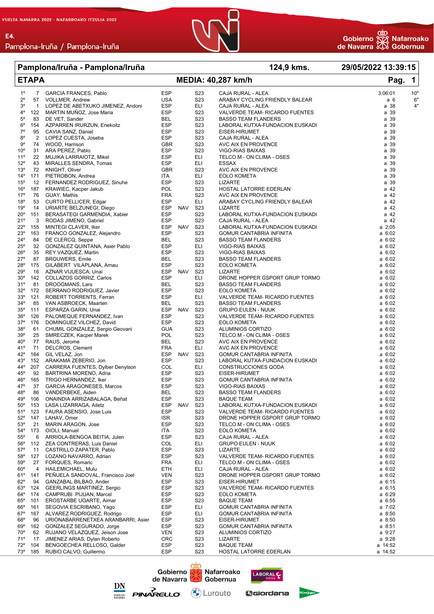E4.



## **Pamplona/Iruña - Pamplona/Iruña 124,9 kms. 29/05/2022 13:39:15**

| $1^{\circ}$<br><b>ESP</b><br>S <sub>2</sub> 3<br>10'<br>$\overline{7}$<br><b>GARCIA FRANCES, Pablo</b><br>CAJA RURAL - ALEA<br>3:06:01<br><b>USA</b><br>S <sub>2</sub> 3<br>ARABAY CYCLING FRIENDLY BALEAR<br>2°<br>57<br><b>VOLLMER, Andrew</b><br>a 6<br>6'<br>3°<br><b>ESP</b><br>ELI<br>$4^{\circ}$<br>LOPEZ DE ABETXUKO JIMENEZ, Andoni<br>a 38<br>$\mathbf{1}$<br>CAJA RURAL - ALEA<br>4°<br>MARTIN MUÑOZ, Jose Maria<br><b>ESP</b><br>S <sub>2</sub> 3<br>122<br>VALVERDE TEAM- RICARDO FUENTES<br>a 39<br>$5^{\circ}$<br>DE VET, Sander<br><b>BEL</b><br>S <sub>2</sub> 3<br>a 39<br>83<br><b>BASSO TEAM FLANDERS</b><br>$6^{\circ}$<br><b>ESP</b><br>S <sub>23</sub><br>a 39<br>154<br>AZPARREN IRURZUN, Enekoitz<br>LABORAL KUTXA-FUNDACION EUSKADI<br>$7^{\circ}$<br><b>ESP</b><br>95<br>CAVIA SANZ, Daniel<br>S <sub>2</sub> 3<br>a 39<br>EISER-HIRUMET<br>$8^{\circ}$<br>$\overline{2}$<br><b>ESP</b><br>S <sub>2</sub> 3<br>a 39<br>LOPEZ CUESTA, Joseba<br>CAJA RURAL - ALEA<br>9°<br>74<br>S <sub>2</sub> 3<br>a 39<br>GBR<br>WOOD, Harrison<br>AVC AIX EN PROVENCE<br>$10^{\circ}$<br><b>ESP</b><br>S <sub>23</sub><br>a 39<br>31<br>ARA PEREZ, Pablo<br>VIGO-RIAS BAIXAS<br>11°<br><b>ESP</b><br>a 39<br>22<br>MUJIKA LARRAIOTZ, Mikel<br>ELI<br>TELCO.M - ON CLIMA - OSES<br>$12^{\circ}$<br><b>ESP</b><br>ELI<br><b>ESSAX</b><br>a 39<br>43<br>MIRALLES SENDRA, Tomas<br><b>GBR</b><br>S <sub>2</sub> 3<br>a 39<br>13 <sup>°</sup><br>72<br>KNIGHT, Oliver<br>AVC AIX EN PROVENCE<br>ELI<br>a 39<br>$14^{\circ}$<br>171<br>PIETROBON, Andrea<br>ITA<br><b>EOLO KOMETA</b><br><b>ESP</b><br>$15^{\circ}$<br>S <sub>2</sub> 3<br><b>LIZARTE</b><br>a 39<br>12<br>FERNANDEZ RODRIGUEZ, Sinuhe<br>POL<br>S <sub>2</sub> 3<br>a 42<br>$16^{\circ}$<br>187<br>KRAWIEC, Kacper Jakub<br>HOSTAL LATORRE EDERLAN<br>17°<br>S <sub>23</sub><br>76<br>GUAY, Mathis<br><b>FRA</b><br>AVC AIX EN PROVENCE<br>a 42<br><b>ESP</b><br>18°<br>53<br>CURTO PELLICER, Edgar<br>ELI<br>ARABAY CYCLING FRIENDLY BALEAR<br>a 42<br>19°<br>14<br>URIARTE BELZUNEGI, Diego<br>ESP<br>NAV<br>S <sub>23</sub><br><b>LIZARTE</b><br>a 42<br><b>ESP</b><br>S <sub>2</sub> 3<br>a 42<br>$20^{\circ}$<br>151<br>BERASATEGI GARMENDIA, Xabier<br>LABORAL KUTXA-FUNDACION EUSKADI<br>21°<br><b>ESP</b><br>S <sub>23</sub><br>a 42<br>3<br>RODAS JIMENO, Gabriel<br>CAJA RURAL - ALEA<br>$22^{\circ}$<br>155<br>ESP<br><b>NAV</b><br>S <sub>23</sub><br>$a$ 2:05<br>MINTEGI CLAVER, Iker<br>LABORAL KUTXA-FUNDACION EUSKADI<br>23°<br><b>ESP</b><br>S <sub>23</sub><br>163<br>FRANCO GONZALEZ, Alejandro<br>a 6:02<br>GOMUR CANTABRIA INFINITA<br>$24^{\circ}$<br>S <sub>2</sub> 3<br>84<br>DE CLERCQ, Seppe<br>BEL<br>a 6:02<br><b>BASSO TEAM FLANDERS</b><br>$25^{\circ}$<br><b>ESP</b><br>ELI<br>32<br>GONZALEZ QUINTANA, Asier Pablo<br>a 6:02<br>VIGO-RIAS BAIXAS<br>$26^{\circ}$<br><b>ESP</b><br>S <sub>23</sub><br>35<br>REY VAZQUEZ, Martin<br>VIGO-RIAS BAIXAS<br>a 6:02<br>$27^{\circ}$<br><b>BEL</b><br>S <sub>2</sub> 3<br>87<br><b>BROUWERS, Emile</b><br>a 6:02<br><b>BASSO TEAM FLANDERS</b><br><b>ESP</b><br>S <sub>23</sub><br>28°<br>175<br>GILABERT VILAPLANA, Arnau<br><b>EOLO KOMETA</b><br>a 6:02<br>ESP NAV<br>$29^{\circ}$<br>16<br>AZNAR VIJUESCA, Unai<br>S <sub>2</sub> 3<br>a 6:02<br><b>LIZARTE</b><br><b>ESP</b><br>ELI<br>$30^{\circ}$<br>142<br>COLLAZOS GORRIZ, Carlos<br>DRONE HOPPER GSPORT GRUP TORMO<br>a 6:02<br>31°<br>81<br>S <sub>2</sub> 3<br>DROOGMANS, Lars<br>BEL<br>$a \, 6:02$<br><b>BASSO TEAM FLANDERS</b><br>$32^{\circ}$<br><b>ESP</b><br>S <sub>2</sub> 3<br>172<br>SERRANO RODRIGUEZ, Javier<br>a 6:02<br>EOLO KOMETA<br>$33^{\circ}$<br>121<br><b>ESP</b><br>ELI<br>a 6:02<br>ROBERT TORRENTS, Ferran<br>VALVERDE TEAM- RICARDO FUENTES<br>$34^\circ$<br>S <sub>23</sub><br>85<br>VAN ASBROECK, Maarten<br>BEL<br>a 6:02<br><b>BASSO TEAM FLANDERS</b><br>ESP<br>$35^{\circ}$<br>111<br>ESPARZA GARIN, Unai<br>NAV<br>S <sub>2</sub> 3<br>a 6:02<br><b>GRUPO EULEN - NUUK</b><br><b>ESP</b><br>$36^{\circ}$<br>126<br>PALOMEQUE FERNANDEZ, Ivan<br>S <sub>2</sub> 3<br>VALVERDE TEAM- RICARDO FUENTES<br>a 6:02<br>$37^\circ$<br><b>ESP</b><br>S <sub>2</sub> 3<br>176<br>DOMINGUEZ VILCHEZ, David<br><b>EOLO KOMETA</b><br>a 6:02<br>38°<br>S <sub>2</sub> 3<br>CHUMIL GONZALEZ, Sergio Geovani<br><b>GUA</b><br>ALUMINIOS CORTIZO<br>a 6:02<br>61<br>39°<br>POL<br>S <sub>2</sub> 3<br>25<br>SMRECZEK, Kacper Marek<br>a 6:02<br>TELCO.M - ON CLIMA - OSES<br>$40^{\circ}$<br>S <sub>23</sub><br>77<br>RAUS, Jerome<br><b>BEL</b><br>AVC AIX EN PROVENCE<br>a 6:02<br>41°<br>71<br>DELCROS, Clement<br><b>FRA</b><br>ELI<br>AVC AIX EN PROVENCE<br>a 6:02<br>ESP<br>NAV<br>$42^{\circ}$<br>164<br>GIL VELAZ, Jon<br>S <sub>2</sub> 3<br>a 6:02<br>GOMUR CANTABRIA INFINITA<br>43°<br><b>ESP</b><br>S <sub>23</sub><br>152<br>ARAKAMA ZEBERIO, Jon<br>LABORAL KUTXA-FUNDACION EUSKADI<br>a 6:02<br>44°<br>207<br>COL<br>ELI<br>CARRERA FUENTES, Dylber Denylson<br>CONSTRUCCIONES QODA<br>a 6:02<br><b>ESP</b><br>S <sub>23</sub><br>$45^{\circ}$<br>92<br>EISER-HIRUMET<br>a 6:02<br>BARTRINA MORENO, Adria<br><b>ESP</b><br>S <sub>2</sub> 3<br>$46^{\circ}$<br>165<br>a 6:02<br>TRIGO HERNANDEZ, Iker<br>GOMUR CANTABRIA INFINITA<br>47°<br><b>ESP</b><br>37<br><b>GARCIA ARAGONESES, Marcos</b><br>S <sub>2</sub> 3<br>VIGO-RIAS BAIXAS<br>a 6:02<br>48°<br><b>BEL</b><br>S <sub>2</sub> 3<br>86<br>VANDERBEKE, Aiden<br><b>BASSO TEAM FLANDERS</b><br>a 6:02<br>49°<br><b>ESP</b><br>S23<br>106<br>ONAINDIA ARRIZABALAGA, Beñat<br><b>BAQUE TEAM</b><br>a 6:02<br>LASA LIZARRAGA, Ailetz<br><b>ESP</b><br>NAV<br>S23<br>$50^{\circ}$<br>153<br>LABORAL KUTXA-FUNDACION EUSKADI<br>a 6:02<br><b>ESP</b><br>S <sub>2</sub> 3<br>51°<br>123<br>FAURA ASENSIO, Jose Luis<br>VALVERDE TEAM- RICARDO FUENTES<br>a 6:02<br>$52^\circ$<br>147<br>LAHAV, Omer<br><b>ISR</b><br>S <sub>2</sub> 3<br>DRONE HOPPER GSPORT GRUP TORMO<br>a 6:02<br><b>ESP</b><br>$53^\circ$<br>21<br>MARIN ARAGON, Jose<br>S <sub>2</sub> 3<br>a 6:02<br>TELCO.M - ON CLIMA - OSES<br>$54^\circ$<br>S <sub>2</sub> 3<br>173<br>OIOLI, Manuel<br>ITA<br><b>EOLO KOMETA</b><br>a 6:02<br>$55^\circ$<br><b>ESP</b><br>S <sub>2</sub> 3<br>6<br>ARRIOLA-BENGOA BEITIA, Julen<br>a 6:02<br>CAJA RURAL - ALEA<br>COL<br>$56^{\circ}$<br>112<br>ZEA CONTRERAS, Luis Daniel<br>ELI<br><b>GRUPO EULEN - NUUK</b><br>a 6:02<br><b>ESP</b><br>S <sub>2</sub> 3<br>$57^\circ$<br>11<br><b>LIZARTE</b><br>a 6:02<br>CASTRILLO ZAPATER, Pablo<br><b>ESP</b><br>$58^\circ$<br>127<br>LOZANO NAVARRO, Adrian<br>S <sub>2</sub> 3<br>VALVERDE TEAM- RICARDO FUENTES<br>a 6:02<br>$59^\circ$<br><b>FRA</b><br>ELI<br>27<br>FORQUES, Romaric<br>a 6:02<br>TELCO.M - ON CLIMA - OSES<br>$60^\circ$<br>ELI<br>4<br>ETH<br>a 6:02<br>HAILEMICHAEL, Mulu<br>CAJA RURAL - ALEA<br>61°<br>141<br>PEÑUELA SANDOVAL, Francisco Joel<br><b>VEN</b><br>S <sub>2</sub> 3<br>DRONE HOPPER GSPORT GRUP TORMO<br>a 6:02<br>$62^\circ$<br><b>ESP</b><br>94<br>GANZABAL BILBAO, Ander<br>S <sub>2</sub> 3<br>EISER-HIRUMET<br>$a \, 6:15$<br><b>ESP</b><br>$63^\circ$<br>124<br><b>GEERLINGS MARTINEZ, Sergio</b><br>S <sub>2</sub> 3<br>VALVERDE TEAM- RICARDO FUENTES<br>$a \, 6:15$<br>$64^{\circ}$<br>174<br>ESP<br>S <sub>2</sub> 3<br>$a \, 6:29$<br>CAMPRUBI PIJUAN, Marcel<br>EOLO KOMETA<br><b>ESP</b><br>$65^{\circ}$<br>101<br>EROSTARBE UGARTE, Aimar<br>S <sub>2</sub> 3<br><b>BAQUE TEAM</b><br>$a \, 6:55$<br>$66^\circ$<br><b>ESP</b><br>161<br>SEGOVIA ESCRIBANO, Yago<br>ELI<br>GOMUR CANTABRIA INFINITA<br>a 7:02<br>$67^\circ$<br><b>ESP</b><br>167<br>ALVAREZ RODRIGUEZ, Rodrigo<br>ELI<br>a 8:50<br>GOMUR CANTABRIA INFINITA<br><b>ESP</b><br>$68^{\circ}$<br>96<br>URIONABARRENETXEA ARANBARRI, Asier<br>S <sub>2</sub> 3<br>EISER-HIRUMET<br>a 8:50<br>69°<br>162<br>GONZALEZ SEGURADO, Jorge<br>ESP<br>S <sub>2</sub> 3<br>GOMUR CANTABRIA INFINITA<br>a 8:51<br><b>VEN</b><br>S <sub>2</sub> 3<br>70°<br>62<br>RUJANO VELAZQUEZ, Jeison Jose<br>a 9:27<br>ALUMINIOS CORTIZO<br>71°<br>S23<br>17<br>JIMENEZ ARIAS, Dylan Roberto<br><b>CRC</b><br><b>LIZARTE</b><br>a 9:28<br>$72^{\circ}$<br>104<br><b>ESP</b><br>S23<br><b>BAQUE TEAM</b><br>a 14:52<br>BENGOECHEA RELLOSO, Galder<br>a 14:52<br>$73^{\circ}$<br>RUBIO CALVO, Guillermo<br>ESP<br>S <sub>2</sub> 3<br>HOSTAL LATORRE EDERLAN<br>185 | <b>ETAPA</b> |  |  | <b>MEDIA: 40,287 km/h</b> | Pag. | $\overline{\mathbf{1}}$ |
|----------------------------------------------------------------------------------------------------------------------------------------------------------------------------------------------------------------------------------------------------------------------------------------------------------------------------------------------------------------------------------------------------------------------------------------------------------------------------------------------------------------------------------------------------------------------------------------------------------------------------------------------------------------------------------------------------------------------------------------------------------------------------------------------------------------------------------------------------------------------------------------------------------------------------------------------------------------------------------------------------------------------------------------------------------------------------------------------------------------------------------------------------------------------------------------------------------------------------------------------------------------------------------------------------------------------------------------------------------------------------------------------------------------------------------------------------------------------------------------------------------------------------------------------------------------------------------------------------------------------------------------------------------------------------------------------------------------------------------------------------------------------------------------------------------------------------------------------------------------------------------------------------------------------------------------------------------------------------------------------------------------------------------------------------------------------------------------------------------------------------------------------------------------------------------------------------------------------------------------------------------------------------------------------------------------------------------------------------------------------------------------------------------------------------------------------------------------------------------------------------------------------------------------------------------------------------------------------------------------------------------------------------------------------------------------------------------------------------------------------------------------------------------------------------------------------------------------------------------------------------------------------------------------------------------------------------------------------------------------------------------------------------------------------------------------------------------------------------------------------------------------------------------------------------------------------------------------------------------------------------------------------------------------------------------------------------------------------------------------------------------------------------------------------------------------------------------------------------------------------------------------------------------------------------------------------------------------------------------------------------------------------------------------------------------------------------------------------------------------------------------------------------------------------------------------------------------------------------------------------------------------------------------------------------------------------------------------------------------------------------------------------------------------------------------------------------------------------------------------------------------------------------------------------------------------------------------------------------------------------------------------------------------------------------------------------------------------------------------------------------------------------------------------------------------------------------------------------------------------------------------------------------------------------------------------------------------------------------------------------------------------------------------------------------------------------------------------------------------------------------------------------------------------------------------------------------------------------------------------------------------------------------------------------------------------------------------------------------------------------------------------------------------------------------------------------------------------------------------------------------------------------------------------------------------------------------------------------------------------------------------------------------------------------------------------------------------------------------------------------------------------------------------------------------------------------------------------------------------------------------------------------------------------------------------------------------------------------------------------------------------------------------------------------------------------------------------------------------------------------------------------------------------------------------------------------------------------------------------------------------------------------------------------------------------------------------------------------------------------------------------------------------------------------------------------------------------------------------------------------------------------------------------------------------------------------------------------------------------------------------------------------------------------------------------------------------------------------------------------------------------------------------------------------------------------------------------------------------------------------------------------------------------------------------------------------------------------------------------------------------------------------------------------------------------------------------------------------------------------------------------------------------------------------------------------------------------------------------------------------------------------------------------------------------------------------------------------------------------------------------------------------------------------------------------------------------------------------------------------------------------------------------------------------------------------------------------------------------------------------------------------------------------------------------------------------------------------------------------------------------------------------------------------------------------------------------------------------------------------------------------------------------------------------------------------------------------------------------------------------------------------------------------------------------------------------------------------------------------------------------------------------------------------------------------------------------------------------------------------------------------------------------------------------------------------------------------------------------------------------------------------------------------------------------------------------------------------------------------------------------------------------------------------------------------------------------------------------------------------------------------------------------------------------------------------------------------------------------------------------------------------------------------------|--------------|--|--|---------------------------|------|-------------------------|
|                                                                                                                                                                                                                                                                                                                                                                                                                                                                                                                                                                                                                                                                                                                                                                                                                                                                                                                                                                                                                                                                                                                                                                                                                                                                                                                                                                                                                                                                                                                                                                                                                                                                                                                                                                                                                                                                                                                                                                                                                                                                                                                                                                                                                                                                                                                                                                                                                                                                                                                                                                                                                                                                                                                                                                                                                                                                                                                                                                                                                                                                                                                                                                                                                                                                                                                                                                                                                                                                                                                                                                                                                                                                                                                                                                                                                                                                                                                                                                                                                                                                                                                                                                                                                                                                                                                                                                                                                                                                                                                                                                                                                                                                                                                                                                                                                                                                                                                                                                                                                                                                                                                                                                                                                                                                                                                                                                                                                                                                                                                                                                                                                                                                                                                                                                                                                                                                                                                                                                                                                                                                                                                                                                                                                                                                                                                                                                                                                                                                                                                                                                                                                                                                                                                                                                                                                                                                                                                                                                                                                                                                                                                                                                                                                                                                                                                                                                                                                                                                                                                                                                                                                                                                                                                                                                                                                                                                                                                                                                                                                                                                                                                                                                                                                                                                                                                                                                                                                |              |  |  |                           |      |                         |
|                                                                                                                                                                                                                                                                                                                                                                                                                                                                                                                                                                                                                                                                                                                                                                                                                                                                                                                                                                                                                                                                                                                                                                                                                                                                                                                                                                                                                                                                                                                                                                                                                                                                                                                                                                                                                                                                                                                                                                                                                                                                                                                                                                                                                                                                                                                                                                                                                                                                                                                                                                                                                                                                                                                                                                                                                                                                                                                                                                                                                                                                                                                                                                                                                                                                                                                                                                                                                                                                                                                                                                                                                                                                                                                                                                                                                                                                                                                                                                                                                                                                                                                                                                                                                                                                                                                                                                                                                                                                                                                                                                                                                                                                                                                                                                                                                                                                                                                                                                                                                                                                                                                                                                                                                                                                                                                                                                                                                                                                                                                                                                                                                                                                                                                                                                                                                                                                                                                                                                                                                                                                                                                                                                                                                                                                                                                                                                                                                                                                                                                                                                                                                                                                                                                                                                                                                                                                                                                                                                                                                                                                                                                                                                                                                                                                                                                                                                                                                                                                                                                                                                                                                                                                                                                                                                                                                                                                                                                                                                                                                                                                                                                                                                                                                                                                                                                                                                                                                |              |  |  |                           |      |                         |
|                                                                                                                                                                                                                                                                                                                                                                                                                                                                                                                                                                                                                                                                                                                                                                                                                                                                                                                                                                                                                                                                                                                                                                                                                                                                                                                                                                                                                                                                                                                                                                                                                                                                                                                                                                                                                                                                                                                                                                                                                                                                                                                                                                                                                                                                                                                                                                                                                                                                                                                                                                                                                                                                                                                                                                                                                                                                                                                                                                                                                                                                                                                                                                                                                                                                                                                                                                                                                                                                                                                                                                                                                                                                                                                                                                                                                                                                                                                                                                                                                                                                                                                                                                                                                                                                                                                                                                                                                                                                                                                                                                                                                                                                                                                                                                                                                                                                                                                                                                                                                                                                                                                                                                                                                                                                                                                                                                                                                                                                                                                                                                                                                                                                                                                                                                                                                                                                                                                                                                                                                                                                                                                                                                                                                                                                                                                                                                                                                                                                                                                                                                                                                                                                                                                                                                                                                                                                                                                                                                                                                                                                                                                                                                                                                                                                                                                                                                                                                                                                                                                                                                                                                                                                                                                                                                                                                                                                                                                                                                                                                                                                                                                                                                                                                                                                                                                                                                                                                |              |  |  |                           |      |                         |
|                                                                                                                                                                                                                                                                                                                                                                                                                                                                                                                                                                                                                                                                                                                                                                                                                                                                                                                                                                                                                                                                                                                                                                                                                                                                                                                                                                                                                                                                                                                                                                                                                                                                                                                                                                                                                                                                                                                                                                                                                                                                                                                                                                                                                                                                                                                                                                                                                                                                                                                                                                                                                                                                                                                                                                                                                                                                                                                                                                                                                                                                                                                                                                                                                                                                                                                                                                                                                                                                                                                                                                                                                                                                                                                                                                                                                                                                                                                                                                                                                                                                                                                                                                                                                                                                                                                                                                                                                                                                                                                                                                                                                                                                                                                                                                                                                                                                                                                                                                                                                                                                                                                                                                                                                                                                                                                                                                                                                                                                                                                                                                                                                                                                                                                                                                                                                                                                                                                                                                                                                                                                                                                                                                                                                                                                                                                                                                                                                                                                                                                                                                                                                                                                                                                                                                                                                                                                                                                                                                                                                                                                                                                                                                                                                                                                                                                                                                                                                                                                                                                                                                                                                                                                                                                                                                                                                                                                                                                                                                                                                                                                                                                                                                                                                                                                                                                                                                                                                |              |  |  |                           |      |                         |
|                                                                                                                                                                                                                                                                                                                                                                                                                                                                                                                                                                                                                                                                                                                                                                                                                                                                                                                                                                                                                                                                                                                                                                                                                                                                                                                                                                                                                                                                                                                                                                                                                                                                                                                                                                                                                                                                                                                                                                                                                                                                                                                                                                                                                                                                                                                                                                                                                                                                                                                                                                                                                                                                                                                                                                                                                                                                                                                                                                                                                                                                                                                                                                                                                                                                                                                                                                                                                                                                                                                                                                                                                                                                                                                                                                                                                                                                                                                                                                                                                                                                                                                                                                                                                                                                                                                                                                                                                                                                                                                                                                                                                                                                                                                                                                                                                                                                                                                                                                                                                                                                                                                                                                                                                                                                                                                                                                                                                                                                                                                                                                                                                                                                                                                                                                                                                                                                                                                                                                                                                                                                                                                                                                                                                                                                                                                                                                                                                                                                                                                                                                                                                                                                                                                                                                                                                                                                                                                                                                                                                                                                                                                                                                                                                                                                                                                                                                                                                                                                                                                                                                                                                                                                                                                                                                                                                                                                                                                                                                                                                                                                                                                                                                                                                                                                                                                                                                                                                |              |  |  |                           |      |                         |
|                                                                                                                                                                                                                                                                                                                                                                                                                                                                                                                                                                                                                                                                                                                                                                                                                                                                                                                                                                                                                                                                                                                                                                                                                                                                                                                                                                                                                                                                                                                                                                                                                                                                                                                                                                                                                                                                                                                                                                                                                                                                                                                                                                                                                                                                                                                                                                                                                                                                                                                                                                                                                                                                                                                                                                                                                                                                                                                                                                                                                                                                                                                                                                                                                                                                                                                                                                                                                                                                                                                                                                                                                                                                                                                                                                                                                                                                                                                                                                                                                                                                                                                                                                                                                                                                                                                                                                                                                                                                                                                                                                                                                                                                                                                                                                                                                                                                                                                                                                                                                                                                                                                                                                                                                                                                                                                                                                                                                                                                                                                                                                                                                                                                                                                                                                                                                                                                                                                                                                                                                                                                                                                                                                                                                                                                                                                                                                                                                                                                                                                                                                                                                                                                                                                                                                                                                                                                                                                                                                                                                                                                                                                                                                                                                                                                                                                                                                                                                                                                                                                                                                                                                                                                                                                                                                                                                                                                                                                                                                                                                                                                                                                                                                                                                                                                                                                                                                                                                |              |  |  |                           |      |                         |
|                                                                                                                                                                                                                                                                                                                                                                                                                                                                                                                                                                                                                                                                                                                                                                                                                                                                                                                                                                                                                                                                                                                                                                                                                                                                                                                                                                                                                                                                                                                                                                                                                                                                                                                                                                                                                                                                                                                                                                                                                                                                                                                                                                                                                                                                                                                                                                                                                                                                                                                                                                                                                                                                                                                                                                                                                                                                                                                                                                                                                                                                                                                                                                                                                                                                                                                                                                                                                                                                                                                                                                                                                                                                                                                                                                                                                                                                                                                                                                                                                                                                                                                                                                                                                                                                                                                                                                                                                                                                                                                                                                                                                                                                                                                                                                                                                                                                                                                                                                                                                                                                                                                                                                                                                                                                                                                                                                                                                                                                                                                                                                                                                                                                                                                                                                                                                                                                                                                                                                                                                                                                                                                                                                                                                                                                                                                                                                                                                                                                                                                                                                                                                                                                                                                                                                                                                                                                                                                                                                                                                                                                                                                                                                                                                                                                                                                                                                                                                                                                                                                                                                                                                                                                                                                                                                                                                                                                                                                                                                                                                                                                                                                                                                                                                                                                                                                                                                                                                |              |  |  |                           |      |                         |
|                                                                                                                                                                                                                                                                                                                                                                                                                                                                                                                                                                                                                                                                                                                                                                                                                                                                                                                                                                                                                                                                                                                                                                                                                                                                                                                                                                                                                                                                                                                                                                                                                                                                                                                                                                                                                                                                                                                                                                                                                                                                                                                                                                                                                                                                                                                                                                                                                                                                                                                                                                                                                                                                                                                                                                                                                                                                                                                                                                                                                                                                                                                                                                                                                                                                                                                                                                                                                                                                                                                                                                                                                                                                                                                                                                                                                                                                                                                                                                                                                                                                                                                                                                                                                                                                                                                                                                                                                                                                                                                                                                                                                                                                                                                                                                                                                                                                                                                                                                                                                                                                                                                                                                                                                                                                                                                                                                                                                                                                                                                                                                                                                                                                                                                                                                                                                                                                                                                                                                                                                                                                                                                                                                                                                                                                                                                                                                                                                                                                                                                                                                                                                                                                                                                                                                                                                                                                                                                                                                                                                                                                                                                                                                                                                                                                                                                                                                                                                                                                                                                                                                                                                                                                                                                                                                                                                                                                                                                                                                                                                                                                                                                                                                                                                                                                                                                                                                                                                |              |  |  |                           |      |                         |
|                                                                                                                                                                                                                                                                                                                                                                                                                                                                                                                                                                                                                                                                                                                                                                                                                                                                                                                                                                                                                                                                                                                                                                                                                                                                                                                                                                                                                                                                                                                                                                                                                                                                                                                                                                                                                                                                                                                                                                                                                                                                                                                                                                                                                                                                                                                                                                                                                                                                                                                                                                                                                                                                                                                                                                                                                                                                                                                                                                                                                                                                                                                                                                                                                                                                                                                                                                                                                                                                                                                                                                                                                                                                                                                                                                                                                                                                                                                                                                                                                                                                                                                                                                                                                                                                                                                                                                                                                                                                                                                                                                                                                                                                                                                                                                                                                                                                                                                                                                                                                                                                                                                                                                                                                                                                                                                                                                                                                                                                                                                                                                                                                                                                                                                                                                                                                                                                                                                                                                                                                                                                                                                                                                                                                                                                                                                                                                                                                                                                                                                                                                                                                                                                                                                                                                                                                                                                                                                                                                                                                                                                                                                                                                                                                                                                                                                                                                                                                                                                                                                                                                                                                                                                                                                                                                                                                                                                                                                                                                                                                                                                                                                                                                                                                                                                                                                                                                                                                |              |  |  |                           |      |                         |
|                                                                                                                                                                                                                                                                                                                                                                                                                                                                                                                                                                                                                                                                                                                                                                                                                                                                                                                                                                                                                                                                                                                                                                                                                                                                                                                                                                                                                                                                                                                                                                                                                                                                                                                                                                                                                                                                                                                                                                                                                                                                                                                                                                                                                                                                                                                                                                                                                                                                                                                                                                                                                                                                                                                                                                                                                                                                                                                                                                                                                                                                                                                                                                                                                                                                                                                                                                                                                                                                                                                                                                                                                                                                                                                                                                                                                                                                                                                                                                                                                                                                                                                                                                                                                                                                                                                                                                                                                                                                                                                                                                                                                                                                                                                                                                                                                                                                                                                                                                                                                                                                                                                                                                                                                                                                                                                                                                                                                                                                                                                                                                                                                                                                                                                                                                                                                                                                                                                                                                                                                                                                                                                                                                                                                                                                                                                                                                                                                                                                                                                                                                                                                                                                                                                                                                                                                                                                                                                                                                                                                                                                                                                                                                                                                                                                                                                                                                                                                                                                                                                                                                                                                                                                                                                                                                                                                                                                                                                                                                                                                                                                                                                                                                                                                                                                                                                                                                                                                |              |  |  |                           |      |                         |
|                                                                                                                                                                                                                                                                                                                                                                                                                                                                                                                                                                                                                                                                                                                                                                                                                                                                                                                                                                                                                                                                                                                                                                                                                                                                                                                                                                                                                                                                                                                                                                                                                                                                                                                                                                                                                                                                                                                                                                                                                                                                                                                                                                                                                                                                                                                                                                                                                                                                                                                                                                                                                                                                                                                                                                                                                                                                                                                                                                                                                                                                                                                                                                                                                                                                                                                                                                                                                                                                                                                                                                                                                                                                                                                                                                                                                                                                                                                                                                                                                                                                                                                                                                                                                                                                                                                                                                                                                                                                                                                                                                                                                                                                                                                                                                                                                                                                                                                                                                                                                                                                                                                                                                                                                                                                                                                                                                                                                                                                                                                                                                                                                                                                                                                                                                                                                                                                                                                                                                                                                                                                                                                                                                                                                                                                                                                                                                                                                                                                                                                                                                                                                                                                                                                                                                                                                                                                                                                                                                                                                                                                                                                                                                                                                                                                                                                                                                                                                                                                                                                                                                                                                                                                                                                                                                                                                                                                                                                                                                                                                                                                                                                                                                                                                                                                                                                                                                                                                |              |  |  |                           |      |                         |
|                                                                                                                                                                                                                                                                                                                                                                                                                                                                                                                                                                                                                                                                                                                                                                                                                                                                                                                                                                                                                                                                                                                                                                                                                                                                                                                                                                                                                                                                                                                                                                                                                                                                                                                                                                                                                                                                                                                                                                                                                                                                                                                                                                                                                                                                                                                                                                                                                                                                                                                                                                                                                                                                                                                                                                                                                                                                                                                                                                                                                                                                                                                                                                                                                                                                                                                                                                                                                                                                                                                                                                                                                                                                                                                                                                                                                                                                                                                                                                                                                                                                                                                                                                                                                                                                                                                                                                                                                                                                                                                                                                                                                                                                                                                                                                                                                                                                                                                                                                                                                                                                                                                                                                                                                                                                                                                                                                                                                                                                                                                                                                                                                                                                                                                                                                                                                                                                                                                                                                                                                                                                                                                                                                                                                                                                                                                                                                                                                                                                                                                                                                                                                                                                                                                                                                                                                                                                                                                                                                                                                                                                                                                                                                                                                                                                                                                                                                                                                                                                                                                                                                                                                                                                                                                                                                                                                                                                                                                                                                                                                                                                                                                                                                                                                                                                                                                                                                                                                |              |  |  |                           |      |                         |
|                                                                                                                                                                                                                                                                                                                                                                                                                                                                                                                                                                                                                                                                                                                                                                                                                                                                                                                                                                                                                                                                                                                                                                                                                                                                                                                                                                                                                                                                                                                                                                                                                                                                                                                                                                                                                                                                                                                                                                                                                                                                                                                                                                                                                                                                                                                                                                                                                                                                                                                                                                                                                                                                                                                                                                                                                                                                                                                                                                                                                                                                                                                                                                                                                                                                                                                                                                                                                                                                                                                                                                                                                                                                                                                                                                                                                                                                                                                                                                                                                                                                                                                                                                                                                                                                                                                                                                                                                                                                                                                                                                                                                                                                                                                                                                                                                                                                                                                                                                                                                                                                                                                                                                                                                                                                                                                                                                                                                                                                                                                                                                                                                                                                                                                                                                                                                                                                                                                                                                                                                                                                                                                                                                                                                                                                                                                                                                                                                                                                                                                                                                                                                                                                                                                                                                                                                                                                                                                                                                                                                                                                                                                                                                                                                                                                                                                                                                                                                                                                                                                                                                                                                                                                                                                                                                                                                                                                                                                                                                                                                                                                                                                                                                                                                                                                                                                                                                                                                |              |  |  |                           |      |                         |
|                                                                                                                                                                                                                                                                                                                                                                                                                                                                                                                                                                                                                                                                                                                                                                                                                                                                                                                                                                                                                                                                                                                                                                                                                                                                                                                                                                                                                                                                                                                                                                                                                                                                                                                                                                                                                                                                                                                                                                                                                                                                                                                                                                                                                                                                                                                                                                                                                                                                                                                                                                                                                                                                                                                                                                                                                                                                                                                                                                                                                                                                                                                                                                                                                                                                                                                                                                                                                                                                                                                                                                                                                                                                                                                                                                                                                                                                                                                                                                                                                                                                                                                                                                                                                                                                                                                                                                                                                                                                                                                                                                                                                                                                                                                                                                                                                                                                                                                                                                                                                                                                                                                                                                                                                                                                                                                                                                                                                                                                                                                                                                                                                                                                                                                                                                                                                                                                                                                                                                                                                                                                                                                                                                                                                                                                                                                                                                                                                                                                                                                                                                                                                                                                                                                                                                                                                                                                                                                                                                                                                                                                                                                                                                                                                                                                                                                                                                                                                                                                                                                                                                                                                                                                                                                                                                                                                                                                                                                                                                                                                                                                                                                                                                                                                                                                                                                                                                                                                |              |  |  |                           |      |                         |
|                                                                                                                                                                                                                                                                                                                                                                                                                                                                                                                                                                                                                                                                                                                                                                                                                                                                                                                                                                                                                                                                                                                                                                                                                                                                                                                                                                                                                                                                                                                                                                                                                                                                                                                                                                                                                                                                                                                                                                                                                                                                                                                                                                                                                                                                                                                                                                                                                                                                                                                                                                                                                                                                                                                                                                                                                                                                                                                                                                                                                                                                                                                                                                                                                                                                                                                                                                                                                                                                                                                                                                                                                                                                                                                                                                                                                                                                                                                                                                                                                                                                                                                                                                                                                                                                                                                                                                                                                                                                                                                                                                                                                                                                                                                                                                                                                                                                                                                                                                                                                                                                                                                                                                                                                                                                                                                                                                                                                                                                                                                                                                                                                                                                                                                                                                                                                                                                                                                                                                                                                                                                                                                                                                                                                                                                                                                                                                                                                                                                                                                                                                                                                                                                                                                                                                                                                                                                                                                                                                                                                                                                                                                                                                                                                                                                                                                                                                                                                                                                                                                                                                                                                                                                                                                                                                                                                                                                                                                                                                                                                                                                                                                                                                                                                                                                                                                                                                                                                |              |  |  |                           |      |                         |
|                                                                                                                                                                                                                                                                                                                                                                                                                                                                                                                                                                                                                                                                                                                                                                                                                                                                                                                                                                                                                                                                                                                                                                                                                                                                                                                                                                                                                                                                                                                                                                                                                                                                                                                                                                                                                                                                                                                                                                                                                                                                                                                                                                                                                                                                                                                                                                                                                                                                                                                                                                                                                                                                                                                                                                                                                                                                                                                                                                                                                                                                                                                                                                                                                                                                                                                                                                                                                                                                                                                                                                                                                                                                                                                                                                                                                                                                                                                                                                                                                                                                                                                                                                                                                                                                                                                                                                                                                                                                                                                                                                                                                                                                                                                                                                                                                                                                                                                                                                                                                                                                                                                                                                                                                                                                                                                                                                                                                                                                                                                                                                                                                                                                                                                                                                                                                                                                                                                                                                                                                                                                                                                                                                                                                                                                                                                                                                                                                                                                                                                                                                                                                                                                                                                                                                                                                                                                                                                                                                                                                                                                                                                                                                                                                                                                                                                                                                                                                                                                                                                                                                                                                                                                                                                                                                                                                                                                                                                                                                                                                                                                                                                                                                                                                                                                                                                                                                                                                |              |  |  |                           |      |                         |
|                                                                                                                                                                                                                                                                                                                                                                                                                                                                                                                                                                                                                                                                                                                                                                                                                                                                                                                                                                                                                                                                                                                                                                                                                                                                                                                                                                                                                                                                                                                                                                                                                                                                                                                                                                                                                                                                                                                                                                                                                                                                                                                                                                                                                                                                                                                                                                                                                                                                                                                                                                                                                                                                                                                                                                                                                                                                                                                                                                                                                                                                                                                                                                                                                                                                                                                                                                                                                                                                                                                                                                                                                                                                                                                                                                                                                                                                                                                                                                                                                                                                                                                                                                                                                                                                                                                                                                                                                                                                                                                                                                                                                                                                                                                                                                                                                                                                                                                                                                                                                                                                                                                                                                                                                                                                                                                                                                                                                                                                                                                                                                                                                                                                                                                                                                                                                                                                                                                                                                                                                                                                                                                                                                                                                                                                                                                                                                                                                                                                                                                                                                                                                                                                                                                                                                                                                                                                                                                                                                                                                                                                                                                                                                                                                                                                                                                                                                                                                                                                                                                                                                                                                                                                                                                                                                                                                                                                                                                                                                                                                                                                                                                                                                                                                                                                                                                                                                                                                |              |  |  |                           |      |                         |
|                                                                                                                                                                                                                                                                                                                                                                                                                                                                                                                                                                                                                                                                                                                                                                                                                                                                                                                                                                                                                                                                                                                                                                                                                                                                                                                                                                                                                                                                                                                                                                                                                                                                                                                                                                                                                                                                                                                                                                                                                                                                                                                                                                                                                                                                                                                                                                                                                                                                                                                                                                                                                                                                                                                                                                                                                                                                                                                                                                                                                                                                                                                                                                                                                                                                                                                                                                                                                                                                                                                                                                                                                                                                                                                                                                                                                                                                                                                                                                                                                                                                                                                                                                                                                                                                                                                                                                                                                                                                                                                                                                                                                                                                                                                                                                                                                                                                                                                                                                                                                                                                                                                                                                                                                                                                                                                                                                                                                                                                                                                                                                                                                                                                                                                                                                                                                                                                                                                                                                                                                                                                                                                                                                                                                                                                                                                                                                                                                                                                                                                                                                                                                                                                                                                                                                                                                                                                                                                                                                                                                                                                                                                                                                                                                                                                                                                                                                                                                                                                                                                                                                                                                                                                                                                                                                                                                                                                                                                                                                                                                                                                                                                                                                                                                                                                                                                                                                                                                |              |  |  |                           |      |                         |
|                                                                                                                                                                                                                                                                                                                                                                                                                                                                                                                                                                                                                                                                                                                                                                                                                                                                                                                                                                                                                                                                                                                                                                                                                                                                                                                                                                                                                                                                                                                                                                                                                                                                                                                                                                                                                                                                                                                                                                                                                                                                                                                                                                                                                                                                                                                                                                                                                                                                                                                                                                                                                                                                                                                                                                                                                                                                                                                                                                                                                                                                                                                                                                                                                                                                                                                                                                                                                                                                                                                                                                                                                                                                                                                                                                                                                                                                                                                                                                                                                                                                                                                                                                                                                                                                                                                                                                                                                                                                                                                                                                                                                                                                                                                                                                                                                                                                                                                                                                                                                                                                                                                                                                                                                                                                                                                                                                                                                                                                                                                                                                                                                                                                                                                                                                                                                                                                                                                                                                                                                                                                                                                                                                                                                                                                                                                                                                                                                                                                                                                                                                                                                                                                                                                                                                                                                                                                                                                                                                                                                                                                                                                                                                                                                                                                                                                                                                                                                                                                                                                                                                                                                                                                                                                                                                                                                                                                                                                                                                                                                                                                                                                                                                                                                                                                                                                                                                                                                |              |  |  |                           |      |                         |
|                                                                                                                                                                                                                                                                                                                                                                                                                                                                                                                                                                                                                                                                                                                                                                                                                                                                                                                                                                                                                                                                                                                                                                                                                                                                                                                                                                                                                                                                                                                                                                                                                                                                                                                                                                                                                                                                                                                                                                                                                                                                                                                                                                                                                                                                                                                                                                                                                                                                                                                                                                                                                                                                                                                                                                                                                                                                                                                                                                                                                                                                                                                                                                                                                                                                                                                                                                                                                                                                                                                                                                                                                                                                                                                                                                                                                                                                                                                                                                                                                                                                                                                                                                                                                                                                                                                                                                                                                                                                                                                                                                                                                                                                                                                                                                                                                                                                                                                                                                                                                                                                                                                                                                                                                                                                                                                                                                                                                                                                                                                                                                                                                                                                                                                                                                                                                                                                                                                                                                                                                                                                                                                                                                                                                                                                                                                                                                                                                                                                                                                                                                                                                                                                                                                                                                                                                                                                                                                                                                                                                                                                                                                                                                                                                                                                                                                                                                                                                                                                                                                                                                                                                                                                                                                                                                                                                                                                                                                                                                                                                                                                                                                                                                                                                                                                                                                                                                                                                |              |  |  |                           |      |                         |
|                                                                                                                                                                                                                                                                                                                                                                                                                                                                                                                                                                                                                                                                                                                                                                                                                                                                                                                                                                                                                                                                                                                                                                                                                                                                                                                                                                                                                                                                                                                                                                                                                                                                                                                                                                                                                                                                                                                                                                                                                                                                                                                                                                                                                                                                                                                                                                                                                                                                                                                                                                                                                                                                                                                                                                                                                                                                                                                                                                                                                                                                                                                                                                                                                                                                                                                                                                                                                                                                                                                                                                                                                                                                                                                                                                                                                                                                                                                                                                                                                                                                                                                                                                                                                                                                                                                                                                                                                                                                                                                                                                                                                                                                                                                                                                                                                                                                                                                                                                                                                                                                                                                                                                                                                                                                                                                                                                                                                                                                                                                                                                                                                                                                                                                                                                                                                                                                                                                                                                                                                                                                                                                                                                                                                                                                                                                                                                                                                                                                                                                                                                                                                                                                                                                                                                                                                                                                                                                                                                                                                                                                                                                                                                                                                                                                                                                                                                                                                                                                                                                                                                                                                                                                                                                                                                                                                                                                                                                                                                                                                                                                                                                                                                                                                                                                                                                                                                                                                |              |  |  |                           |      |                         |
|                                                                                                                                                                                                                                                                                                                                                                                                                                                                                                                                                                                                                                                                                                                                                                                                                                                                                                                                                                                                                                                                                                                                                                                                                                                                                                                                                                                                                                                                                                                                                                                                                                                                                                                                                                                                                                                                                                                                                                                                                                                                                                                                                                                                                                                                                                                                                                                                                                                                                                                                                                                                                                                                                                                                                                                                                                                                                                                                                                                                                                                                                                                                                                                                                                                                                                                                                                                                                                                                                                                                                                                                                                                                                                                                                                                                                                                                                                                                                                                                                                                                                                                                                                                                                                                                                                                                                                                                                                                                                                                                                                                                                                                                                                                                                                                                                                                                                                                                                                                                                                                                                                                                                                                                                                                                                                                                                                                                                                                                                                                                                                                                                                                                                                                                                                                                                                                                                                                                                                                                                                                                                                                                                                                                                                                                                                                                                                                                                                                                                                                                                                                                                                                                                                                                                                                                                                                                                                                                                                                                                                                                                                                                                                                                                                                                                                                                                                                                                                                                                                                                                                                                                                                                                                                                                                                                                                                                                                                                                                                                                                                                                                                                                                                                                                                                                                                                                                                                                |              |  |  |                           |      |                         |
|                                                                                                                                                                                                                                                                                                                                                                                                                                                                                                                                                                                                                                                                                                                                                                                                                                                                                                                                                                                                                                                                                                                                                                                                                                                                                                                                                                                                                                                                                                                                                                                                                                                                                                                                                                                                                                                                                                                                                                                                                                                                                                                                                                                                                                                                                                                                                                                                                                                                                                                                                                                                                                                                                                                                                                                                                                                                                                                                                                                                                                                                                                                                                                                                                                                                                                                                                                                                                                                                                                                                                                                                                                                                                                                                                                                                                                                                                                                                                                                                                                                                                                                                                                                                                                                                                                                                                                                                                                                                                                                                                                                                                                                                                                                                                                                                                                                                                                                                                                                                                                                                                                                                                                                                                                                                                                                                                                                                                                                                                                                                                                                                                                                                                                                                                                                                                                                                                                                                                                                                                                                                                                                                                                                                                                                                                                                                                                                                                                                                                                                                                                                                                                                                                                                                                                                                                                                                                                                                                                                                                                                                                                                                                                                                                                                                                                                                                                                                                                                                                                                                                                                                                                                                                                                                                                                                                                                                                                                                                                                                                                                                                                                                                                                                                                                                                                                                                                                                                |              |  |  |                           |      |                         |
|                                                                                                                                                                                                                                                                                                                                                                                                                                                                                                                                                                                                                                                                                                                                                                                                                                                                                                                                                                                                                                                                                                                                                                                                                                                                                                                                                                                                                                                                                                                                                                                                                                                                                                                                                                                                                                                                                                                                                                                                                                                                                                                                                                                                                                                                                                                                                                                                                                                                                                                                                                                                                                                                                                                                                                                                                                                                                                                                                                                                                                                                                                                                                                                                                                                                                                                                                                                                                                                                                                                                                                                                                                                                                                                                                                                                                                                                                                                                                                                                                                                                                                                                                                                                                                                                                                                                                                                                                                                                                                                                                                                                                                                                                                                                                                                                                                                                                                                                                                                                                                                                                                                                                                                                                                                                                                                                                                                                                                                                                                                                                                                                                                                                                                                                                                                                                                                                                                                                                                                                                                                                                                                                                                                                                                                                                                                                                                                                                                                                                                                                                                                                                                                                                                                                                                                                                                                                                                                                                                                                                                                                                                                                                                                                                                                                                                                                                                                                                                                                                                                                                                                                                                                                                                                                                                                                                                                                                                                                                                                                                                                                                                                                                                                                                                                                                                                                                                                                                |              |  |  |                           |      |                         |
|                                                                                                                                                                                                                                                                                                                                                                                                                                                                                                                                                                                                                                                                                                                                                                                                                                                                                                                                                                                                                                                                                                                                                                                                                                                                                                                                                                                                                                                                                                                                                                                                                                                                                                                                                                                                                                                                                                                                                                                                                                                                                                                                                                                                                                                                                                                                                                                                                                                                                                                                                                                                                                                                                                                                                                                                                                                                                                                                                                                                                                                                                                                                                                                                                                                                                                                                                                                                                                                                                                                                                                                                                                                                                                                                                                                                                                                                                                                                                                                                                                                                                                                                                                                                                                                                                                                                                                                                                                                                                                                                                                                                                                                                                                                                                                                                                                                                                                                                                                                                                                                                                                                                                                                                                                                                                                                                                                                                                                                                                                                                                                                                                                                                                                                                                                                                                                                                                                                                                                                                                                                                                                                                                                                                                                                                                                                                                                                                                                                                                                                                                                                                                                                                                                                                                                                                                                                                                                                                                                                                                                                                                                                                                                                                                                                                                                                                                                                                                                                                                                                                                                                                                                                                                                                                                                                                                                                                                                                                                                                                                                                                                                                                                                                                                                                                                                                                                                                                                |              |  |  |                           |      |                         |
|                                                                                                                                                                                                                                                                                                                                                                                                                                                                                                                                                                                                                                                                                                                                                                                                                                                                                                                                                                                                                                                                                                                                                                                                                                                                                                                                                                                                                                                                                                                                                                                                                                                                                                                                                                                                                                                                                                                                                                                                                                                                                                                                                                                                                                                                                                                                                                                                                                                                                                                                                                                                                                                                                                                                                                                                                                                                                                                                                                                                                                                                                                                                                                                                                                                                                                                                                                                                                                                                                                                                                                                                                                                                                                                                                                                                                                                                                                                                                                                                                                                                                                                                                                                                                                                                                                                                                                                                                                                                                                                                                                                                                                                                                                                                                                                                                                                                                                                                                                                                                                                                                                                                                                                                                                                                                                                                                                                                                                                                                                                                                                                                                                                                                                                                                                                                                                                                                                                                                                                                                                                                                                                                                                                                                                                                                                                                                                                                                                                                                                                                                                                                                                                                                                                                                                                                                                                                                                                                                                                                                                                                                                                                                                                                                                                                                                                                                                                                                                                                                                                                                                                                                                                                                                                                                                                                                                                                                                                                                                                                                                                                                                                                                                                                                                                                                                                                                                                                                |              |  |  |                           |      |                         |
|                                                                                                                                                                                                                                                                                                                                                                                                                                                                                                                                                                                                                                                                                                                                                                                                                                                                                                                                                                                                                                                                                                                                                                                                                                                                                                                                                                                                                                                                                                                                                                                                                                                                                                                                                                                                                                                                                                                                                                                                                                                                                                                                                                                                                                                                                                                                                                                                                                                                                                                                                                                                                                                                                                                                                                                                                                                                                                                                                                                                                                                                                                                                                                                                                                                                                                                                                                                                                                                                                                                                                                                                                                                                                                                                                                                                                                                                                                                                                                                                                                                                                                                                                                                                                                                                                                                                                                                                                                                                                                                                                                                                                                                                                                                                                                                                                                                                                                                                                                                                                                                                                                                                                                                                                                                                                                                                                                                                                                                                                                                                                                                                                                                                                                                                                                                                                                                                                                                                                                                                                                                                                                                                                                                                                                                                                                                                                                                                                                                                                                                                                                                                                                                                                                                                                                                                                                                                                                                                                                                                                                                                                                                                                                                                                                                                                                                                                                                                                                                                                                                                                                                                                                                                                                                                                                                                                                                                                                                                                                                                                                                                                                                                                                                                                                                                                                                                                                                                                |              |  |  |                           |      |                         |
|                                                                                                                                                                                                                                                                                                                                                                                                                                                                                                                                                                                                                                                                                                                                                                                                                                                                                                                                                                                                                                                                                                                                                                                                                                                                                                                                                                                                                                                                                                                                                                                                                                                                                                                                                                                                                                                                                                                                                                                                                                                                                                                                                                                                                                                                                                                                                                                                                                                                                                                                                                                                                                                                                                                                                                                                                                                                                                                                                                                                                                                                                                                                                                                                                                                                                                                                                                                                                                                                                                                                                                                                                                                                                                                                                                                                                                                                                                                                                                                                                                                                                                                                                                                                                                                                                                                                                                                                                                                                                                                                                                                                                                                                                                                                                                                                                                                                                                                                                                                                                                                                                                                                                                                                                                                                                                                                                                                                                                                                                                                                                                                                                                                                                                                                                                                                                                                                                                                                                                                                                                                                                                                                                                                                                                                                                                                                                                                                                                                                                                                                                                                                                                                                                                                                                                                                                                                                                                                                                                                                                                                                                                                                                                                                                                                                                                                                                                                                                                                                                                                                                                                                                                                                                                                                                                                                                                                                                                                                                                                                                                                                                                                                                                                                                                                                                                                                                                                                                |              |  |  |                           |      |                         |
|                                                                                                                                                                                                                                                                                                                                                                                                                                                                                                                                                                                                                                                                                                                                                                                                                                                                                                                                                                                                                                                                                                                                                                                                                                                                                                                                                                                                                                                                                                                                                                                                                                                                                                                                                                                                                                                                                                                                                                                                                                                                                                                                                                                                                                                                                                                                                                                                                                                                                                                                                                                                                                                                                                                                                                                                                                                                                                                                                                                                                                                                                                                                                                                                                                                                                                                                                                                                                                                                                                                                                                                                                                                                                                                                                                                                                                                                                                                                                                                                                                                                                                                                                                                                                                                                                                                                                                                                                                                                                                                                                                                                                                                                                                                                                                                                                                                                                                                                                                                                                                                                                                                                                                                                                                                                                                                                                                                                                                                                                                                                                                                                                                                                                                                                                                                                                                                                                                                                                                                                                                                                                                                                                                                                                                                                                                                                                                                                                                                                                                                                                                                                                                                                                                                                                                                                                                                                                                                                                                                                                                                                                                                                                                                                                                                                                                                                                                                                                                                                                                                                                                                                                                                                                                                                                                                                                                                                                                                                                                                                                                                                                                                                                                                                                                                                                                                                                                                                                |              |  |  |                           |      |                         |
|                                                                                                                                                                                                                                                                                                                                                                                                                                                                                                                                                                                                                                                                                                                                                                                                                                                                                                                                                                                                                                                                                                                                                                                                                                                                                                                                                                                                                                                                                                                                                                                                                                                                                                                                                                                                                                                                                                                                                                                                                                                                                                                                                                                                                                                                                                                                                                                                                                                                                                                                                                                                                                                                                                                                                                                                                                                                                                                                                                                                                                                                                                                                                                                                                                                                                                                                                                                                                                                                                                                                                                                                                                                                                                                                                                                                                                                                                                                                                                                                                                                                                                                                                                                                                                                                                                                                                                                                                                                                                                                                                                                                                                                                                                                                                                                                                                                                                                                                                                                                                                                                                                                                                                                                                                                                                                                                                                                                                                                                                                                                                                                                                                                                                                                                                                                                                                                                                                                                                                                                                                                                                                                                                                                                                                                                                                                                                                                                                                                                                                                                                                                                                                                                                                                                                                                                                                                                                                                                                                                                                                                                                                                                                                                                                                                                                                                                                                                                                                                                                                                                                                                                                                                                                                                                                                                                                                                                                                                                                                                                                                                                                                                                                                                                                                                                                                                                                                                                                |              |  |  |                           |      |                         |
|                                                                                                                                                                                                                                                                                                                                                                                                                                                                                                                                                                                                                                                                                                                                                                                                                                                                                                                                                                                                                                                                                                                                                                                                                                                                                                                                                                                                                                                                                                                                                                                                                                                                                                                                                                                                                                                                                                                                                                                                                                                                                                                                                                                                                                                                                                                                                                                                                                                                                                                                                                                                                                                                                                                                                                                                                                                                                                                                                                                                                                                                                                                                                                                                                                                                                                                                                                                                                                                                                                                                                                                                                                                                                                                                                                                                                                                                                                                                                                                                                                                                                                                                                                                                                                                                                                                                                                                                                                                                                                                                                                                                                                                                                                                                                                                                                                                                                                                                                                                                                                                                                                                                                                                                                                                                                                                                                                                                                                                                                                                                                                                                                                                                                                                                                                                                                                                                                                                                                                                                                                                                                                                                                                                                                                                                                                                                                                                                                                                                                                                                                                                                                                                                                                                                                                                                                                                                                                                                                                                                                                                                                                                                                                                                                                                                                                                                                                                                                                                                                                                                                                                                                                                                                                                                                                                                                                                                                                                                                                                                                                                                                                                                                                                                                                                                                                                                                                                                                |              |  |  |                           |      |                         |
|                                                                                                                                                                                                                                                                                                                                                                                                                                                                                                                                                                                                                                                                                                                                                                                                                                                                                                                                                                                                                                                                                                                                                                                                                                                                                                                                                                                                                                                                                                                                                                                                                                                                                                                                                                                                                                                                                                                                                                                                                                                                                                                                                                                                                                                                                                                                                                                                                                                                                                                                                                                                                                                                                                                                                                                                                                                                                                                                                                                                                                                                                                                                                                                                                                                                                                                                                                                                                                                                                                                                                                                                                                                                                                                                                                                                                                                                                                                                                                                                                                                                                                                                                                                                                                                                                                                                                                                                                                                                                                                                                                                                                                                                                                                                                                                                                                                                                                                                                                                                                                                                                                                                                                                                                                                                                                                                                                                                                                                                                                                                                                                                                                                                                                                                                                                                                                                                                                                                                                                                                                                                                                                                                                                                                                                                                                                                                                                                                                                                                                                                                                                                                                                                                                                                                                                                                                                                                                                                                                                                                                                                                                                                                                                                                                                                                                                                                                                                                                                                                                                                                                                                                                                                                                                                                                                                                                                                                                                                                                                                                                                                                                                                                                                                                                                                                                                                                                                                                |              |  |  |                           |      |                         |
|                                                                                                                                                                                                                                                                                                                                                                                                                                                                                                                                                                                                                                                                                                                                                                                                                                                                                                                                                                                                                                                                                                                                                                                                                                                                                                                                                                                                                                                                                                                                                                                                                                                                                                                                                                                                                                                                                                                                                                                                                                                                                                                                                                                                                                                                                                                                                                                                                                                                                                                                                                                                                                                                                                                                                                                                                                                                                                                                                                                                                                                                                                                                                                                                                                                                                                                                                                                                                                                                                                                                                                                                                                                                                                                                                                                                                                                                                                                                                                                                                                                                                                                                                                                                                                                                                                                                                                                                                                                                                                                                                                                                                                                                                                                                                                                                                                                                                                                                                                                                                                                                                                                                                                                                                                                                                                                                                                                                                                                                                                                                                                                                                                                                                                                                                                                                                                                                                                                                                                                                                                                                                                                                                                                                                                                                                                                                                                                                                                                                                                                                                                                                                                                                                                                                                                                                                                                                                                                                                                                                                                                                                                                                                                                                                                                                                                                                                                                                                                                                                                                                                                                                                                                                                                                                                                                                                                                                                                                                                                                                                                                                                                                                                                                                                                                                                                                                                                                                                |              |  |  |                           |      |                         |
|                                                                                                                                                                                                                                                                                                                                                                                                                                                                                                                                                                                                                                                                                                                                                                                                                                                                                                                                                                                                                                                                                                                                                                                                                                                                                                                                                                                                                                                                                                                                                                                                                                                                                                                                                                                                                                                                                                                                                                                                                                                                                                                                                                                                                                                                                                                                                                                                                                                                                                                                                                                                                                                                                                                                                                                                                                                                                                                                                                                                                                                                                                                                                                                                                                                                                                                                                                                                                                                                                                                                                                                                                                                                                                                                                                                                                                                                                                                                                                                                                                                                                                                                                                                                                                                                                                                                                                                                                                                                                                                                                                                                                                                                                                                                                                                                                                                                                                                                                                                                                                                                                                                                                                                                                                                                                                                                                                                                                                                                                                                                                                                                                                                                                                                                                                                                                                                                                                                                                                                                                                                                                                                                                                                                                                                                                                                                                                                                                                                                                                                                                                                                                                                                                                                                                                                                                                                                                                                                                                                                                                                                                                                                                                                                                                                                                                                                                                                                                                                                                                                                                                                                                                                                                                                                                                                                                                                                                                                                                                                                                                                                                                                                                                                                                                                                                                                                                                                                                |              |  |  |                           |      |                         |
|                                                                                                                                                                                                                                                                                                                                                                                                                                                                                                                                                                                                                                                                                                                                                                                                                                                                                                                                                                                                                                                                                                                                                                                                                                                                                                                                                                                                                                                                                                                                                                                                                                                                                                                                                                                                                                                                                                                                                                                                                                                                                                                                                                                                                                                                                                                                                                                                                                                                                                                                                                                                                                                                                                                                                                                                                                                                                                                                                                                                                                                                                                                                                                                                                                                                                                                                                                                                                                                                                                                                                                                                                                                                                                                                                                                                                                                                                                                                                                                                                                                                                                                                                                                                                                                                                                                                                                                                                                                                                                                                                                                                                                                                                                                                                                                                                                                                                                                                                                                                                                                                                                                                                                                                                                                                                                                                                                                                                                                                                                                                                                                                                                                                                                                                                                                                                                                                                                                                                                                                                                                                                                                                                                                                                                                                                                                                                                                                                                                                                                                                                                                                                                                                                                                                                                                                                                                                                                                                                                                                                                                                                                                                                                                                                                                                                                                                                                                                                                                                                                                                                                                                                                                                                                                                                                                                                                                                                                                                                                                                                                                                                                                                                                                                                                                                                                                                                                                                                |              |  |  |                           |      |                         |
|                                                                                                                                                                                                                                                                                                                                                                                                                                                                                                                                                                                                                                                                                                                                                                                                                                                                                                                                                                                                                                                                                                                                                                                                                                                                                                                                                                                                                                                                                                                                                                                                                                                                                                                                                                                                                                                                                                                                                                                                                                                                                                                                                                                                                                                                                                                                                                                                                                                                                                                                                                                                                                                                                                                                                                                                                                                                                                                                                                                                                                                                                                                                                                                                                                                                                                                                                                                                                                                                                                                                                                                                                                                                                                                                                                                                                                                                                                                                                                                                                                                                                                                                                                                                                                                                                                                                                                                                                                                                                                                                                                                                                                                                                                                                                                                                                                                                                                                                                                                                                                                                                                                                                                                                                                                                                                                                                                                                                                                                                                                                                                                                                                                                                                                                                                                                                                                                                                                                                                                                                                                                                                                                                                                                                                                                                                                                                                                                                                                                                                                                                                                                                                                                                                                                                                                                                                                                                                                                                                                                                                                                                                                                                                                                                                                                                                                                                                                                                                                                                                                                                                                                                                                                                                                                                                                                                                                                                                                                                                                                                                                                                                                                                                                                                                                                                                                                                                                                                |              |  |  |                           |      |                         |
|                                                                                                                                                                                                                                                                                                                                                                                                                                                                                                                                                                                                                                                                                                                                                                                                                                                                                                                                                                                                                                                                                                                                                                                                                                                                                                                                                                                                                                                                                                                                                                                                                                                                                                                                                                                                                                                                                                                                                                                                                                                                                                                                                                                                                                                                                                                                                                                                                                                                                                                                                                                                                                                                                                                                                                                                                                                                                                                                                                                                                                                                                                                                                                                                                                                                                                                                                                                                                                                                                                                                                                                                                                                                                                                                                                                                                                                                                                                                                                                                                                                                                                                                                                                                                                                                                                                                                                                                                                                                                                                                                                                                                                                                                                                                                                                                                                                                                                                                                                                                                                                                                                                                                                                                                                                                                                                                                                                                                                                                                                                                                                                                                                                                                                                                                                                                                                                                                                                                                                                                                                                                                                                                                                                                                                                                                                                                                                                                                                                                                                                                                                                                                                                                                                                                                                                                                                                                                                                                                                                                                                                                                                                                                                                                                                                                                                                                                                                                                                                                                                                                                                                                                                                                                                                                                                                                                                                                                                                                                                                                                                                                                                                                                                                                                                                                                                                                                                                                                |              |  |  |                           |      |                         |
|                                                                                                                                                                                                                                                                                                                                                                                                                                                                                                                                                                                                                                                                                                                                                                                                                                                                                                                                                                                                                                                                                                                                                                                                                                                                                                                                                                                                                                                                                                                                                                                                                                                                                                                                                                                                                                                                                                                                                                                                                                                                                                                                                                                                                                                                                                                                                                                                                                                                                                                                                                                                                                                                                                                                                                                                                                                                                                                                                                                                                                                                                                                                                                                                                                                                                                                                                                                                                                                                                                                                                                                                                                                                                                                                                                                                                                                                                                                                                                                                                                                                                                                                                                                                                                                                                                                                                                                                                                                                                                                                                                                                                                                                                                                                                                                                                                                                                                                                                                                                                                                                                                                                                                                                                                                                                                                                                                                                                                                                                                                                                                                                                                                                                                                                                                                                                                                                                                                                                                                                                                                                                                                                                                                                                                                                                                                                                                                                                                                                                                                                                                                                                                                                                                                                                                                                                                                                                                                                                                                                                                                                                                                                                                                                                                                                                                                                                                                                                                                                                                                                                                                                                                                                                                                                                                                                                                                                                                                                                                                                                                                                                                                                                                                                                                                                                                                                                                                                                |              |  |  |                           |      |                         |
|                                                                                                                                                                                                                                                                                                                                                                                                                                                                                                                                                                                                                                                                                                                                                                                                                                                                                                                                                                                                                                                                                                                                                                                                                                                                                                                                                                                                                                                                                                                                                                                                                                                                                                                                                                                                                                                                                                                                                                                                                                                                                                                                                                                                                                                                                                                                                                                                                                                                                                                                                                                                                                                                                                                                                                                                                                                                                                                                                                                                                                                                                                                                                                                                                                                                                                                                                                                                                                                                                                                                                                                                                                                                                                                                                                                                                                                                                                                                                                                                                                                                                                                                                                                                                                                                                                                                                                                                                                                                                                                                                                                                                                                                                                                                                                                                                                                                                                                                                                                                                                                                                                                                                                                                                                                                                                                                                                                                                                                                                                                                                                                                                                                                                                                                                                                                                                                                                                                                                                                                                                                                                                                                                                                                                                                                                                                                                                                                                                                                                                                                                                                                                                                                                                                                                                                                                                                                                                                                                                                                                                                                                                                                                                                                                                                                                                                                                                                                                                                                                                                                                                                                                                                                                                                                                                                                                                                                                                                                                                                                                                                                                                                                                                                                                                                                                                                                                                                                                |              |  |  |                           |      |                         |
|                                                                                                                                                                                                                                                                                                                                                                                                                                                                                                                                                                                                                                                                                                                                                                                                                                                                                                                                                                                                                                                                                                                                                                                                                                                                                                                                                                                                                                                                                                                                                                                                                                                                                                                                                                                                                                                                                                                                                                                                                                                                                                                                                                                                                                                                                                                                                                                                                                                                                                                                                                                                                                                                                                                                                                                                                                                                                                                                                                                                                                                                                                                                                                                                                                                                                                                                                                                                                                                                                                                                                                                                                                                                                                                                                                                                                                                                                                                                                                                                                                                                                                                                                                                                                                                                                                                                                                                                                                                                                                                                                                                                                                                                                                                                                                                                                                                                                                                                                                                                                                                                                                                                                                                                                                                                                                                                                                                                                                                                                                                                                                                                                                                                                                                                                                                                                                                                                                                                                                                                                                                                                                                                                                                                                                                                                                                                                                                                                                                                                                                                                                                                                                                                                                                                                                                                                                                                                                                                                                                                                                                                                                                                                                                                                                                                                                                                                                                                                                                                                                                                                                                                                                                                                                                                                                                                                                                                                                                                                                                                                                                                                                                                                                                                                                                                                                                                                                                                                |              |  |  |                           |      |                         |
|                                                                                                                                                                                                                                                                                                                                                                                                                                                                                                                                                                                                                                                                                                                                                                                                                                                                                                                                                                                                                                                                                                                                                                                                                                                                                                                                                                                                                                                                                                                                                                                                                                                                                                                                                                                                                                                                                                                                                                                                                                                                                                                                                                                                                                                                                                                                                                                                                                                                                                                                                                                                                                                                                                                                                                                                                                                                                                                                                                                                                                                                                                                                                                                                                                                                                                                                                                                                                                                                                                                                                                                                                                                                                                                                                                                                                                                                                                                                                                                                                                                                                                                                                                                                                                                                                                                                                                                                                                                                                                                                                                                                                                                                                                                                                                                                                                                                                                                                                                                                                                                                                                                                                                                                                                                                                                                                                                                                                                                                                                                                                                                                                                                                                                                                                                                                                                                                                                                                                                                                                                                                                                                                                                                                                                                                                                                                                                                                                                                                                                                                                                                                                                                                                                                                                                                                                                                                                                                                                                                                                                                                                                                                                                                                                                                                                                                                                                                                                                                                                                                                                                                                                                                                                                                                                                                                                                                                                                                                                                                                                                                                                                                                                                                                                                                                                                                                                                                                                |              |  |  |                           |      |                         |
|                                                                                                                                                                                                                                                                                                                                                                                                                                                                                                                                                                                                                                                                                                                                                                                                                                                                                                                                                                                                                                                                                                                                                                                                                                                                                                                                                                                                                                                                                                                                                                                                                                                                                                                                                                                                                                                                                                                                                                                                                                                                                                                                                                                                                                                                                                                                                                                                                                                                                                                                                                                                                                                                                                                                                                                                                                                                                                                                                                                                                                                                                                                                                                                                                                                                                                                                                                                                                                                                                                                                                                                                                                                                                                                                                                                                                                                                                                                                                                                                                                                                                                                                                                                                                                                                                                                                                                                                                                                                                                                                                                                                                                                                                                                                                                                                                                                                                                                                                                                                                                                                                                                                                                                                                                                                                                                                                                                                                                                                                                                                                                                                                                                                                                                                                                                                                                                                                                                                                                                                                                                                                                                                                                                                                                                                                                                                                                                                                                                                                                                                                                                                                                                                                                                                                                                                                                                                                                                                                                                                                                                                                                                                                                                                                                                                                                                                                                                                                                                                                                                                                                                                                                                                                                                                                                                                                                                                                                                                                                                                                                                                                                                                                                                                                                                                                                                                                                                                                |              |  |  |                           |      |                         |
|                                                                                                                                                                                                                                                                                                                                                                                                                                                                                                                                                                                                                                                                                                                                                                                                                                                                                                                                                                                                                                                                                                                                                                                                                                                                                                                                                                                                                                                                                                                                                                                                                                                                                                                                                                                                                                                                                                                                                                                                                                                                                                                                                                                                                                                                                                                                                                                                                                                                                                                                                                                                                                                                                                                                                                                                                                                                                                                                                                                                                                                                                                                                                                                                                                                                                                                                                                                                                                                                                                                                                                                                                                                                                                                                                                                                                                                                                                                                                                                                                                                                                                                                                                                                                                                                                                                                                                                                                                                                                                                                                                                                                                                                                                                                                                                                                                                                                                                                                                                                                                                                                                                                                                                                                                                                                                                                                                                                                                                                                                                                                                                                                                                                                                                                                                                                                                                                                                                                                                                                                                                                                                                                                                                                                                                                                                                                                                                                                                                                                                                                                                                                                                                                                                                                                                                                                                                                                                                                                                                                                                                                                                                                                                                                                                                                                                                                                                                                                                                                                                                                                                                                                                                                                                                                                                                                                                                                                                                                                                                                                                                                                                                                                                                                                                                                                                                                                                                                                |              |  |  |                           |      |                         |
|                                                                                                                                                                                                                                                                                                                                                                                                                                                                                                                                                                                                                                                                                                                                                                                                                                                                                                                                                                                                                                                                                                                                                                                                                                                                                                                                                                                                                                                                                                                                                                                                                                                                                                                                                                                                                                                                                                                                                                                                                                                                                                                                                                                                                                                                                                                                                                                                                                                                                                                                                                                                                                                                                                                                                                                                                                                                                                                                                                                                                                                                                                                                                                                                                                                                                                                                                                                                                                                                                                                                                                                                                                                                                                                                                                                                                                                                                                                                                                                                                                                                                                                                                                                                                                                                                                                                                                                                                                                                                                                                                                                                                                                                                                                                                                                                                                                                                                                                                                                                                                                                                                                                                                                                                                                                                                                                                                                                                                                                                                                                                                                                                                                                                                                                                                                                                                                                                                                                                                                                                                                                                                                                                                                                                                                                                                                                                                                                                                                                                                                                                                                                                                                                                                                                                                                                                                                                                                                                                                                                                                                                                                                                                                                                                                                                                                                                                                                                                                                                                                                                                                                                                                                                                                                                                                                                                                                                                                                                                                                                                                                                                                                                                                                                                                                                                                                                                                                                                |              |  |  |                           |      |                         |
|                                                                                                                                                                                                                                                                                                                                                                                                                                                                                                                                                                                                                                                                                                                                                                                                                                                                                                                                                                                                                                                                                                                                                                                                                                                                                                                                                                                                                                                                                                                                                                                                                                                                                                                                                                                                                                                                                                                                                                                                                                                                                                                                                                                                                                                                                                                                                                                                                                                                                                                                                                                                                                                                                                                                                                                                                                                                                                                                                                                                                                                                                                                                                                                                                                                                                                                                                                                                                                                                                                                                                                                                                                                                                                                                                                                                                                                                                                                                                                                                                                                                                                                                                                                                                                                                                                                                                                                                                                                                                                                                                                                                                                                                                                                                                                                                                                                                                                                                                                                                                                                                                                                                                                                                                                                                                                                                                                                                                                                                                                                                                                                                                                                                                                                                                                                                                                                                                                                                                                                                                                                                                                                                                                                                                                                                                                                                                                                                                                                                                                                                                                                                                                                                                                                                                                                                                                                                                                                                                                                                                                                                                                                                                                                                                                                                                                                                                                                                                                                                                                                                                                                                                                                                                                                                                                                                                                                                                                                                                                                                                                                                                                                                                                                                                                                                                                                                                                                                                |              |  |  |                           |      |                         |
|                                                                                                                                                                                                                                                                                                                                                                                                                                                                                                                                                                                                                                                                                                                                                                                                                                                                                                                                                                                                                                                                                                                                                                                                                                                                                                                                                                                                                                                                                                                                                                                                                                                                                                                                                                                                                                                                                                                                                                                                                                                                                                                                                                                                                                                                                                                                                                                                                                                                                                                                                                                                                                                                                                                                                                                                                                                                                                                                                                                                                                                                                                                                                                                                                                                                                                                                                                                                                                                                                                                                                                                                                                                                                                                                                                                                                                                                                                                                                                                                                                                                                                                                                                                                                                                                                                                                                                                                                                                                                                                                                                                                                                                                                                                                                                                                                                                                                                                                                                                                                                                                                                                                                                                                                                                                                                                                                                                                                                                                                                                                                                                                                                                                                                                                                                                                                                                                                                                                                                                                                                                                                                                                                                                                                                                                                                                                                                                                                                                                                                                                                                                                                                                                                                                                                                                                                                                                                                                                                                                                                                                                                                                                                                                                                                                                                                                                                                                                                                                                                                                                                                                                                                                                                                                                                                                                                                                                                                                                                                                                                                                                                                                                                                                                                                                                                                                                                                                                                |              |  |  |                           |      |                         |
|                                                                                                                                                                                                                                                                                                                                                                                                                                                                                                                                                                                                                                                                                                                                                                                                                                                                                                                                                                                                                                                                                                                                                                                                                                                                                                                                                                                                                                                                                                                                                                                                                                                                                                                                                                                                                                                                                                                                                                                                                                                                                                                                                                                                                                                                                                                                                                                                                                                                                                                                                                                                                                                                                                                                                                                                                                                                                                                                                                                                                                                                                                                                                                                                                                                                                                                                                                                                                                                                                                                                                                                                                                                                                                                                                                                                                                                                                                                                                                                                                                                                                                                                                                                                                                                                                                                                                                                                                                                                                                                                                                                                                                                                                                                                                                                                                                                                                                                                                                                                                                                                                                                                                                                                                                                                                                                                                                                                                                                                                                                                                                                                                                                                                                                                                                                                                                                                                                                                                                                                                                                                                                                                                                                                                                                                                                                                                                                                                                                                                                                                                                                                                                                                                                                                                                                                                                                                                                                                                                                                                                                                                                                                                                                                                                                                                                                                                                                                                                                                                                                                                                                                                                                                                                                                                                                                                                                                                                                                                                                                                                                                                                                                                                                                                                                                                                                                                                                                                |              |  |  |                           |      |                         |
|                                                                                                                                                                                                                                                                                                                                                                                                                                                                                                                                                                                                                                                                                                                                                                                                                                                                                                                                                                                                                                                                                                                                                                                                                                                                                                                                                                                                                                                                                                                                                                                                                                                                                                                                                                                                                                                                                                                                                                                                                                                                                                                                                                                                                                                                                                                                                                                                                                                                                                                                                                                                                                                                                                                                                                                                                                                                                                                                                                                                                                                                                                                                                                                                                                                                                                                                                                                                                                                                                                                                                                                                                                                                                                                                                                                                                                                                                                                                                                                                                                                                                                                                                                                                                                                                                                                                                                                                                                                                                                                                                                                                                                                                                                                                                                                                                                                                                                                                                                                                                                                                                                                                                                                                                                                                                                                                                                                                                                                                                                                                                                                                                                                                                                                                                                                                                                                                                                                                                                                                                                                                                                                                                                                                                                                                                                                                                                                                                                                                                                                                                                                                                                                                                                                                                                                                                                                                                                                                                                                                                                                                                                                                                                                                                                                                                                                                                                                                                                                                                                                                                                                                                                                                                                                                                                                                                                                                                                                                                                                                                                                                                                                                                                                                                                                                                                                                                                                                                |              |  |  |                           |      |                         |
|                                                                                                                                                                                                                                                                                                                                                                                                                                                                                                                                                                                                                                                                                                                                                                                                                                                                                                                                                                                                                                                                                                                                                                                                                                                                                                                                                                                                                                                                                                                                                                                                                                                                                                                                                                                                                                                                                                                                                                                                                                                                                                                                                                                                                                                                                                                                                                                                                                                                                                                                                                                                                                                                                                                                                                                                                                                                                                                                                                                                                                                                                                                                                                                                                                                                                                                                                                                                                                                                                                                                                                                                                                                                                                                                                                                                                                                                                                                                                                                                                                                                                                                                                                                                                                                                                                                                                                                                                                                                                                                                                                                                                                                                                                                                                                                                                                                                                                                                                                                                                                                                                                                                                                                                                                                                                                                                                                                                                                                                                                                                                                                                                                                                                                                                                                                                                                                                                                                                                                                                                                                                                                                                                                                                                                                                                                                                                                                                                                                                                                                                                                                                                                                                                                                                                                                                                                                                                                                                                                                                                                                                                                                                                                                                                                                                                                                                                                                                                                                                                                                                                                                                                                                                                                                                                                                                                                                                                                                                                                                                                                                                                                                                                                                                                                                                                                                                                                                                                |              |  |  |                           |      |                         |
|                                                                                                                                                                                                                                                                                                                                                                                                                                                                                                                                                                                                                                                                                                                                                                                                                                                                                                                                                                                                                                                                                                                                                                                                                                                                                                                                                                                                                                                                                                                                                                                                                                                                                                                                                                                                                                                                                                                                                                                                                                                                                                                                                                                                                                                                                                                                                                                                                                                                                                                                                                                                                                                                                                                                                                                                                                                                                                                                                                                                                                                                                                                                                                                                                                                                                                                                                                                                                                                                                                                                                                                                                                                                                                                                                                                                                                                                                                                                                                                                                                                                                                                                                                                                                                                                                                                                                                                                                                                                                                                                                                                                                                                                                                                                                                                                                                                                                                                                                                                                                                                                                                                                                                                                                                                                                                                                                                                                                                                                                                                                                                                                                                                                                                                                                                                                                                                                                                                                                                                                                                                                                                                                                                                                                                                                                                                                                                                                                                                                                                                                                                                                                                                                                                                                                                                                                                                                                                                                                                                                                                                                                                                                                                                                                                                                                                                                                                                                                                                                                                                                                                                                                                                                                                                                                                                                                                                                                                                                                                                                                                                                                                                                                                                                                                                                                                                                                                                                                |              |  |  |                           |      |                         |
|                                                                                                                                                                                                                                                                                                                                                                                                                                                                                                                                                                                                                                                                                                                                                                                                                                                                                                                                                                                                                                                                                                                                                                                                                                                                                                                                                                                                                                                                                                                                                                                                                                                                                                                                                                                                                                                                                                                                                                                                                                                                                                                                                                                                                                                                                                                                                                                                                                                                                                                                                                                                                                                                                                                                                                                                                                                                                                                                                                                                                                                                                                                                                                                                                                                                                                                                                                                                                                                                                                                                                                                                                                                                                                                                                                                                                                                                                                                                                                                                                                                                                                                                                                                                                                                                                                                                                                                                                                                                                                                                                                                                                                                                                                                                                                                                                                                                                                                                                                                                                                                                                                                                                                                                                                                                                                                                                                                                                                                                                                                                                                                                                                                                                                                                                                                                                                                                                                                                                                                                                                                                                                                                                                                                                                                                                                                                                                                                                                                                                                                                                                                                                                                                                                                                                                                                                                                                                                                                                                                                                                                                                                                                                                                                                                                                                                                                                                                                                                                                                                                                                                                                                                                                                                                                                                                                                                                                                                                                                                                                                                                                                                                                                                                                                                                                                                                                                                                                                |              |  |  |                           |      |                         |
|                                                                                                                                                                                                                                                                                                                                                                                                                                                                                                                                                                                                                                                                                                                                                                                                                                                                                                                                                                                                                                                                                                                                                                                                                                                                                                                                                                                                                                                                                                                                                                                                                                                                                                                                                                                                                                                                                                                                                                                                                                                                                                                                                                                                                                                                                                                                                                                                                                                                                                                                                                                                                                                                                                                                                                                                                                                                                                                                                                                                                                                                                                                                                                                                                                                                                                                                                                                                                                                                                                                                                                                                                                                                                                                                                                                                                                                                                                                                                                                                                                                                                                                                                                                                                                                                                                                                                                                                                                                                                                                                                                                                                                                                                                                                                                                                                                                                                                                                                                                                                                                                                                                                                                                                                                                                                                                                                                                                                                                                                                                                                                                                                                                                                                                                                                                                                                                                                                                                                                                                                                                                                                                                                                                                                                                                                                                                                                                                                                                                                                                                                                                                                                                                                                                                                                                                                                                                                                                                                                                                                                                                                                                                                                                                                                                                                                                                                                                                                                                                                                                                                                                                                                                                                                                                                                                                                                                                                                                                                                                                                                                                                                                                                                                                                                                                                                                                                                                                                |              |  |  |                           |      |                         |
|                                                                                                                                                                                                                                                                                                                                                                                                                                                                                                                                                                                                                                                                                                                                                                                                                                                                                                                                                                                                                                                                                                                                                                                                                                                                                                                                                                                                                                                                                                                                                                                                                                                                                                                                                                                                                                                                                                                                                                                                                                                                                                                                                                                                                                                                                                                                                                                                                                                                                                                                                                                                                                                                                                                                                                                                                                                                                                                                                                                                                                                                                                                                                                                                                                                                                                                                                                                                                                                                                                                                                                                                                                                                                                                                                                                                                                                                                                                                                                                                                                                                                                                                                                                                                                                                                                                                                                                                                                                                                                                                                                                                                                                                                                                                                                                                                                                                                                                                                                                                                                                                                                                                                                                                                                                                                                                                                                                                                                                                                                                                                                                                                                                                                                                                                                                                                                                                                                                                                                                                                                                                                                                                                                                                                                                                                                                                                                                                                                                                                                                                                                                                                                                                                                                                                                                                                                                                                                                                                                                                                                                                                                                                                                                                                                                                                                                                                                                                                                                                                                                                                                                                                                                                                                                                                                                                                                                                                                                                                                                                                                                                                                                                                                                                                                                                                                                                                                                                                |              |  |  |                           |      |                         |
|                                                                                                                                                                                                                                                                                                                                                                                                                                                                                                                                                                                                                                                                                                                                                                                                                                                                                                                                                                                                                                                                                                                                                                                                                                                                                                                                                                                                                                                                                                                                                                                                                                                                                                                                                                                                                                                                                                                                                                                                                                                                                                                                                                                                                                                                                                                                                                                                                                                                                                                                                                                                                                                                                                                                                                                                                                                                                                                                                                                                                                                                                                                                                                                                                                                                                                                                                                                                                                                                                                                                                                                                                                                                                                                                                                                                                                                                                                                                                                                                                                                                                                                                                                                                                                                                                                                                                                                                                                                                                                                                                                                                                                                                                                                                                                                                                                                                                                                                                                                                                                                                                                                                                                                                                                                                                                                                                                                                                                                                                                                                                                                                                                                                                                                                                                                                                                                                                                                                                                                                                                                                                                                                                                                                                                                                                                                                                                                                                                                                                                                                                                                                                                                                                                                                                                                                                                                                                                                                                                                                                                                                                                                                                                                                                                                                                                                                                                                                                                                                                                                                                                                                                                                                                                                                                                                                                                                                                                                                                                                                                                                                                                                                                                                                                                                                                                                                                                                                                |              |  |  |                           |      |                         |
|                                                                                                                                                                                                                                                                                                                                                                                                                                                                                                                                                                                                                                                                                                                                                                                                                                                                                                                                                                                                                                                                                                                                                                                                                                                                                                                                                                                                                                                                                                                                                                                                                                                                                                                                                                                                                                                                                                                                                                                                                                                                                                                                                                                                                                                                                                                                                                                                                                                                                                                                                                                                                                                                                                                                                                                                                                                                                                                                                                                                                                                                                                                                                                                                                                                                                                                                                                                                                                                                                                                                                                                                                                                                                                                                                                                                                                                                                                                                                                                                                                                                                                                                                                                                                                                                                                                                                                                                                                                                                                                                                                                                                                                                                                                                                                                                                                                                                                                                                                                                                                                                                                                                                                                                                                                                                                                                                                                                                                                                                                                                                                                                                                                                                                                                                                                                                                                                                                                                                                                                                                                                                                                                                                                                                                                                                                                                                                                                                                                                                                                                                                                                                                                                                                                                                                                                                                                                                                                                                                                                                                                                                                                                                                                                                                                                                                                                                                                                                                                                                                                                                                                                                                                                                                                                                                                                                                                                                                                                                                                                                                                                                                                                                                                                                                                                                                                                                                                                                |              |  |  |                           |      |                         |
|                                                                                                                                                                                                                                                                                                                                                                                                                                                                                                                                                                                                                                                                                                                                                                                                                                                                                                                                                                                                                                                                                                                                                                                                                                                                                                                                                                                                                                                                                                                                                                                                                                                                                                                                                                                                                                                                                                                                                                                                                                                                                                                                                                                                                                                                                                                                                                                                                                                                                                                                                                                                                                                                                                                                                                                                                                                                                                                                                                                                                                                                                                                                                                                                                                                                                                                                                                                                                                                                                                                                                                                                                                                                                                                                                                                                                                                                                                                                                                                                                                                                                                                                                                                                                                                                                                                                                                                                                                                                                                                                                                                                                                                                                                                                                                                                                                                                                                                                                                                                                                                                                                                                                                                                                                                                                                                                                                                                                                                                                                                                                                                                                                                                                                                                                                                                                                                                                                                                                                                                                                                                                                                                                                                                                                                                                                                                                                                                                                                                                                                                                                                                                                                                                                                                                                                                                                                                                                                                                                                                                                                                                                                                                                                                                                                                                                                                                                                                                                                                                                                                                                                                                                                                                                                                                                                                                                                                                                                                                                                                                                                                                                                                                                                                                                                                                                                                                                                                                |              |  |  |                           |      |                         |
|                                                                                                                                                                                                                                                                                                                                                                                                                                                                                                                                                                                                                                                                                                                                                                                                                                                                                                                                                                                                                                                                                                                                                                                                                                                                                                                                                                                                                                                                                                                                                                                                                                                                                                                                                                                                                                                                                                                                                                                                                                                                                                                                                                                                                                                                                                                                                                                                                                                                                                                                                                                                                                                                                                                                                                                                                                                                                                                                                                                                                                                                                                                                                                                                                                                                                                                                                                                                                                                                                                                                                                                                                                                                                                                                                                                                                                                                                                                                                                                                                                                                                                                                                                                                                                                                                                                                                                                                                                                                                                                                                                                                                                                                                                                                                                                                                                                                                                                                                                                                                                                                                                                                                                                                                                                                                                                                                                                                                                                                                                                                                                                                                                                                                                                                                                                                                                                                                                                                                                                                                                                                                                                                                                                                                                                                                                                                                                                                                                                                                                                                                                                                                                                                                                                                                                                                                                                                                                                                                                                                                                                                                                                                                                                                                                                                                                                                                                                                                                                                                                                                                                                                                                                                                                                                                                                                                                                                                                                                                                                                                                                                                                                                                                                                                                                                                                                                                                                                                |              |  |  |                           |      |                         |
|                                                                                                                                                                                                                                                                                                                                                                                                                                                                                                                                                                                                                                                                                                                                                                                                                                                                                                                                                                                                                                                                                                                                                                                                                                                                                                                                                                                                                                                                                                                                                                                                                                                                                                                                                                                                                                                                                                                                                                                                                                                                                                                                                                                                                                                                                                                                                                                                                                                                                                                                                                                                                                                                                                                                                                                                                                                                                                                                                                                                                                                                                                                                                                                                                                                                                                                                                                                                                                                                                                                                                                                                                                                                                                                                                                                                                                                                                                                                                                                                                                                                                                                                                                                                                                                                                                                                                                                                                                                                                                                                                                                                                                                                                                                                                                                                                                                                                                                                                                                                                                                                                                                                                                                                                                                                                                                                                                                                                                                                                                                                                                                                                                                                                                                                                                                                                                                                                                                                                                                                                                                                                                                                                                                                                                                                                                                                                                                                                                                                                                                                                                                                                                                                                                                                                                                                                                                                                                                                                                                                                                                                                                                                                                                                                                                                                                                                                                                                                                                                                                                                                                                                                                                                                                                                                                                                                                                                                                                                                                                                                                                                                                                                                                                                                                                                                                                                                                                                                |              |  |  |                           |      |                         |
|                                                                                                                                                                                                                                                                                                                                                                                                                                                                                                                                                                                                                                                                                                                                                                                                                                                                                                                                                                                                                                                                                                                                                                                                                                                                                                                                                                                                                                                                                                                                                                                                                                                                                                                                                                                                                                                                                                                                                                                                                                                                                                                                                                                                                                                                                                                                                                                                                                                                                                                                                                                                                                                                                                                                                                                                                                                                                                                                                                                                                                                                                                                                                                                                                                                                                                                                                                                                                                                                                                                                                                                                                                                                                                                                                                                                                                                                                                                                                                                                                                                                                                                                                                                                                                                                                                                                                                                                                                                                                                                                                                                                                                                                                                                                                                                                                                                                                                                                                                                                                                                                                                                                                                                                                                                                                                                                                                                                                                                                                                                                                                                                                                                                                                                                                                                                                                                                                                                                                                                                                                                                                                                                                                                                                                                                                                                                                                                                                                                                                                                                                                                                                                                                                                                                                                                                                                                                                                                                                                                                                                                                                                                                                                                                                                                                                                                                                                                                                                                                                                                                                                                                                                                                                                                                                                                                                                                                                                                                                                                                                                                                                                                                                                                                                                                                                                                                                                                                                |              |  |  |                           |      |                         |
|                                                                                                                                                                                                                                                                                                                                                                                                                                                                                                                                                                                                                                                                                                                                                                                                                                                                                                                                                                                                                                                                                                                                                                                                                                                                                                                                                                                                                                                                                                                                                                                                                                                                                                                                                                                                                                                                                                                                                                                                                                                                                                                                                                                                                                                                                                                                                                                                                                                                                                                                                                                                                                                                                                                                                                                                                                                                                                                                                                                                                                                                                                                                                                                                                                                                                                                                                                                                                                                                                                                                                                                                                                                                                                                                                                                                                                                                                                                                                                                                                                                                                                                                                                                                                                                                                                                                                                                                                                                                                                                                                                                                                                                                                                                                                                                                                                                                                                                                                                                                                                                                                                                                                                                                                                                                                                                                                                                                                                                                                                                                                                                                                                                                                                                                                                                                                                                                                                                                                                                                                                                                                                                                                                                                                                                                                                                                                                                                                                                                                                                                                                                                                                                                                                                                                                                                                                                                                                                                                                                                                                                                                                                                                                                                                                                                                                                                                                                                                                                                                                                                                                                                                                                                                                                                                                                                                                                                                                                                                                                                                                                                                                                                                                                                                                                                                                                                                                                                                |              |  |  |                           |      |                         |
|                                                                                                                                                                                                                                                                                                                                                                                                                                                                                                                                                                                                                                                                                                                                                                                                                                                                                                                                                                                                                                                                                                                                                                                                                                                                                                                                                                                                                                                                                                                                                                                                                                                                                                                                                                                                                                                                                                                                                                                                                                                                                                                                                                                                                                                                                                                                                                                                                                                                                                                                                                                                                                                                                                                                                                                                                                                                                                                                                                                                                                                                                                                                                                                                                                                                                                                                                                                                                                                                                                                                                                                                                                                                                                                                                                                                                                                                                                                                                                                                                                                                                                                                                                                                                                                                                                                                                                                                                                                                                                                                                                                                                                                                                                                                                                                                                                                                                                                                                                                                                                                                                                                                                                                                                                                                                                                                                                                                                                                                                                                                                                                                                                                                                                                                                                                                                                                                                                                                                                                                                                                                                                                                                                                                                                                                                                                                                                                                                                                                                                                                                                                                                                                                                                                                                                                                                                                                                                                                                                                                                                                                                                                                                                                                                                                                                                                                                                                                                                                                                                                                                                                                                                                                                                                                                                                                                                                                                                                                                                                                                                                                                                                                                                                                                                                                                                                                                                                                                |              |  |  |                           |      |                         |
|                                                                                                                                                                                                                                                                                                                                                                                                                                                                                                                                                                                                                                                                                                                                                                                                                                                                                                                                                                                                                                                                                                                                                                                                                                                                                                                                                                                                                                                                                                                                                                                                                                                                                                                                                                                                                                                                                                                                                                                                                                                                                                                                                                                                                                                                                                                                                                                                                                                                                                                                                                                                                                                                                                                                                                                                                                                                                                                                                                                                                                                                                                                                                                                                                                                                                                                                                                                                                                                                                                                                                                                                                                                                                                                                                                                                                                                                                                                                                                                                                                                                                                                                                                                                                                                                                                                                                                                                                                                                                                                                                                                                                                                                                                                                                                                                                                                                                                                                                                                                                                                                                                                                                                                                                                                                                                                                                                                                                                                                                                                                                                                                                                                                                                                                                                                                                                                                                                                                                                                                                                                                                                                                                                                                                                                                                                                                                                                                                                                                                                                                                                                                                                                                                                                                                                                                                                                                                                                                                                                                                                                                                                                                                                                                                                                                                                                                                                                                                                                                                                                                                                                                                                                                                                                                                                                                                                                                                                                                                                                                                                                                                                                                                                                                                                                                                                                                                                                                                |              |  |  |                           |      |                         |
|                                                                                                                                                                                                                                                                                                                                                                                                                                                                                                                                                                                                                                                                                                                                                                                                                                                                                                                                                                                                                                                                                                                                                                                                                                                                                                                                                                                                                                                                                                                                                                                                                                                                                                                                                                                                                                                                                                                                                                                                                                                                                                                                                                                                                                                                                                                                                                                                                                                                                                                                                                                                                                                                                                                                                                                                                                                                                                                                                                                                                                                                                                                                                                                                                                                                                                                                                                                                                                                                                                                                                                                                                                                                                                                                                                                                                                                                                                                                                                                                                                                                                                                                                                                                                                                                                                                                                                                                                                                                                                                                                                                                                                                                                                                                                                                                                                                                                                                                                                                                                                                                                                                                                                                                                                                                                                                                                                                                                                                                                                                                                                                                                                                                                                                                                                                                                                                                                                                                                                                                                                                                                                                                                                                                                                                                                                                                                                                                                                                                                                                                                                                                                                                                                                                                                                                                                                                                                                                                                                                                                                                                                                                                                                                                                                                                                                                                                                                                                                                                                                                                                                                                                                                                                                                                                                                                                                                                                                                                                                                                                                                                                                                                                                                                                                                                                                                                                                                                                |              |  |  |                           |      |                         |
|                                                                                                                                                                                                                                                                                                                                                                                                                                                                                                                                                                                                                                                                                                                                                                                                                                                                                                                                                                                                                                                                                                                                                                                                                                                                                                                                                                                                                                                                                                                                                                                                                                                                                                                                                                                                                                                                                                                                                                                                                                                                                                                                                                                                                                                                                                                                                                                                                                                                                                                                                                                                                                                                                                                                                                                                                                                                                                                                                                                                                                                                                                                                                                                                                                                                                                                                                                                                                                                                                                                                                                                                                                                                                                                                                                                                                                                                                                                                                                                                                                                                                                                                                                                                                                                                                                                                                                                                                                                                                                                                                                                                                                                                                                                                                                                                                                                                                                                                                                                                                                                                                                                                                                                                                                                                                                                                                                                                                                                                                                                                                                                                                                                                                                                                                                                                                                                                                                                                                                                                                                                                                                                                                                                                                                                                                                                                                                                                                                                                                                                                                                                                                                                                                                                                                                                                                                                                                                                                                                                                                                                                                                                                                                                                                                                                                                                                                                                                                                                                                                                                                                                                                                                                                                                                                                                                                                                                                                                                                                                                                                                                                                                                                                                                                                                                                                                                                                                                                |              |  |  |                           |      |                         |
|                                                                                                                                                                                                                                                                                                                                                                                                                                                                                                                                                                                                                                                                                                                                                                                                                                                                                                                                                                                                                                                                                                                                                                                                                                                                                                                                                                                                                                                                                                                                                                                                                                                                                                                                                                                                                                                                                                                                                                                                                                                                                                                                                                                                                                                                                                                                                                                                                                                                                                                                                                                                                                                                                                                                                                                                                                                                                                                                                                                                                                                                                                                                                                                                                                                                                                                                                                                                                                                                                                                                                                                                                                                                                                                                                                                                                                                                                                                                                                                                                                                                                                                                                                                                                                                                                                                                                                                                                                                                                                                                                                                                                                                                                                                                                                                                                                                                                                                                                                                                                                                                                                                                                                                                                                                                                                                                                                                                                                                                                                                                                                                                                                                                                                                                                                                                                                                                                                                                                                                                                                                                                                                                                                                                                                                                                                                                                                                                                                                                                                                                                                                                                                                                                                                                                                                                                                                                                                                                                                                                                                                                                                                                                                                                                                                                                                                                                                                                                                                                                                                                                                                                                                                                                                                                                                                                                                                                                                                                                                                                                                                                                                                                                                                                                                                                                                                                                                                                                |              |  |  |                           |      |                         |
|                                                                                                                                                                                                                                                                                                                                                                                                                                                                                                                                                                                                                                                                                                                                                                                                                                                                                                                                                                                                                                                                                                                                                                                                                                                                                                                                                                                                                                                                                                                                                                                                                                                                                                                                                                                                                                                                                                                                                                                                                                                                                                                                                                                                                                                                                                                                                                                                                                                                                                                                                                                                                                                                                                                                                                                                                                                                                                                                                                                                                                                                                                                                                                                                                                                                                                                                                                                                                                                                                                                                                                                                                                                                                                                                                                                                                                                                                                                                                                                                                                                                                                                                                                                                                                                                                                                                                                                                                                                                                                                                                                                                                                                                                                                                                                                                                                                                                                                                                                                                                                                                                                                                                                                                                                                                                                                                                                                                                                                                                                                                                                                                                                                                                                                                                                                                                                                                                                                                                                                                                                                                                                                                                                                                                                                                                                                                                                                                                                                                                                                                                                                                                                                                                                                                                                                                                                                                                                                                                                                                                                                                                                                                                                                                                                                                                                                                                                                                                                                                                                                                                                                                                                                                                                                                                                                                                                                                                                                                                                                                                                                                                                                                                                                                                                                                                                                                                                                                                |              |  |  |                           |      |                         |
|                                                                                                                                                                                                                                                                                                                                                                                                                                                                                                                                                                                                                                                                                                                                                                                                                                                                                                                                                                                                                                                                                                                                                                                                                                                                                                                                                                                                                                                                                                                                                                                                                                                                                                                                                                                                                                                                                                                                                                                                                                                                                                                                                                                                                                                                                                                                                                                                                                                                                                                                                                                                                                                                                                                                                                                                                                                                                                                                                                                                                                                                                                                                                                                                                                                                                                                                                                                                                                                                                                                                                                                                                                                                                                                                                                                                                                                                                                                                                                                                                                                                                                                                                                                                                                                                                                                                                                                                                                                                                                                                                                                                                                                                                                                                                                                                                                                                                                                                                                                                                                                                                                                                                                                                                                                                                                                                                                                                                                                                                                                                                                                                                                                                                                                                                                                                                                                                                                                                                                                                                                                                                                                                                                                                                                                                                                                                                                                                                                                                                                                                                                                                                                                                                                                                                                                                                                                                                                                                                                                                                                                                                                                                                                                                                                                                                                                                                                                                                                                                                                                                                                                                                                                                                                                                                                                                                                                                                                                                                                                                                                                                                                                                                                                                                                                                                                                                                                                                                |              |  |  |                           |      |                         |





**COS** 

**O** Lurauto



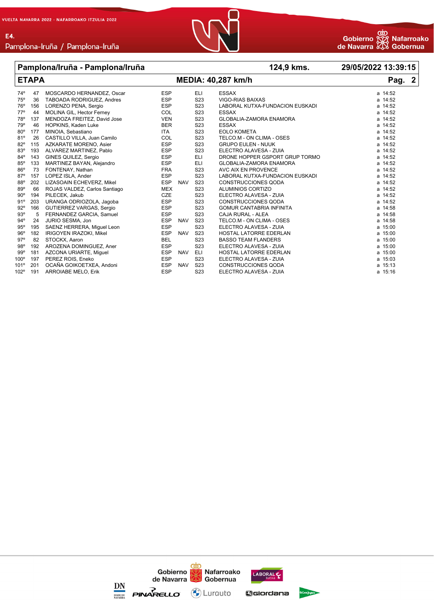**E4** 



#### **Pamplona/Iruña - Pamplona/Iruña 124,9 kms. 29/05/2022 13:39:15**

#### **ETAPA MEDIA: 40,287 km/h Pag. 2** 74º 47 MOSCARDO HERNANDEZ, Oscar ESP ELI ESSAX a 14:52 TABOADA RODRIGUEZ, Andres 76º 156 LORENZO PENA, Sergio ESP S23 LABORAL KUTXA-FUNDACION EUSKADI a 14:52 77º 44 MOLINA GIL, Hector Ferney COL S23 ESSAX a 14:52 78º 137 MENDOZA FREITEZ, David Jose VEN S23 GLOBALIA-ZAMORA ENAMORA a 14:52 79º 46 HOPKINS, Kaden Luke BER S23 ESSAX a 14:52 80º 177 MINOIA, Sebastiano ITA S23 EOLO KOMETA a 14:52 81º 26 CASTILLO VILLA, Juan Camilo COL S23 TELCO.M - ON CLIMA - OSES a 14:52 82º 115 AZKARATE MORENO, Asier ESP S23 GRUPO EULEN - NUUK a 14:52 83º 193 ALVAREZ MARTINEZ, Pablo ESP S23 ELECTRO ALAVESA - ZUIA a 14:52 84º 143 GINES QUILEZ, Sergio ESP ELI DRONE HOPPER GSPORT GRUP TORMO a 14:52 85º 133 MARTINEZ BAYAN, Alejandro ESP ELI GLOBALIA-ZAMORA ENAMORA a 14:52 86 FONTENAY, Nathan 1 1 1 FRA S23 AVC AIX EN PROVENCE 87º 157 LOPEZ ISLA, Ander ESP S23 LABORAL KUTXA-FUNDACION EUSKADI a 14:52 88º 202 LIZASOAIN ECHEVERZ, Mikel ESP NAV S23 CONSTRUCCIONES QODA a 14:52 86 ROJAS VALDEZ, Carlos Santiago 68 MEX S23 ALUMINIOS CORTIZO 68 AMBLE 2014 14:52 90º 194 PILECEK, Jakub CZE S23 ELECTRO ALAVESA - ZUIA a 14:52 91º 203 URANGA ODRIOZOLA, Jagoba ESP S23 CONSTRUCCIONES QODA a 14:52 92º 166 GUTIERREZ VARGAS, Sergio ESP S23 GOMUR CANTABRIA INFINITA a 14:58 93º 5 FERNANDEZ GARCIA, Samuel ESP S23 CAJA RURAL - ALEA a 14:58 94º 24 JURIO SESMA, Jon ESP NAV S23 TELCO.M - ON CLIMA - OSES a 14:58 95º 195 SAENZ HERRERA, Miguel Leon ESP S23 ELECTRO ALAVESA - ZUIA a 15:00 96º 182 IRIGOYEN IRAZOKI, Mikel ESP NAV S23 HOSTAL LATORRE EDERLAN a 15:00 97º 82 STOCKX, Aaron BEL S23 BASSO TEAM FLANDERS a 15:00 98º 192 AROZENA DOMINGUEZ, Aner ESP S23 ELECTRO ALAVESA - ZUIA a 15:00 99º 181 AZCONA URIARTE, Miguel ESP NAV ELI HOSTAL LATORRE EDERLAN a 15:00 197 PEREZ ROIS, Eneko estabaldean esperantista esperantista en el esperantista esperantista en el esperantista<br>La esperantista en el esperantista en el esperantista en el esperantista en el esperantista en el esperantista 101º 201 OCAÑA GOIKOETXEA, Andoni ESP NAV S23 CONSTRUCCIONES QODA a 15:13 102º 191 ARROIABE MELO, Erik ESP S23 ELECTRO ALAVESA - ZUIA a 15:16

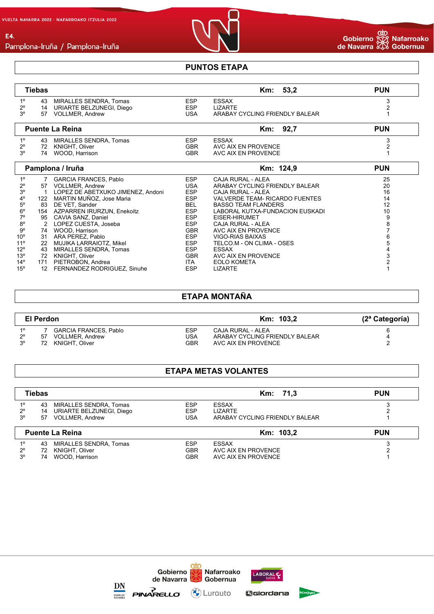

#### **PUNTOS ETAPA**

|                | <b>Tiebas</b> |                                   |            | Km: 53,2                        | <b>PUN</b>     |
|----------------|---------------|-----------------------------------|------------|---------------------------------|----------------|
| $1^{\circ}$    | 43            | <b>MIRALLES SENDRA, Tomas</b>     | <b>ESP</b> | <b>ESSAX</b>                    | 3              |
| $2^{\circ}$    | 14            | URIARTE BELZUNEGI, Diego          | <b>ESP</b> | <b>LIZARTE</b>                  |                |
| 3 <sup>o</sup> | 57            | <b>VOLLMER, Andrew</b>            | <b>USA</b> | ARABAY CYCLING FRIENDLY BALEAR  |                |
|                |               |                                   |            |                                 |                |
|                |               | <b>Puente La Reina</b>            |            | Km: 92,7                        | <b>PUN</b>     |
| $1^{\circ}$    | 43            | MIRALLES SENDRA, Tomas            | ESP        | <b>ESSAX</b>                    | 3              |
| $2^{\circ}$    | 72            | KNIGHT, Oliver                    | <b>GBR</b> | AVC AIX EN PROVENCE             | $\overline{2}$ |
| 3 <sup>o</sup> | 74            | WOOD, Harrison                    | <b>GBR</b> | AVC AIX EN PROVENCE             |                |
|                |               |                                   |            |                                 |                |
|                |               | Pamplona / Iruña                  |            | Km: 124,9                       | <b>PUN</b>     |
| $1^{\circ}$    |               | <b>GARCIA FRANCES, Pablo</b>      | <b>ESP</b> | <b>CAJA RURAL - ALEA</b>        | 25             |
| $2^{\circ}$    | 57            | <b>VOLLMER, Andrew</b>            | <b>USA</b> | ARABAY CYCLING FRIENDLY BALEAR  | 20             |
| $3^{\rm o}$    | -1            | LOPEZ DE ABETXUKO JIMENEZ, Andoni | <b>ESP</b> | CAJA RURAL - ALEA               | 16             |
| $4^{\circ}$    | 122           | MARTIN MUÑOZ, Jose Maria          | <b>ESP</b> | VALVERDE TEAM- RICARDO FUENTES  | 14             |
| $5^{\rm o}$    | 83            | DE VET, Sander                    | BEL        | <b>BASSO TEAM FLANDERS</b>      | 12             |
| $6^{\circ}$    |               | 154 AZPARREN IRURZUN, Enekoitz    | <b>ESP</b> | LABORAL KUTXA-FUNDACION EUSKADI | 10             |
| $7^\circ$      | 95            | CAVIA SANZ, Daniel                | <b>ESP</b> | EISER-HIRUMET                   | 9              |
| $8^{\circ}$    | 2             | LOPEZ CUESTA, Joseba              | <b>ESP</b> | CAJA RURAL - ALEA               | 8              |
| $9^{\circ}$    | 74            | WOOD, Harrison                    | <b>GBR</b> | AVC AIX EN PROVENCE             |                |
| $10^{\circ}$   | 31            | ARA PEREZ, Pablo                  | <b>ESP</b> | VIGO-RIAS BAIXAS                | 6              |
| $11^{\circ}$   | 22            | MUJIKA LARRAIOTZ, Mikel           | <b>ESP</b> | TELCO.M - ON CLIMA - OSES       | 5              |
| $12^{\circ}$   | 43            | <b>MIRALLES SENDRA, Tomas</b>     | ESP        | <b>ESSAX</b>                    |                |
| $13^{\circ}$   | 72            | KNIGHT, Oliver                    | <b>GBR</b> | AVC AIX EN PROVENCE             | 3              |
| $14^{\circ}$   | 171           | PIETROBON, Andrea                 | ITA        | <b>EOLO KOMETA</b>              | $\overline{2}$ |
| $15^{\circ}$   | 12            | FERNANDEZ RODRIGUEZ, Sinuhe       | <b>ESP</b> | <b>LIZARTE</b>                  |                |

### **ETAPA MONTAÑA**

|             | El Perdon |                       |            | Km: 103.2                      | (2ª Categoría) |
|-------------|-----------|-----------------------|------------|--------------------------------|----------------|
| 10          |           | GARCIA FRANCES, Pablo | <b>ESP</b> | CAJA RURAL - ALEA              |                |
| $2^{\circ}$ | 57        | VOLLMER, Andrew       | USA        | ARABAY CYCLING FRIENDLY BALEAR |                |
| ەج          | 72        | KNIGHT. Oliver        | <b>GBR</b> | AVC AIX EN PROVENCE            |                |

## **ETAPA METAS VOLANTES**

|                            | <b>Tiebas</b>                                                  |                   | Km: 71,3                                         | <b>PUN</b> |  |
|----------------------------|----------------------------------------------------------------|-------------------|--------------------------------------------------|------------|--|
| $1^{\circ}$                | MIRALLES SENDRA, Tomas<br>43                                   | <b>ESP</b>        | ESSAX                                            |            |  |
| $2^{\circ}$<br>$3^{\circ}$ | URIARTE BELZUNEGI, Diego<br>14<br><b>VOLLMER, Andrew</b><br>57 | <b>ESP</b><br>USA | <b>LIZARTE</b><br>ARABAY CYCLING FRIENDLY BALEAR |            |  |
|                            |                                                                |                   |                                                  |            |  |
|                            | <b>Puente La Reina</b>                                         |                   | Km: 103,2                                        | <b>PUN</b> |  |
| $1^{\circ}$                | MIRALLES SENDRA, Tomas<br>43                                   | <b>ESP</b>        | ESSAX                                            |            |  |
| $2^{\circ}$<br>$3^{\circ}$ | KNIGHT, Oliver<br>72<br>WOOD, Harrison                         | GBR<br>GBR        | AVC AIX EN PROVENCE<br>AVC AIX EN PROVENCE       |            |  |



 $\underset{\text{maxspace}}{\text{DNA}}$ 



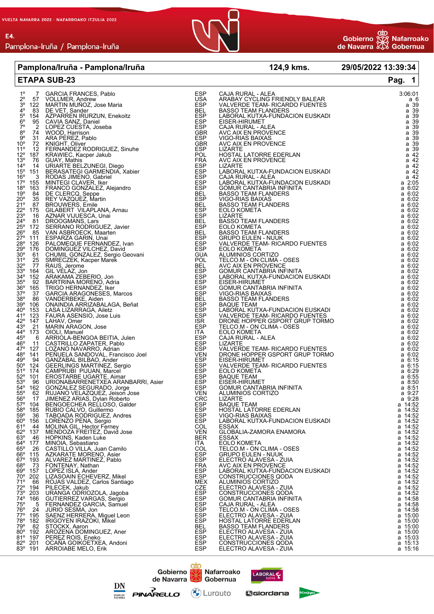

|                                                                                                       | Pamplona/Iruña - Pamplona/Iruña                                                                                                                                                                                                                                                                                               |                           | <u> 1989 - Johann Barbara, martxa a</u>                                                                | 124,9 kms. 29/05/2022 13:39:34                                                                   |
|-------------------------------------------------------------------------------------------------------|-------------------------------------------------------------------------------------------------------------------------------------------------------------------------------------------------------------------------------------------------------------------------------------------------------------------------------|---------------------------|--------------------------------------------------------------------------------------------------------|--------------------------------------------------------------------------------------------------|
|                                                                                                       | <b>ETAPA SUB-23</b>                                                                                                                                                                                                                                                                                                           |                           |                                                                                                        | Pag. 1                                                                                           |
|                                                                                                       | 7 GARCIA FRANCES, Pablo<br>57 VOLLMER, Andrew                                                                                                                                                                                                                                                                                 | ESP                       |                                                                                                        | 3:06:01                                                                                          |
| $1^{\circ}$<br>$2^{\circ}$<br>$3^{\circ}$<br>$4^{\circ}$<br>$5^{\circ}$<br>$6^{\circ}$<br>$9^{\circ}$ | 57 VOLLMER, Andrew<br>122 MARTIN MUÑOZ, Jose Maria                                                                                                                                                                                                                                                                            | USA<br>ESP                | CAJA RURAL - ALEA<br>ARABAY CYCLING FRIENDLY BALEAR<br>VALVERDE TEAM- RICARDO FUENTES                  |                                                                                                  |
|                                                                                                       | 83 DE VET, Sander<br>oo De vel, Sander<br>154 AZPARREN IRURZUN, Enekoitz<br>95 CAVIA SANZ, Daniel<br>2 LOPEZ CUESTA, Joseba<br>74 WOOD Harrison                                                                                                                                                                               | BEL<br>ESP<br>ESP         | BASSO TEAM FLANDERS<br>LABORAL KUTXA-FUNDACION EUSKADI<br>EISER-HIRUMET                                |                                                                                                  |
|                                                                                                       |                                                                                                                                                                                                                                                                                                                               |                           |                                                                                                        |                                                                                                  |
|                                                                                                       | 2 LOPEZ CUESTA, Joseba<br>74 WOOD, Harrison<br>31 ARA PEREZ, Pablo<br>72 KNOLLT Oliver                                                                                                                                                                                                                                        | <b>FREEDRAPH PROPERTY</b> | CAJA RURAL - ALEA                                                                                      |                                                                                                  |
|                                                                                                       |                                                                                                                                                                                                                                                                                                                               |                           | AVC AIX EN PROVENCE<br>VIGO-RIAS BAIXAS                                                                |                                                                                                  |
|                                                                                                       | o 74 WOOD, Harrison<br>90 31 ARA PEREZ, Pablo<br>10 <sup>0</sup> 72 KNIGHT, Oliver<br>11 <sup>0</sup> 12 FERNANDEZ RODRIGUEZ, Sinuhe<br>12 <sup>0</sup> 187 KRAWIEC, Kacper Jakub<br>130 76 G <u>UAY, Mat</u> his                                                                                                             |                           | AVC AIX EN PROVENCE                                                                                    |                                                                                                  |
|                                                                                                       | 10° 72 KNIGHT, Oliver<br>12° 187 KRAMNEC, Kacper Jakub<br>13° 187 KRAWIEC, Kacper Jakub<br>13° 76 GUAY, Mathis<br>14° 14 URIARTE BELZUNEGI, Diego<br>16° 3 RODAS JIMENO, Gabriel<br>16° 3 RODAS JIMENO, Gabriel<br>17° 155 MINTEGI CLAVER, I                                                                                  |                           | LIZARTE<br>HOSTAL LATORRE EDERLAN<br>AVC AIX EN PROVENCE                                               |                                                                                                  |
|                                                                                                       |                                                                                                                                                                                                                                                                                                                               |                           |                                                                                                        |                                                                                                  |
|                                                                                                       |                                                                                                                                                                                                                                                                                                                               |                           | LIZARTE<br>LABORAL KUTXA-FUNDACION EUSKADI                                                             |                                                                                                  |
|                                                                                                       |                                                                                                                                                                                                                                                                                                                               |                           | CAJA RURAL - ALEA                                                                                      |                                                                                                  |
|                                                                                                       |                                                                                                                                                                                                                                                                                                                               | ESP<br>ESP                |                                                                                                        |                                                                                                  |
|                                                                                                       |                                                                                                                                                                                                                                                                                                                               |                           | LABORAL KUTXA-FUNDACION EUSKADI<br>GOMUR CANTABRIA INFINITA<br>BASSO TEAM FLANDERS<br>VIGO-RIAS BAIXAS |                                                                                                  |
|                                                                                                       |                                                                                                                                                                                                                                                                                                                               | BEL<br>ESP                |                                                                                                        |                                                                                                  |
|                                                                                                       |                                                                                                                                                                                                                                                                                                                               |                           | BASSO TEAM FLANDERS<br>EOLO KOMETA                                                                     |                                                                                                  |
|                                                                                                       |                                                                                                                                                                                                                                                                                                                               |                           | <b>LIZARTE</b>                                                                                         |                                                                                                  |
|                                                                                                       |                                                                                                                                                                                                                                                                                                                               |                           | <b>BASSO TEAM FLANDERS</b>                                                                             |                                                                                                  |
|                                                                                                       |                                                                                                                                                                                                                                                                                                                               |                           | <b>EOLO KOMETA</b>                                                                                     |                                                                                                  |
|                                                                                                       |                                                                                                                                                                                                                                                                                                                               |                           | BASSO TEAM FLANDERS<br>GRUPO EULEN - NUUK                                                              |                                                                                                  |
|                                                                                                       |                                                                                                                                                                                                                                                                                                                               |                           | VALVERDE TEAM- RICARDO FUENTES<br>EOLO KOMETA                                                          |                                                                                                  |
|                                                                                                       |                                                                                                                                                                                                                                                                                                                               |                           | ALUMINIOS CORTIZO<br>TELCO.M - ON CLIMA - OSES                                                         |                                                                                                  |
|                                                                                                       |                                                                                                                                                                                                                                                                                                                               |                           |                                                                                                        |                                                                                                  |
|                                                                                                       |                                                                                                                                                                                                                                                                                                                               |                           | AVC AIX EN PROVENCE<br>GOMUR CANTABRIA INFINITA<br>LABORAL KUTXA-FUNDACION EUSKADI                     | $\frac{6.02}{a}$<br>$\frac{6.02}{b}$<br>$\frac{6.02}{c}$                                         |
|                                                                                                       |                                                                                                                                                                                                                                                                                                                               |                           |                                                                                                        |                                                                                                  |
|                                                                                                       |                                                                                                                                                                                                                                                                                                                               |                           | EISER-HIRUMET                                                                                          |                                                                                                  |
|                                                                                                       |                                                                                                                                                                                                                                                                                                                               |                           | GOMUR CANTABRIA INFINITA<br>VIGO-RIAS BAIXAS                                                           |                                                                                                  |
|                                                                                                       | 19<br>20 <sup>6</sup> 35 BEY VAZQUEZ, Martin<br>21 <sup>6</sup> 35 BEY VAZQUEZ, Martin<br>22 <sup>6</sup> 35 BEY VAZQUES, Emile<br>22 <sup>6</sup> 81 DROGGMANS, Lars<br>24 <sup>4</sup> 81 DROGGMANS, Lars<br>25 <sup>6</sup> 85 VAN ASBROECK, Maarten<br>26 <sup>6</sup> 85 VAN ASBROECK, Maarten<br>27 <sup>6</sup> 85 VAN |                           | BASSO TEAM FLANDERS<br>BAQUE TEAM                                                                      | a 6:02<br>a 6:02<br>a 6:02<br>a 6:02<br>a 6:02<br>a 6:02<br>a 6:02<br>a 6:02<br>a 6:02<br>a 6:02 |
|                                                                                                       |                                                                                                                                                                                                                                                                                                                               |                           | LABORAL KUTXA-FUNDACION EUSKADI                                                                        |                                                                                                  |
|                                                                                                       |                                                                                                                                                                                                                                                                                                                               |                           | VALVERDE TEAM- RICARDO FUENTES                                                                         |                                                                                                  |
| $\frac{42^{\circ}}{43^{\circ}}$ $\frac{147}{21}$                                                      | LAHAV, Omer<br>MARIN ARAGON, Jose                                                                                                                                                                                                                                                                                             | ISR<br>ESP                | DRONE HOPPER GSPORT GRUP TORMO<br>TELCO.M - ON CLIMA - OSES                                            |                                                                                                  |
| $44^{\circ}$ 173<br>45°                                                                               | 173 OIOLI, Manuel<br>6 ARRIOLA-BENGOA BEITIA, Julen<br>11 CASTRILLO ZAPATER, Pablo<br>127 LOZANO NAVARRO, Adrian<br>127 LOZANO NAVARRO, Adrian<br>144 GANZABAL BILBAO, Ander<br>124 GEERLINGS MARTINEZ, Sergio<br>174 CAMPRUBI PIJJUAN, Marc                                                                                  |                           | <b>EOLO KOMETA</b>                                                                                     |                                                                                                  |
| $46^{\circ}$ 11                                                                                       |                                                                                                                                                                                                                                                                                                                               |                           | CAJA RURAL - ALEA<br>LIZARTE                                                                           | a 6:02                                                                                           |
| $47^{\circ}$ 127                                                                                      |                                                                                                                                                                                                                                                                                                                               |                           | VALVERDE TEAM- RICARDO FUENTES<br>DRONE HOPPER GSPORT GRUP TORMO                                       | $a$ 6:02<br>a 6:02<br>a 6:02<br>a 6:15<br>a 6:15<br>a 6:29                                       |
| $48^{\circ}$ 141<br>49° 94                                                                            |                                                                                                                                                                                                                                                                                                                               |                           | EISER-HIRUMET                                                                                          |                                                                                                  |
|                                                                                                       |                                                                                                                                                                                                                                                                                                                               |                           | VALVERDE TEAM- RICARDO FUENTES                                                                         |                                                                                                  |
| $\frac{130}{50^{\circ}}$ 124<br>51° 174<br>52° 101                                                    |                                                                                                                                                                                                                                                                                                                               |                           | EOLO KOMETA                                                                                            | a 6:55                                                                                           |
| $53^{\circ}$ 96                                                                                       |                                                                                                                                                                                                                                                                                                                               |                           | EISER-HIRUMET                                                                                          | a 8:50                                                                                           |
|                                                                                                       | 54° 162 GONZALEZ SEGURADO, Jorge<br>55° 62 RUJANO VELAZQUEZ, Jeison Jose                                                                                                                                                                                                                                                      |                           | <b>GOMUR CANTABRIA INFINITA</b><br>ALUMINIOS CORTIZO                                                   | a 8:51<br>a 9:27                                                                                 |
| 56° 17                                                                                                |                                                                                                                                                                                                                                                                                                                               | CRC                       |                                                                                                        | $\frac{a}{2}$ , $\frac{9.28}{2}$                                                                 |
| $57^{\circ}$ 104<br>58° 185                                                                           |                                                                                                                                                                                                                                                                                                                               | ESP<br>ESP                | LIZARTE<br>BAQUE TEAM<br>HOSTAL LATORRE EDERLAN                                                        | a 14:52                                                                                          |
| $59^{\circ}$ 36                                                                                       | RUJANO VELAZQUEZ, Jeison Jose<br>JIMENEZ ARIAS, Dylan Roberto<br>BENGOECHEA RELLOSO, Galder<br>RUBIO CALVO, Guillermo<br>TABOADA RODRIGUEZ, Andres<br>LORENZO PENA, Sergio<br>MOLINA GIL, Hector Ferney<br>MENDOZA FREITEZ, David Jose<br>MENDOZA FREI                                                                        |                           | VIGO-RIAS BAIXAS                                                                                       |                                                                                                  |
| $60^{\circ}$ 156                                                                                      |                                                                                                                                                                                                                                                                                                                               | ESP<br>ESP                | LABORAL KUTXA-FUNDACION EUSKADI                                                                        | $\frac{a}{2}$ 14:52<br>a 14:52<br>a 14:52                                                        |
| $61^{\circ}$ 44<br>62° 137                                                                            |                                                                                                                                                                                                                                                                                                                               | COL<br>VEN                | ESSAX<br>GLOBALIA-ZAMORA ENAMORA                                                                       | $a$ 14:52                                                                                        |
| $63^{\circ}$ 46<br>$64^{\circ}$ 177                                                                   | HOPKINS, Kaden Luke                                                                                                                                                                                                                                                                                                           | BER                       | ESSAX                                                                                                  | $\frac{14.52}{2}$<br>a 14:52<br>a 14:52                                                          |
| $65^\circ$<br>26                                                                                      | MINOIA, Sebastiano<br>CASTILLO VILLA, Juan Camilo                                                                                                                                                                                                                                                                             | ITA<br>COL                | EOLO KOMETA<br>TELCO.M - ON CLIMA - OSES                                                               |                                                                                                  |
|                                                                                                       | 66° 115 AZKARATE MORENO, Asier<br>67° 193 ALVAREZ MARTINEZ. Pablo                                                                                                                                                                                                                                                             | ESP<br>ESP                | <b>GRUPO EULEN - NUUK</b>                                                                              | $\frac{14.52}{2}$<br>a 14:52<br>a 14:52<br>a 14:52                                               |
| $68^{\circ}$ 73                                                                                       | ALVAREZ MARTINEZ, Pablo<br>FONTENAY, Nathan                                                                                                                                                                                                                                                                                   | <b>FRA</b>                | ELECTRO ALAVESA - ZUIA<br>AVC AIX EN PROVENCE                                                          |                                                                                                  |
| 69° 157                                                                                               | LOPEZ ISLA, Ander                                                                                                                                                                                                                                                                                                             | ESP                       | LABORAL KUTXA-FÜNDACION EUSKADI<br>CONSTRUCCIONES COD.                                                 |                                                                                                  |
| 70° 202                                                                                               | LIZASOAIN ECHEVERZ, Mikel                                                                                                                                                                                                                                                                                                     | ESP                       | CONSTRUCCIONES QODA                                                                                    | a 14:52                                                                                          |
| $71^{\circ}$ 66<br>$72^{\circ}$ 194                                                                   | ROJAS VALDEZ, Carlos Santiago<br>PILECEK, Jakub                                                                                                                                                                                                                                                                               | <b>MEX</b><br>CZE         | ALUMINIOS CORTIZO<br>ELECTRO ALAVESA - ZUIA                                                            | a 14:52<br>a 14:52                                                                               |
| $\frac{73^{\circ}}{74^{\circ}}$ 166                                                                   | URANGA ODRIOZOLA, Jagoba<br>GUTIERREZ VARGAS, Sergio                                                                                                                                                                                                                                                                          |                           | CONSTRUCCIONES QODA                                                                                    | $\frac{a}{14.52}$<br>a $\frac{14.58}{9}$                                                         |
| $75^{\circ}$<br>5                                                                                     | FERNANDEZ GARCIA, Samuel                                                                                                                                                                                                                                                                                                      |                           | GOMUR CANTABRIA INFINITA<br>CAJA RURAL - ALEA                                                          | $a$ 14:58                                                                                        |
| $76^{\circ}$ 24                                                                                       | JURIO SESMA, Jon                                                                                                                                                                                                                                                                                                              |                           | TELCO.M - ON CLIMA - OSES                                                                              | $a$ 14:58                                                                                        |
|                                                                                                       | 77º 195 SAENZ HERRERA, Miguel Leon<br>78º 182 IRIGOYEN IRAZOKI, Mikel                                                                                                                                                                                                                                                         |                           | ELECTRO ALAVESA - ZUIA<br>HOSTAL LATORRE EDERLAN                                                       | a 15:00<br>a 15:00                                                                               |
| 79° 82                                                                                                | STOCKX, Aaron                                                                                                                                                                                                                                                                                                                 |                           | <b>BASSO TEAM FLANDERS</b>                                                                             |                                                                                                  |
| 80° 192                                                                                               | AROZENA DOMINGUEZ, Aner                                                                                                                                                                                                                                                                                                       |                           | ELECTRO ALAVESA - ZUIA                                                                                 | $\frac{15.00}{a}$<br>a 15:00<br>a 15:03<br>a 15:13                                               |
| 81° 197<br>82° 201                                                                                    | PEREZ ROIS, Eneko<br>OCAÑA GOIKOETXEA, Andoni                                                                                                                                                                                                                                                                                 |                           | ELECTRO ALAVESA - ZUIA<br>CONSTRUCCIONES QODA                                                          |                                                                                                  |
| 83° 191                                                                                               | <b>ARROIABE MELO, Erik</b>                                                                                                                                                                                                                                                                                                    |                           | ELECTRO ALAVESA - ZUIA                                                                                 | a 15:16                                                                                          |





Gobernua

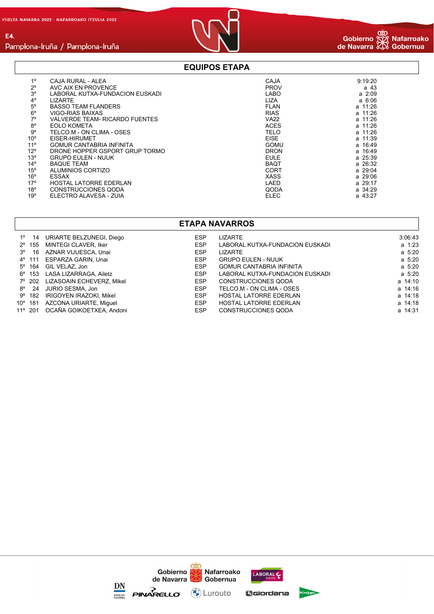E4.



## Pamplona-Iruña / Pamplona-Iruña

### **EQUIPOS ETAPA**

| $1^{\circ}$     | CAJA RURAL - ALEA               | CAJA        | 9:19:20     |
|-----------------|---------------------------------|-------------|-------------|
|                 |                                 |             |             |
| $2^{\circ}$     | AVC AIX EN PROVENCE             | <b>PROV</b> | a 43        |
| 3 <sup>o</sup>  | LABORAL KUTXA-FUNDACION EUSKADI | <b>LABO</b> | $a \; 2:09$ |
| $4^\circ$       | <b>LIZARTE</b>                  | <b>LIZA</b> | $a \, 6:06$ |
| $5^{\circ}$     | <b>BASSO TEAM FLANDERS</b>      | <b>FLAN</b> | a 11:26     |
| $6^{\circ}$     | VIGO-RIAS BAIXAS                | <b>RIAS</b> | a 11:26     |
| $7^\circ$       | VALVERDE TEAM- RICARDO FUENTES  | <b>VA22</b> | a 11:26     |
| $8^{\circ}$     | <b>EOLO KOMETA</b>              | <b>ACES</b> | $a$ 11:26   |
| 9°              | TELCO.M - ON CLIMA - OSES       | <b>TELO</b> | a 11:26     |
| 10 <sup>o</sup> | EISER-HIRUMET                   | <b>EISE</b> | a 11:39     |
| 11 <sup>°</sup> | <b>GOMUR CANTABRIA INFINITA</b> | <b>GOMU</b> | a 16:49     |
| $12^{\circ}$    | DRONE HOPPER GSPORT GRUP TORMO  | <b>DRON</b> | a 16:49     |
| 13 <sup>°</sup> | <b>GRUPO EULEN - NUUK</b>       | <b>EULE</b> | a 25:39     |
| $14^{\circ}$    | <b>BAQUE TEAM</b>               | <b>BAQT</b> | a 26:32     |
| $15^{\circ}$    | ALUMINIOS CORTIZO               | CORT        | a 29:04     |
| $16^{\circ}$    | ESSAX                           | <b>XASS</b> | a 29:06     |
| 17°             | <b>HOSTAL LATORRE EDERLAN</b>   | LAED        | a 29:17     |
| 18°             | <b>CONSTRUCCIONES QODA</b>      | QODA        | a 34:29     |
| 19°             | ELECTRO ALAVESA - ZUIA          | <b>ELEC</b> | a 43:27     |

#### **ETAPA NAVARROS**

| $1^{\circ}$ 14 | URIARTE BELZUNEGI, Diego         | <b>ESP</b> | <b>LIZARTE</b>                  | 3:06:43     |
|----------------|----------------------------------|------------|---------------------------------|-------------|
|                | 2º 155 MINTEGI CLAVER, Iker      | <b>ESP</b> | LABORAL KUTXA-FUNDACION EUSKADI | a 1:23      |
| 3° 16          | AZNAR VIJUESCA, Unai             | <b>ESP</b> | LIZARTE                         | $a \, 5:20$ |
|                | 4º 111 ESPARZA GARIN, Unai       | <b>ESP</b> | <b>GRUPO EULEN - NUUK</b>       | $a \, 5:20$ |
|                | 5° 164 GIL VELAZ, Jon            | <b>ESP</b> | <b>GOMUR CANTABRIA INFINITA</b> | $a \, 5:20$ |
|                | 6º 153 LASA LIZARRAGA, Ailetz    | <b>ESP</b> | LABORAL KUTXA-FUNDACION EUSKADI | $a \, 5:20$ |
|                | 7º 202 LIZASOAIN ECHEVERZ, Mikel | <b>ESP</b> | <b>CONSTRUCCIONES QODA</b>      | a 14:10     |
|                | 8° 24 JURIO SESMA, Jon           | <b>ESP</b> | TELCO.M - ON CLIMA - OSES       | a 14:16     |
|                | 9° 182 IRIGOYEN IRAZOKI. Mikel   | <b>ESP</b> | <b>HOSTAL LATORRE EDERLAN</b>   | a 14:18     |
|                | 10° 181 AZCONA URIARTE, Miquel   | <b>ESP</b> | <b>HOSTAL LATORRE EDERLAN</b>   | a 14:18     |
|                | 11º 201 OCAÑA GOIKOETXEA, Andoni | <b>ESP</b> | CONSTRUCCIONES QODA             | a 14:31     |

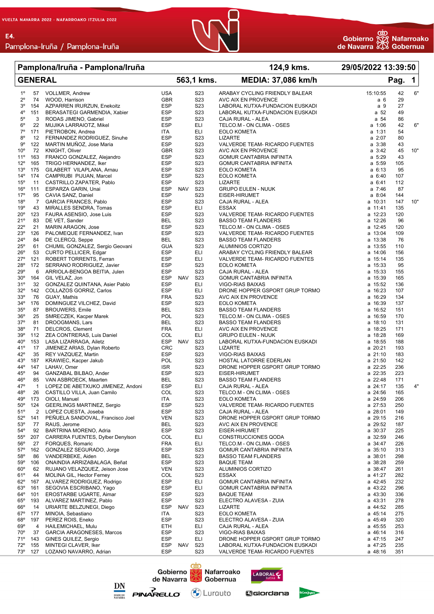E4.



#### **Pamplona/Iruña - Pamplona/Iruña 124,9 kms. 29/05/2022 13:39:50**

| <b>GENERAL</b> |                              |                |                                                     | 563,1 kms.               |            | <b>MEDIA: 37,086 km/h</b>            |                                                              | Pag.               | $\mathbf{1}$ |     |
|----------------|------------------------------|----------------|-----------------------------------------------------|--------------------------|------------|--------------------------------------|--------------------------------------------------------------|--------------------|--------------|-----|
|                | $1^{\circ}$                  | 57             | <b>VOLLMER, Andrew</b>                              | <b>USA</b>               |            | S <sub>2</sub> 3                     | ARABAY CYCLING FRIENDLY BALEAR                               | 15:10:55           | 42           | 6"  |
|                | $2^{\circ}$                  | 74             | WOOD, Harrison                                      | <b>GBR</b>               |            | S <sub>2</sub> 3                     | AVC AIX EN PROVENCE                                          | a 6                | 29           |     |
|                | 3°                           | 154            | AZPARREN IRURZUN, Enekoitz                          | <b>ESP</b>               |            | S <sub>23</sub>                      | LABORAL KUTXA-FUNDACION EUSKADI                              | a 9                | 27           |     |
|                | 4°                           | 151            | BERASATEGI GARMENDIA, Xabier                        | <b>ESP</b>               |            | S <sub>2</sub> 3                     | LABORAL KUTXA-FUNDACION EUSKADI                              | a 52               | 49           |     |
|                | $5^{\rm o}$                  | 3              | RODAS JIMENO, Gabriel                               | ESP                      |            | S <sub>2</sub> 3                     | CAJA RURAL - ALEA                                            | a 54               | 86           |     |
|                | $6^{\circ}$                  | 22             | MUJIKA LARRAIOTZ, Mikel                             | <b>ESP</b>               |            | ELI                                  | TELCO.M - ON CLIMA - OSES                                    | $a$ 1:06           | 42           | 6"  |
|                | $7^{\circ}$                  | 171            | PIETROBON, Andrea                                   | ITA                      |            | ELI                                  | <b>EOLO KOMETA</b>                                           | a 1:31             | 54           |     |
|                | $8^{\circ}$                  | 12             | FERNANDEZ RODRIGUEZ, Sinuhe                         | <b>ESP</b>               |            | S <sub>2</sub> 3                     | <b>LIZARTE</b>                                               | a 2:07             | 80           |     |
|                | 9°                           | 122            | MARTIN MUÑOZ, Jose Maria                            | <b>ESP</b>               |            | S <sub>23</sub>                      | VALVERDE TEAM- RICARDO FUENTES                               | $a \, 3:38$        | 43           |     |
|                | $10^{\circ}$                 | 72             | KNIGHT, Oliver                                      | GBR                      |            | S <sub>2</sub> 3                     | AVC AIX EN PROVENCE                                          | $a \, 3:42$        | 45           | 10" |
|                | $11^{\circ}$<br>$12^{\circ}$ | 163<br>165     | FRANCO GONZALEZ, Alejandro<br>TRIGO HERNANDEZ, Iker | ESP<br><b>ESP</b>        |            | S <sub>2</sub> 3<br>S <sub>2</sub> 3 | GOMUR CANTABRIA INFINITA                                     | a 5:29<br>a 5:59   | 43<br>105    |     |
|                | $13^{\circ}$                 | 175            | GILABERT VILAPLANA, Arnau                           | <b>ESP</b>               |            | S <sub>2</sub> 3                     | GOMUR CANTABRIA INFINITA<br><b>EOLO KOMETA</b>               | a 6:13             | 95           |     |
|                | $14^{\circ}$                 | 174            | CAMPRUBI PIJUAN, Marcel                             | <b>ESP</b>               |            | S <sub>23</sub>                      | <b>EOLO KOMETA</b>                                           | $a \, 6:40$        | 107          |     |
|                | $15^{\circ}$                 | 11             | CASTRILLO ZAPATER, Pablo                            | <b>ESP</b>               |            | S <sub>23</sub>                      | <b>LIZARTE</b>                                               | a 6:41             | 112          |     |
|                | $16^{\circ}$                 | 111            | ESPARZA GARIN, Unai                                 | ESP                      | NAV        | S <sub>2</sub> 3                     | <b>GRUPO EULEN - NUUK</b>                                    | a 7:46             | 87           |     |
|                | 17°                          | 95             | CAVIA SANZ, Daniel                                  | <b>ESP</b>               |            | S <sub>2</sub> 3                     | EISER-HIRUMET                                                | a 8:04             | 144          |     |
|                | 18°                          | $\overline{7}$ | <b>GARCIA FRANCES, Pablo</b>                        | <b>ESP</b>               |            | S <sub>23</sub>                      | CAJA RURAL - ALEA                                            | a 10:31            | 147          | 10" |
|                | 19°                          | 43             | MIRALLES SENDRA, Tomas                              | <b>ESP</b>               |            | ELI                                  | ESSAX                                                        | a 11:41            | 135          |     |
|                | $20^{\circ}$                 | 123            | FAURA ASENSIO, Jose Luis                            | ESP                      |            | S <sub>23</sub>                      | VALVERDE TEAM- RICARDO FUENTES                               | a 12:23            | 120          |     |
|                | 21°                          | 83             | DE VET, Sander                                      | BEL                      |            | S <sub>2</sub> 3                     | <b>BASSO TEAM FLANDERS</b>                                   | a 12:26<br>a 12:45 | 96           |     |
|                | $22^{\circ}$<br>23°          | 21<br>126      | MARIN ARAGON, Jose                                  | <b>ESP</b><br><b>ESP</b> |            | S <sub>2</sub> 3<br>S <sub>2</sub> 3 | TELCO.M - ON CLIMA - OSES                                    | a 13:04            | 120<br>109   |     |
|                | $24^{\circ}$                 | 84             | PALOMEQUE FERNANDEZ, Ivan<br>DE CLERCQ, Seppe       | <b>BEL</b>               |            | S <sub>2</sub> 3                     | VALVERDE TEAM- RICARDO FUENTES<br><b>BASSO TEAM FLANDERS</b> | a 13:38            | 76           |     |
|                | $25^{\circ}$                 | 61             | CHUMIL GONZALEZ, Sergio Geovani                     | <b>GUA</b>               |            | S <sub>23</sub>                      | ALUMINIOS CORTIZO                                            | a 13:55            | 110          |     |
|                | $26^{\circ}$                 | 53             | <b>CURTO PELLICER, Edgar</b>                        | <b>ESP</b>               |            | ELI                                  | ARABAY CYCLING FRIENDLY BALEAR                               | a 14:06            | 156          |     |
|                | $27^{\circ}$                 | 121            | ROBERT TORRENTS, Ferran                             | <b>ESP</b>               |            | <b>ELI</b>                           | VALVERDE TEAM- RICARDO FUENTES                               | a 15:14            | 135          |     |
|                | $28^{\circ}$                 | 172            | SERRANO RODRIGUEZ, Javier                           | <b>ESP</b>               |            | S <sub>2</sub> 3                     | EOLO KOMETA                                                  | a 15:33            | 95           |     |
|                | 29°                          | 6              | ARRIOLA-BENGOA BEITIA, Julen                        | <b>ESP</b>               |            | S <sub>2</sub> 3                     | CAJA RURAL - ALEA                                            | a 15:33            | 155          |     |
|                | $30^\circ$                   | 164            | GIL VELAZ. Jon                                      | ESP                      | <b>NAV</b> | S <sub>23</sub>                      | <b>GOMUR CANTABRIA INFINITA</b>                              | a 15:39            | 165          |     |
|                | 31°                          | 32             | GONZALEZ QUINTANA, Asier Pablo                      | <b>ESP</b>               |            | ELI                                  | VIGO-RIAS BAIXAS                                             | a 15:52            | 136          |     |
|                | $32^{\circ}$                 | 142            | COLLAZOS GORRIZ, Carlos                             | <b>ESP</b>               |            | ELI                                  | DRONE HOPPER GSPORT GRUP TORMO                               | a 16:23            | 107          |     |
|                | $33^\circ$                   | 76             | GUAY, Mathis                                        | FRA                      |            | S <sub>2</sub> 3                     | AVC AIX EN PROVENCE                                          | a 16:29            | 134          |     |
|                | $34^\circ$<br>$35^\circ$     | 176<br>87      | DOMINGUEZ VILCHEZ, David                            | <b>ESP</b><br><b>BEL</b> |            | S <sub>2</sub> 3<br>S <sub>2</sub> 3 | EOLO KOMETA                                                  | a 16:39<br>a 16:52 | 137<br>151   |     |
|                | 36°                          | 25             | <b>BROUWERS, Emile</b><br>SMRECZEK, Kacper Marek    | <b>POL</b>               |            | S <sub>2</sub> 3                     | <b>BASSO TEAM FLANDERS</b><br>TELCO.M - ON CLIMA - OSES      | a 16:59            | 170          |     |
|                | $37^\circ$                   | 81             | DROOGMANS, Lars                                     | <b>BEL</b>               |            | S <sub>23</sub>                      | <b>BASSO TEAM FLANDERS</b>                                   | a 18:10            | 131          |     |
|                | $38^{\circ}$                 | 71             | DELCROS, Clement                                    | <b>FRA</b>               |            | ELI                                  | AVC AIX EN PROVENCE                                          | a 18:25            | 171          |     |
|                | 39°                          | 112            | ZEA CONTRERAS, Luis Daniel                          | COL                      |            | ELI                                  | <b>GRUPO EULEN - NUUK</b>                                    | a 18:28            | 169          |     |
|                | $40^{\circ}$                 | 153            | LASA LIZARRAGA, Ailetz                              | ESP                      | <b>NAV</b> | S <sub>2</sub> 3                     | LABORAL KUTXA-FUNDACION EUSKADI                              | a 18:55            | 188          |     |
|                | 41°                          | 17             | JIMENEZ ARIAS, Dylan Roberto                        | <b>CRC</b>               |            | S <sub>23</sub>                      | <b>LIZARTE</b>                                               | a 20:21            | 193          |     |
|                | $42^{\circ}$<br>43°          | 35<br>187      | REY VAZQUEZ, Martin<br>KRAWIEC, Kacper Jakub        | <b>ESP</b><br>POL        |            | S <sub>23</sub><br>S <sub>2</sub> 3  | VIGO-RIAS BAIXAS<br>HOSTAL LATORRE EDERLAN                   | a 21:10<br>a 21:50 | 183<br>142   |     |
|                | 44°                          | 147            | LAHAV, Omer                                         | <b>ISR</b>               |            | S <sub>2</sub> 3                     | DRONE HOPPER GSPORT GRUP TORMO                               | a 22:25            | 236          |     |
|                | $45^{\circ}$                 | 94             | GANZABAL BILBAO, Ander                              | <b>ESP</b>               |            | S <sub>2</sub> 3                     | EISER-HIRUMET                                                | a 22:35            | 223          |     |
|                | $46^{\rm o}$                 | 85             | VAN ASBROECK, Maarten                               | <b>BEL</b>               |            | S <sub>2</sub> 3                     | <b>BASSO TEAM FLANDERS</b>                                   | a 22:48            | 171          |     |
|                | 47°                          | $\mathbf{1}$   | LOPEZ DE ABETXUKO JIMENEZ, Andoni                   | <b>ESP</b>               |            | <b>ELI</b>                           | CAJA RURAL - ALEA                                            | a 24:17            | 135          | 4"  |
|                | 48°                          | 26             | CASTILLO VILLA, Juan Camilo                         | COL                      |            | S <sub>2</sub> 3                     | TELCO.M - ON CLIMA - OSES                                    | a 24:56            | 165          |     |
|                | 49°                          | 173            | OIOLI, Manuel                                       | <b>ITA</b>               |            | S <sub>23</sub>                      | <b>EOLO KOMETA</b>                                           | a 24:59            | 206          |     |
|                | $50^\circ$                   | 124            | GEERLINGS MARTINEZ, Sergio                          | ESP                      |            | S <sub>23</sub>                      | VALVERDE TEAM- RICARDO FUENTES                               | a 27:53            | 250          |     |
|                | 51°                          | 2              | LOPEZ CUESTA, Joseba                                | ESP                      |            | S <sub>2</sub> 3                     | CAJA RURAL - ALEA                                            | a 28:01            | 149          |     |
|                | $52^\circ$<br>$53^\circ$     | 141<br>77      | PEÑUELA SANDOVAL, Francisco Joel<br>RAUS, Jerome    | <b>VEN</b><br>BEL        |            | S <sub>2</sub> 3<br>S <sub>2</sub> 3 | DRONE HOPPER GSPORT GRUP TORMO<br>AVC AIX EN PROVENCE        | a 29:15<br>a 29:52 | 216<br>187   |     |
|                | $54^\circ$                   | 92             | BARTRINA MORENO, Adria                              | ESP                      |            | S <sub>2</sub> 3                     | EISER-HIRUMET                                                | a 30:37            | 225          |     |
|                | $55^{\circ}$                 | 207            | CARRERA FUENTES, Dylber Denylson                    | COL                      |            | ELI                                  | CONSTRUCCIONES QODA                                          | a 32:59            | 246          |     |
|                | $56^{\circ}$                 | 27             | FORQUES, Romaric                                    | FRA                      |            | ELI                                  | TELCO.M - ON CLIMA - OSES                                    | a 34:47            | 226          |     |
|                | $57^\circ$                   | 162            | GONZALEZ SEGURADO, Jorge                            | ESP                      |            | S <sub>2</sub> 3                     | GOMUR CANTABRIA INFINITA                                     | a 35:10            | 313          |     |
|                | $58^\circ$                   | 86             | VANDERBEKE, Aiden                                   | <b>BEL</b>               |            | S <sub>2</sub> 3                     | <b>BASSO TEAM FLANDERS</b>                                   | a 38:01            | 298          |     |
|                | 59°                          | 106            | ONAINDIA ARRIZABALAGA, Beñat                        | ESP                      |            | S <sub>2</sub> 3                     | <b>BAQUE TEAM</b>                                            | a 38:28            | 259          |     |
|                | $60^{\circ}$                 | 62             | RUJANO VELAZQUEZ, Jeison Jose                       | VEN                      |            | S <sub>2</sub> 3                     | ALUMINIOS CORTIZO                                            | a 38:47            | 261          |     |
|                | 61°                          | 44             | MOLINA GIL, Hector Ferney                           | COL                      |            | S <sub>2</sub> 3                     | ESSAX                                                        | a 41:27            | 282          |     |
|                | $62^\circ$                   | 167            | ALVAREZ RODRIGUEZ, Rodrigo                          | ESP                      |            | ELI                                  | <b>GOMUR CANTABRIA INFINITA</b>                              | a 42:45            | 232          |     |
|                | $63^\circ$<br>$64^{\circ}$   | 161<br>101     | SEGOVIA ESCRIBANO, Yago<br>EROSTARBE UGARTE, Aimar  | ESP<br>ESP               |            | ELI<br>S <sub>2</sub> 3              | GOMUR CANTABRIA INFINITA<br><b>BAQUE TEAM</b>                | a 43:22<br>a 43:30 | 296<br>336   |     |
|                | $65^\circ$                   | 193            | ALVAREZ MARTINEZ, Pablo                             | ESP                      |            | S <sub>23</sub>                      | ELECTRO ALAVESA - ZUIA                                       | a 43:31            | 278          |     |
|                | $66^{\circ}$                 | 14             | URIARTE BELZUNEGI, Diego                            | ESP                      | NAV        | S <sub>2</sub> 3                     | <b>LIZARTE</b>                                               | a 44:52            | 285          |     |
|                | $67^{\circ}$                 | 177            | MINOIA, Sebastiano                                  | ITA                      |            | S <sub>2</sub> 3                     | <b>EOLO KOMETA</b>                                           | a 45:14            | 275          |     |
|                | $68^{\circ}$                 | 197            | PEREZ ROIS, Eneko                                   | <b>ESP</b>               |            | S <sub>2</sub> 3                     | ELECTRO ALAVESA - ZUIA                                       | a 45:49            | 320          |     |
|                | $69^\circ$                   | 4              | HAILEMICHAEL, Mulu                                  | ETH                      |            | ELI                                  | CAJA RURAL - ALEA                                            | a 45:55            | 253          |     |
|                | $70^{\circ}$                 | 37             | <b>GARCIA ARAGONESES, Marcos</b>                    | ESP                      |            | S <sub>2</sub> 3                     | VIGO-RIAS BAIXAS                                             | a 46:14            | 316          |     |
|                | 71°                          | 143            | GINES QUILEZ, Sergio                                | ESP                      |            | ELI                                  | DRONE HOPPER GSPORT GRUP TORMO                               | a 47:15            | 247          |     |
|                | $72^{\circ}$<br>$73^{\circ}$ | 155<br>127     | MINTEGI CLAVER, Iker                                | ESP                      | NAV        | S <sub>2</sub> 3<br>S <sub>2</sub> 3 | LABORAL KUTXA-FUNDACION EUSKADI                              | a 47:25            | 235          |     |
|                |                              |                | LOZANO NAVARRO, Adrian                              | ESP                      |            |                                      | VALVERDE TEAM- RICARDO FUENTES                               | a 48:16            | 351          |     |





<u>රෝ</u>



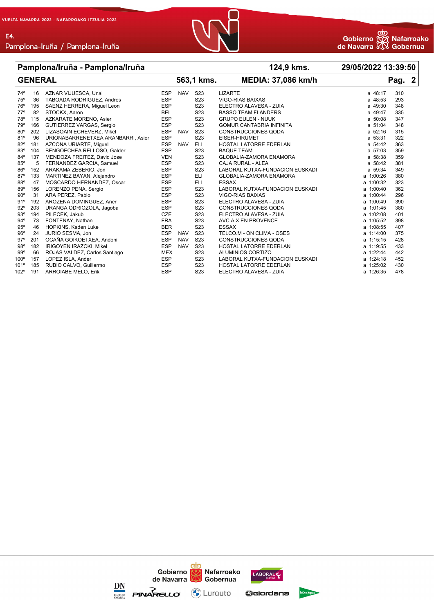E4.



|              | Pamplona/Iruña - Pamplona/Iruña |                                    |            |            |                  | 124,9 kms.                      | 29/05/2022 13:39:50 |     |  |
|--------------|---------------------------------|------------------------------------|------------|------------|------------------|---------------------------------|---------------------|-----|--|
|              | <b>GENERAL</b>                  |                                    |            | 563,1 kms. |                  | <b>MEDIA: 37,086 km/h</b>       | Pag. 2              |     |  |
| $74^{\circ}$ | 16                              | AZNAR VIJUESCA, Unai               | <b>ESP</b> | <b>NAV</b> | S <sub>23</sub>  | <b>LIZARTE</b>                  | a 48:17             | 310 |  |
| 75°          | 36                              | TABOADA RODRIGUEZ, Andres          | <b>ESP</b> |            | S <sub>23</sub>  | VIGO-RIAS BAIXAS                | a 48:53             | 293 |  |
| 76°          | 195                             | SAENZ HERRERA, Miguel Leon         | <b>ESP</b> |            | S <sub>23</sub>  | ELECTRO ALAVESA - ZUIA          | a 49:30             | 348 |  |
| $77^{\circ}$ | 82                              | STOCKX, Aaron                      | <b>BEL</b> |            | S <sub>23</sub>  | <b>BASSO TEAM FLANDERS</b>      | a 49:47             | 335 |  |
| 78°          | 115                             | AZKARATE MORENO, Asier             | <b>ESP</b> |            | S <sub>23</sub>  | <b>GRUPO EULEN - NUUK</b>       | a 50:08             | 347 |  |
| 79°          | 166                             | GUTIERREZ VARGAS, Sergio           | <b>ESP</b> |            | S <sub>23</sub>  | <b>GOMUR CANTABRIA INFINITA</b> | a 51:04             | 348 |  |
| 80°          | 202                             | LIZASOAIN ECHEVERZ, Mikel          | <b>ESP</b> | <b>NAV</b> | S <sub>23</sub>  | <b>CONSTRUCCIONES QODA</b>      | a 52:16             | 315 |  |
| 81°          | 96                              | URIONABARRENETXEA ARANBARRI, Asier | <b>ESP</b> |            | S <sub>23</sub>  | <b>EISER-HIRUMET</b>            | a 53:31             | 322 |  |
| $82^{\circ}$ | 181                             | AZCONA URIARTE, Miquel             | <b>ESP</b> | <b>NAV</b> | <b>ELI</b>       | HOSTAL LATORRE EDERLAN          | a 54:42             | 363 |  |
| 83°          | 104                             | BENGOECHEA RELLOSO, Galder         | <b>ESP</b> |            | S <sub>23</sub>  | <b>BAQUE TEAM</b>               | a 57:03             | 359 |  |
| $84^{\circ}$ | 137                             | MENDOZA FREITEZ, David Jose        | <b>VEN</b> |            | S <sub>23</sub>  | <b>GLOBALIA-ZAMORA ENAMORA</b>  | a 58:38             | 359 |  |
| 85°          | 5                               | FERNANDEZ GARCIA, Samuel           | <b>ESP</b> |            | S <sub>23</sub>  | CAJA RURAL - ALEA               | a 58:42             | 381 |  |
| 86°          | 152                             | ARAKAMA ZEBERIO, Jon               | <b>ESP</b> |            | S <sub>23</sub>  | LABORAL KUTXA-FUNDACION EUSKADI | a 59:34             | 349 |  |
| $87^\circ$   | 133                             | MARTINEZ BAYAN, Alejandro          | <b>ESP</b> |            | ELI              | GLOBALIA-ZAMORA ENAMORA         | a 1:00:26           | 380 |  |
| 88°          | 47                              | MOSCARDO HERNANDEZ, Oscar          | <b>ESP</b> |            | <b>ELI</b>       | <b>ESSAX</b>                    | a 1:00:32           | 323 |  |
| 89°          | 156                             | LORENZO PENA, Sergio               | <b>ESP</b> |            | S <sub>23</sub>  | LABORAL KUTXA-FUNDACION EUSKADI | a 1:00:40           | 362 |  |
| $90^{\circ}$ | 31                              | ARA PEREZ, Pablo                   | <b>ESP</b> |            | S <sub>23</sub>  | <b>VIGO-RIAS BAIXAS</b>         | a 1:00:44           | 296 |  |
| 91°          | 192                             | AROZENA DOMINGUEZ, Aner            | <b>ESP</b> |            | S <sub>2</sub> 3 | ELECTRO ALAVESA - ZUIA          | a 1:00:49           | 390 |  |
| 92°          | 203                             | URANGA ODRIOZOLA, Jagoba           | <b>ESP</b> |            | S <sub>23</sub>  | <b>CONSTRUCCIONES QODA</b>      | a 1:01:45           | 380 |  |
| 93°          | 194                             | PILECEK, Jakub                     | CZE        |            | S <sub>23</sub>  | ELECTRO ALAVESA - ZUIA          | a 1:02:08           | 401 |  |
| $94^{\circ}$ | 73                              | FONTENAY, Nathan                   | <b>FRA</b> |            | S <sub>23</sub>  | AVC AIX EN PROVENCE             | a 1:05:52           | 398 |  |
| 95°          | 46                              | HOPKINS, Kaden Luke                | <b>BER</b> |            | S <sub>23</sub>  | <b>ESSAX</b>                    | a 1:08:55           | 407 |  |
| 96°          | 24                              | JURIO SESMA, Jon                   | <b>ESP</b> | <b>NAV</b> | S <sub>23</sub>  | TELCO.M - ON CLIMA - OSES       | a 1:14:00           | 375 |  |
| $97^\circ$   | 201                             | OCAÑA GOIKOETXEA, Andoni           | <b>ESP</b> | <b>NAV</b> | S <sub>23</sub>  | <b>CONSTRUCCIONES QODA</b>      | a 1:15:15           | 428 |  |
| 98°          | 182                             | IRIGOYEN IRAZOKI, Mikel            | <b>ESP</b> | <b>NAV</b> | S <sub>23</sub>  | HOSTAL LATORRE EDERLAN          | a 1:19:55           | 433 |  |
| 99°          | 66                              | ROJAS VALDEZ, Carlos Santiago      | <b>MEX</b> |            | S <sub>23</sub>  | ALUMINIOS CORTIZO               | a 1:22:44           | 442 |  |
| $100^\circ$  | 157                             | LOPEZ ISLA, Ander                  | <b>ESP</b> |            | S <sub>23</sub>  | LABORAL KUTXA-FUNDACION EUSKADI | a 1:24:18           | 452 |  |
| 101°         | 185                             | RUBIO CALVO, Guillermo             | <b>ESP</b> |            | S <sub>2</sub> 3 | HOSTAL LATORRE EDERLAN          | a 1:25:02           | 430 |  |
| 102°         | 191                             | <b>ARROIABE MELO, Erik</b>         | <b>ESP</b> |            | S <sub>23</sub>  | ELECTRO ALAVESA - ZUIA          | $a$ 1:26:35         | 478 |  |

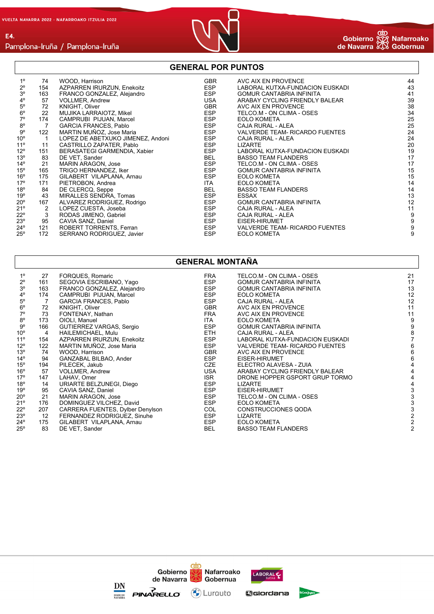E4.



# Pamplona-Iruña / Pamplona-Iruña

### **GENERAL POR PUNTOS**

| $1^{\circ}$    | 74  | WOOD, Harrison                    | <b>GBR</b> | AVC AIX EN PROVENCE             | 44 |
|----------------|-----|-----------------------------------|------------|---------------------------------|----|
| $2^{\circ}$    | 154 | AZPARREN IRURZUN, Enekoitz        | ESP        | LABORAL KUTXA-FUNDACION EUSKADI | 43 |
| 3 <sup>o</sup> | 163 | FRANCO GONZALEZ, Alejandro        | ESP        | <b>GOMUR CANTABRIA INFINITA</b> | 41 |
| $4^{\circ}$    | 57  | <b>VOLLMER, Andrew</b>            | USA        | ARABAY CYCLING FRIENDLY BALEAR  | 39 |
| $5^{\circ}$    | 72  | KNIGHT, Oliver                    | GBR        | AVC AIX EN PROVENCE             | 38 |
| $6^{\circ}$    | 22  | MUJIKA LARRAIOTZ, Mikel           | ESP        | TELCO.M - ON CLIMA - OSES       | 34 |
| $7^\circ$      | 174 | CAMPRUBI PIJUAN, Marcel           | ESP        | <b>EOLO KOMETA</b>              | 25 |
| $8^{\circ}$    | 7   | <b>GARCIA FRANCES, Pablo</b>      | ESP        | CAJA RURAL - ALEA               | 25 |
| $9^{\circ}$    | 122 | MARTIN MUÑOZ, Jose Maria          | ESP        | VALVERDE TEAM- RICARDO FUENTES  | 24 |
| $10^{\circ}$   |     | LOPEZ DE ABETXUKO JIMENEZ, Andoni | ESP        | CAJA RURAL - ALEA               | 24 |
| $11^{\circ}$   | 11  | CASTRILLO ZAPATER, Pablo          | <b>ESP</b> | LIZARTE                         | 20 |
| $12^{\circ}$   | 151 | BERASATEGI GARMENDIA, Xabier      | <b>ESP</b> | LABORAL KUTXA-FUNDACION EUSKADI | 19 |
| $13^{\circ}$   | 83  | DE VET, Sander                    | BEL        | <b>BASSO TEAM FLANDERS</b>      | 17 |
| $14^{\circ}$   | 21  | <b>MARIN ARAGON, Jose</b>         | <b>ESP</b> | TELCO.M - ON CLIMA - OSES       | 17 |
| $15^{\circ}$   | 165 | TRIGO HERNANDEZ, Iker             | <b>ESP</b> | <b>GOMUR CANTABRIA INFINITA</b> | 15 |
| $16^{\circ}$   | 175 | GILABERT VILAPLANA, Arnau         | ESP        | <b>EOLO KOMETA</b>              | 15 |
| $17^{\circ}$   | 171 | PIETROBON, Andrea                 | <b>ITA</b> | <b>EOLO KOMETA</b>              | 14 |
| 18°            | 84  | DE CLERCQ, Seppe                  | BEL        | <b>BASSO TEAM FLANDERS</b>      | 14 |
| 19°            | 43  | MIRALLES SENDRA, Tomas            | ESP        | <b>ESSAX</b>                    | 13 |
| $20^{\circ}$   | 167 | ALVAREZ RODRIGUEZ, Rodrigo        | ESP        | <b>GOMUR CANTABRIA INFINITA</b> | 12 |
| 21°            | 2   | LOPEZ CUESTA, Joseba              | <b>ESP</b> | CAJA RURAL - ALEA               | 11 |
| $22^{\circ}$   | 3   | RODAS JIMENO, Gabriel             | <b>ESP</b> | CAJA RURAL - ALEA               | 9  |
| $23^\circ$     | 95  | CAVIA SANZ, Daniel                | ESP        | EISER-HIRUMET                   | 9  |
| $24^{\circ}$   | 121 | ROBERT TORRENTS, Ferran           | ESP        | VALVERDE TEAM- RICARDO FUENTES  | 9  |
| $25^{\circ}$   | 172 | SERRANO RODRIGUEZ, Javier         | <b>ESP</b> | <b>EOLO KOMETA</b>              | 9  |

## **GENERAL MONTAÑA**

| $1^{\circ}$  | 27  | FORQUES, Romaric                 | <b>FRA</b> | TELCO.M - ON CLIMA - OSES       | 21 |
|--------------|-----|----------------------------------|------------|---------------------------------|----|
| $2^{\circ}$  | 161 | SEGOVIA ESCRIBANO, Yago          | ESP        | <b>GOMUR CANTABRIA INFINITA</b> | 17 |
| $3^{\circ}$  | 163 | FRANCO GONZALEZ, Alejandro       | ESP        | <b>GOMUR CANTABRIA INFINITA</b> | 13 |
| $4^{\circ}$  | 174 | CAMPRUBI PIJUAN, Marcel          | ESP        | <b>EOLO KOMETA</b>              | 12 |
| $5^{\circ}$  |     | <b>GARCIA FRANCES, Pablo</b>     | <b>ESP</b> | CAJA RURAL - ALEA               | 12 |
| $6^{\circ}$  | 72  | KNIGHT, Oliver                   | <b>GBR</b> | AVC AIX EN PROVENCE             | 11 |
| $7^\circ$    | 73  | FONTENAY, Nathan                 | FRA        | AVC AIX EN PROVENCE             | 11 |
| $8^{\circ}$  | 173 | OIOLI, Manuel                    | ITA        | <b>EOLO KOMETA</b>              | 9  |
| $9^{\circ}$  | 166 | GUTIERREZ VARGAS, Sergio         | ESP        | <b>GOMUR CANTABRIA INFINITA</b> | 9  |
| $10^{\circ}$ | 4   | HAILEMICHAEL, Mulu               | ETH        | CAJA RURAL - ALEA               |    |
| $11^{\circ}$ | 154 | AZPARREN IRURZUN, Enekoitz       | ESP        | LABORAL KUTXA-FUNDACION EUSKADI |    |
| $12^{\circ}$ | 122 | MARTIN MUÑOZ, Jose Maria         | ESP        | VALVERDE TEAM- RICARDO FUENTES  |    |
| 13°          | 74  | WOOD, Harrison                   | GBR        | AVC AIX EN PROVENCE             | 6  |
| $14^{\circ}$ | 94  | GANZABAL BILBAO, Ander           | ESP        | EISER-HIRUMET                   | 6  |
| $15^{\circ}$ | 194 | PILECEK, Jakub                   | CZE        | ELECTRO ALAVESA - ZUIA          |    |
| $16^{\circ}$ | 57  | <b>VOLLMER, Andrew</b>           | USA        | ARABAY CYCLING FRIENDLY BALEAR  |    |
| 17°          | 147 | LAHAV, Omer                      | <b>ISR</b> | DRONE HOPPER GSPORT GRUP TORMO  |    |
| 18°          | 14  | URIARTE BELZUNEGI, Diego         | <b>ESP</b> | <b>LIZARTE</b>                  |    |
| 19°          | 95  | CAVIA SANZ, Daniel               | <b>ESP</b> | EISER-HIRUMET                   |    |
| 20°          | 21  | <b>MARIN ARAGON, Jose</b>        | ESP        | TELCO.M - ON CLIMA - OSES       |    |
| 21°          | 176 | DOMINGUEZ VILCHEZ, David         | ESP        | <b>EOLO KOMETA</b>              |    |
| 22°          | 207 | CARRERA FUENTES, Dylber Denylson | COL        | CONSTRUCCIONES QODA             |    |
| 23°          | 12  | FERNANDEZ RODRIGUEZ, Sinuhe      | <b>ESP</b> | <b>LIZARTE</b>                  |    |
| 24°          | 175 | GILABERT VILAPLANA, Arnau        | ESP        | <b>EOLO KOMETA</b>              |    |
| 25°          | 83  | DE VET, Sander                   | BEL        | <b>BASSO TEAM FLANDERS</b>      |    |
|              |     |                                  |            |                                 |    |

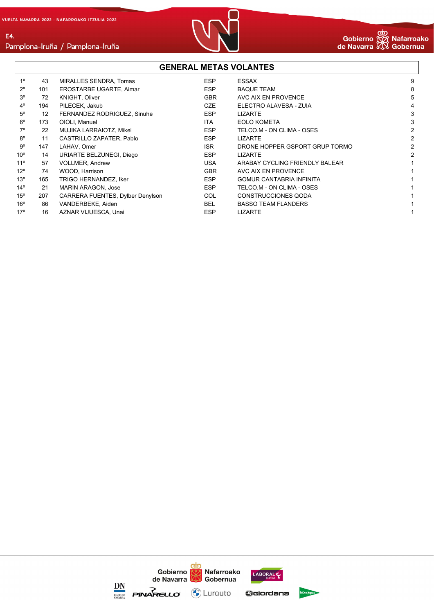E4.



#### **GENERAL METAS VOLANTES** 1º 43 MIRALLES SENDRA, Tomas ESP ESSAX 9 2º 101 EROSTARBE UGARTE, Aimar ESP BAQUE TEAM 8 3º 72 KNIGHT, Oliver GBR AVC AIX EN PROVENCE 5 4º 194 PILECEK, Jakub CZE ELECTRO ALAVESA - ZUIA 4 5º 12 FERNANDEZ RODRIGUEZ, Sinuhe ESP LIZARTE 3 6º 173 OIOLI, Manuel ITA EOLO KOMETA 3 7º 22 MUJIKA LARRAIOTZ, Mikel ESP TELCO.M - ON CLIMA - OSES 2 8º 11 CASTRILLO ZAPATER, Pablo ESP LIZARTE 2 9<sup>o</sup> 147 LAHAV, Omer 2<br>
2 10º 14 URIARTE BELZUNEGI, Diego ESP LIZARTE 2 11º 57 VOLLMER, Andrew USA ARABAY CYCLING FRIENDLY BALEAR 1 12º 74 WOOD, Harrison GBR AVC AIX EN PROVENCE 1 13º 165 TRIGO HERNANDEZ, Iker New York Same Health Communication of the SP GOMUR CANTABRIA INFINITA 14º 21 MARIN ARAGON, Jose ESP TELCO.M - ON CLIMA - OSES 1 15º 207 CARRERA FUENTES, Dylber Denylson COL CONSTRUCCIONES QODA 1 16º 86 VANDERBEKE, Aiden BEL BASSO TEAM FLANDERS 1 17º 16 AZNAR VIJUESCA, Unai 1999 ESP LIZARTE 1999 ESP 1999 ESP LIZARTE

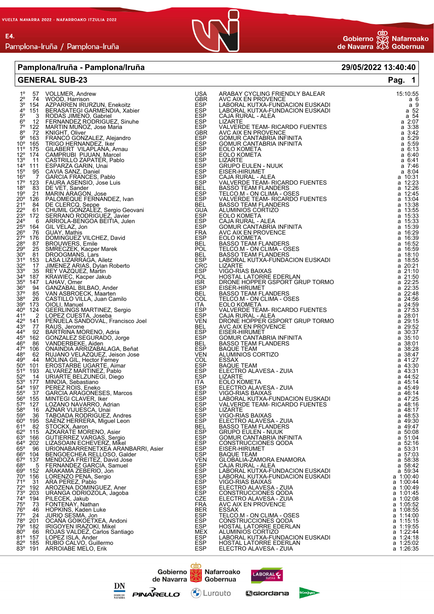

#### **Pamplona/Iruña - Pamplona/Iruña 29/05/2022 13:40:40**

| 1º 57 VOLLMER, Andrew<br>15:10:55<br>1.6 - THE MOOD Harmson EIRA MERINANDEZ, Metallo ZARABAY CYCLING FRIENDLY BALEAR<br>1.6 - 57 VOLLMER, Andrew<br>1.6 - 45 ACPORTATION FURNICUS CARRIERING CONTROL EUSKADI<br>1.6 - 45 ACPORTATION CONZALEZ, Alginor CONZALEZ SING AN<br>а6<br>a 9<br>$\begin{array}{rr}\n & 52 \\  & 2.07 \\  & 2.07\n \end{array}$<br>a 3:38<br>$a \; 3:42$<br>a 5:29<br>a 5:59<br>a 6:13<br>a 6:40<br>a 6:41<br>a 7:46<br>a 8:04<br>a 10:31<br>a $12:23$<br>a $12:26$<br>$a$ 12:45<br>a 13:04<br>a 13:38<br>a 13:55<br>a 15:33<br>$\frac{1}{2}$ a 15:33<br>a 16:29<br>a 16:39<br>BASSO TEAM FLANDERS<br>TELCO.M - ON CLIMA - OSES<br>BASSO TEAM FLANDERS<br>LABORAL KUTXA-FUNDACION EUSKADI<br>a 16:52<br>$a$ 16:59<br>a 18:10<br>a 18:55<br>17 JIMENEZ ARIAS, Dylan Roberto<br>35 REY VAZQUEZ, Martin<br>CRC<br>ESP<br>POL<br>LIZARTE<br>VIGO-RIAS BAIXAS<br>VIGO-RIAS BAIXAS<br>a $20:21$<br>a $21:10$<br>32° 17 JIMENEZ ARIAS, Dylan Roberto<br>34° 187 REY VAZQUEZ, Martin<br>34° 187 KRAWIEC, Kacper Jakub<br>52° 147 LAHAV, Omer<br>36° 94 GANZABAL BILBAO, Ander<br>37° 85 VAN ASBROECK, Maarten<br>37° 85 VAN ASBROECK, Maarten<br>37° 85 VAN AS<br>HOSTAL LATORRE EDERLAN<br>a 21:50<br>a 22:25<br>DRONE HOPPER GSPORT GRUP TORMO<br>a 22:35<br>EISER-HIRUMET<br><b>BASSO TEAM FLANDERS</b><br>a 22:48<br>TELCO.M - ON CLIMA - OSES<br>a $24:56$<br>a $24:59$<br><b>EOLO KOMETA</b><br>VALVERDE TEAM- RICARDO FUENTES<br>CAJA RURAL - ALEA<br>a 27:53<br>a 28:01<br>a 29:15<br>DRONE HOPPER GSPORT GRUP TORMO<br>AVC AIX EN PROVENCE<br>EISER-HIRUMET<br>$\overline{a}$ 29:52<br>a 30:37<br>GOMUR CANTABRIA INFINITA<br>a 35:10<br><b>BASSO TEAM FLANDERS</b><br>a 38:01<br><b>BAQUE TEAM</b><br>a 38:28<br>a 38:47<br>ALUMINIOS CORTIZO<br><b>ESSAX</b><br>a 41:27<br>a 43:30<br><b>BAQUE TEAM</b><br>ELECTRO ALAVESA - ZUIA<br>a 43:31<br>a 44:52<br>LIZARTE<br>EOLO KOMETA<br>a 45:14<br>ELECTRO ALAVESA - ZUIA<br>a 45.49<br>VIGO-RIAS BAIXAS<br>a 46:14<br>LABORAL KUTXA-FUNDACION EUSKADI<br>a 47:25<br>57º 127 LOZANO NAVARRO, Adrian<br>GARCIA ARAGONESES, Marcos<br>MINTEGI CLAVER, Iker<br>LOZANO NAVARRO, Adrian<br>AZNAR VIJUESCA, Unai<br>ATABOADA RODRIGUEZ, Andres<br>SACRATE MORENCA, Miguel Leon<br>STOCKX, ARAGONENO, Asier<br>GUZIERREZ VARGAS, Sergio<br>GUZIERREZ VARGAS,<br>VALVERDE TEAM- RICARDO FUENTES<br>a 48:16<br>58° 16 AZNAR VIJUESCA, Unai<br>LIZARTE<br>a 48:17<br>59° 36 TABOADA RODRIGUEZ, Andres<br>VIGO-RIAS BAIXAS<br>a 48:53<br>60° 195 SAENZ HERRERA, Miguel Leon<br>61° 82 STOCKX, Aaron<br>ELECTRO ALAVESA - ZUIA<br>a 49:30<br>$a$ 49:47<br><b>BASSO TEAM FLANDERS</b><br>62° 115 AZKARATE MORENO, Asier<br>a 50:08<br><b>GRUPO EULEN - NUUK</b><br>63º 166 GUTIERREZ VARGAS, Sergio<br>GOMUR CANTABRIA INFINITA<br>a 51:04<br>64° 202 LIZASOAIN ECHEVERZ, Mikel<br>CONSTRUCCIONES QODA<br>a 52:16<br>65° 96<br>EISER-HIRUMET<br>a 53:31<br>66° 104 BENGOECHEA RELLOSO, Galder<br>67° 137 MENDOZA FREITEZ, David Jose<br><b>BAQUE TEAM</b><br>a 57:03<br>GLOBALIA-ZAMORA ENAMORA<br>a 58:38<br>68° 5 FERNANDEZ GARCIA, Samuel<br>69° 152 ARAKAMA ZEBERIO, Jon<br>CAJA RURAL - ALEA<br>$\frac{1}{2}$ a 58:42<br>LABORAL KUTXA-FUNDACION EUSKADI<br>a 1:00:40<br>70° 156 LORENZO PENA, Sergio<br>LABORAL KUTXA-FUNDACION EUSKADI<br>71º 31 ARA PEREZ, Pablo<br>VIGO-RIAS BAIXAS<br>a 1:00:44<br>a 1:00:49<br>72° 192 AROZENA DOMINGUEZ, Aner<br>ELECTRO ALAVESA - ZUIA<br>a 1:01:45<br>73° 203 URANGA ODRIOZOLA, Jagoba<br>CONSTRUCCIONES QODA<br>74° 194 PILECEK, Jakub<br>75° 73 FONTENAY, Nathan<br>76° 46 HOPKINS, Kaden Luke<br>ELECTRO ALAVESA - ZUIA<br>a 1:02:08<br>AVC AIX EN PROVENCE<br>a 1:05:52<br>a 1:08:55<br><b>ESSAX</b><br>$77^{\circ}$ 24<br>TELCO.M - ON CLIMA - OSES<br>a 1:14:00<br>a 1:15:15<br>78° 201<br>CONSTRUCCIONES QODA<br>79° 182 IRIGOYEN IRAZOKI, Mikel<br>HOSTAL LATORRE EDERLAN<br>a 1:19:55<br>a 1:22:44<br>$80^{\circ}$ 66<br>ALUMINIOS CORTIZO<br>81º 157 LOPEZ ISLA, Ander<br>LABORAL KUTXA-FUNDACION EUSKADI<br>a 1:24:18<br>82° 185<br>HOSTAL LATORRE EDERLAN<br>a 1:25:02<br>a 1:26:35<br>83º 191 ARROIABE MELO, Erik<br>ELECTRO ALAVESA - ZUIA | <b>GENERAL SUB-23</b> |  | Pag. $1$ |
|------------------------------------------------------------------------------------------------------------------------------------------------------------------------------------------------------------------------------------------------------------------------------------------------------------------------------------------------------------------------------------------------------------------------------------------------------------------------------------------------------------------------------------------------------------------------------------------------------------------------------------------------------------------------------------------------------------------------------------------------------------------------------------------------------------------------------------------------------------------------------------------------------------------------------------------------------------------------------------------------------------------------------------------------------------------------------------------------------------------------------------------------------------------------------------------------------------------------------------------------------------------------------------------------------------------------------------------------------------------------------------------------------------------------------------------------------------------------------------------------------------------------------------------------------------------------------------------------------------------------------------------------------------------------------------------------------------------------------------------------------------------------------------------------------------------------------------------------------------------------------------------------------------------------------------------------------------------------------------------------------------------------------------------------------------------------------------------------------------------------------------------------------------------------------------------------------------------------------------------------------------------------------------------------------------------------------------------------------------------------------------------------------------------------------------------------------------------------------------------------------------------------------------------------------------------------------------------------------------------------------------------------------------------------------------------------------------------------------------------------------------------------------------------------------------------------------------------------------------------------------------------------------------------------------------------------------------------------------------------------------------------------------------------------------------------------------------------------------------------------------------------------------------------------------------------------------------------------------------------------------------------------------------------------------------------------------------------------------------------------------------------------------------------------------------------------------------------------------------------------------------------------------------------------------------------------------------------------------------------------------------------------------------------------------------------------------------------------------------------------------------------------------------------------------------------------------------------------------------------------------------------------------------------------------------------------------------------------------------------------------------------------------------------------------------------------------------------------------------------------------------------------------------------|-----------------------|--|----------|
|                                                                                                                                                                                                                                                                                                                                                                                                                                                                                                                                                                                                                                                                                                                                                                                                                                                                                                                                                                                                                                                                                                                                                                                                                                                                                                                                                                                                                                                                                                                                                                                                                                                                                                                                                                                                                                                                                                                                                                                                                                                                                                                                                                                                                                                                                                                                                                                                                                                                                                                                                                                                                                                                                                                                                                                                                                                                                                                                                                                                                                                                                                                                                                                                                                                                                                                                                                                                                                                                                                                                                                                                                                                                                                                                                                                                                                                                                                                                                                                                                                                                                                                                                                  |                       |  |          |
|                                                                                                                                                                                                                                                                                                                                                                                                                                                                                                                                                                                                                                                                                                                                                                                                                                                                                                                                                                                                                                                                                                                                                                                                                                                                                                                                                                                                                                                                                                                                                                                                                                                                                                                                                                                                                                                                                                                                                                                                                                                                                                                                                                                                                                                                                                                                                                                                                                                                                                                                                                                                                                                                                                                                                                                                                                                                                                                                                                                                                                                                                                                                                                                                                                                                                                                                                                                                                                                                                                                                                                                                                                                                                                                                                                                                                                                                                                                                                                                                                                                                                                                                                                  |                       |  |          |
|                                                                                                                                                                                                                                                                                                                                                                                                                                                                                                                                                                                                                                                                                                                                                                                                                                                                                                                                                                                                                                                                                                                                                                                                                                                                                                                                                                                                                                                                                                                                                                                                                                                                                                                                                                                                                                                                                                                                                                                                                                                                                                                                                                                                                                                                                                                                                                                                                                                                                                                                                                                                                                                                                                                                                                                                                                                                                                                                                                                                                                                                                                                                                                                                                                                                                                                                                                                                                                                                                                                                                                                                                                                                                                                                                                                                                                                                                                                                                                                                                                                                                                                                                                  |                       |  |          |
|                                                                                                                                                                                                                                                                                                                                                                                                                                                                                                                                                                                                                                                                                                                                                                                                                                                                                                                                                                                                                                                                                                                                                                                                                                                                                                                                                                                                                                                                                                                                                                                                                                                                                                                                                                                                                                                                                                                                                                                                                                                                                                                                                                                                                                                                                                                                                                                                                                                                                                                                                                                                                                                                                                                                                                                                                                                                                                                                                                                                                                                                                                                                                                                                                                                                                                                                                                                                                                                                                                                                                                                                                                                                                                                                                                                                                                                                                                                                                                                                                                                                                                                                                                  |                       |  |          |
|                                                                                                                                                                                                                                                                                                                                                                                                                                                                                                                                                                                                                                                                                                                                                                                                                                                                                                                                                                                                                                                                                                                                                                                                                                                                                                                                                                                                                                                                                                                                                                                                                                                                                                                                                                                                                                                                                                                                                                                                                                                                                                                                                                                                                                                                                                                                                                                                                                                                                                                                                                                                                                                                                                                                                                                                                                                                                                                                                                                                                                                                                                                                                                                                                                                                                                                                                                                                                                                                                                                                                                                                                                                                                                                                                                                                                                                                                                                                                                                                                                                                                                                                                                  |                       |  |          |
|                                                                                                                                                                                                                                                                                                                                                                                                                                                                                                                                                                                                                                                                                                                                                                                                                                                                                                                                                                                                                                                                                                                                                                                                                                                                                                                                                                                                                                                                                                                                                                                                                                                                                                                                                                                                                                                                                                                                                                                                                                                                                                                                                                                                                                                                                                                                                                                                                                                                                                                                                                                                                                                                                                                                                                                                                                                                                                                                                                                                                                                                                                                                                                                                                                                                                                                                                                                                                                                                                                                                                                                                                                                                                                                                                                                                                                                                                                                                                                                                                                                                                                                                                                  |                       |  |          |
|                                                                                                                                                                                                                                                                                                                                                                                                                                                                                                                                                                                                                                                                                                                                                                                                                                                                                                                                                                                                                                                                                                                                                                                                                                                                                                                                                                                                                                                                                                                                                                                                                                                                                                                                                                                                                                                                                                                                                                                                                                                                                                                                                                                                                                                                                                                                                                                                                                                                                                                                                                                                                                                                                                                                                                                                                                                                                                                                                                                                                                                                                                                                                                                                                                                                                                                                                                                                                                                                                                                                                                                                                                                                                                                                                                                                                                                                                                                                                                                                                                                                                                                                                                  |                       |  |          |
|                                                                                                                                                                                                                                                                                                                                                                                                                                                                                                                                                                                                                                                                                                                                                                                                                                                                                                                                                                                                                                                                                                                                                                                                                                                                                                                                                                                                                                                                                                                                                                                                                                                                                                                                                                                                                                                                                                                                                                                                                                                                                                                                                                                                                                                                                                                                                                                                                                                                                                                                                                                                                                                                                                                                                                                                                                                                                                                                                                                                                                                                                                                                                                                                                                                                                                                                                                                                                                                                                                                                                                                                                                                                                                                                                                                                                                                                                                                                                                                                                                                                                                                                                                  |                       |  |          |
|                                                                                                                                                                                                                                                                                                                                                                                                                                                                                                                                                                                                                                                                                                                                                                                                                                                                                                                                                                                                                                                                                                                                                                                                                                                                                                                                                                                                                                                                                                                                                                                                                                                                                                                                                                                                                                                                                                                                                                                                                                                                                                                                                                                                                                                                                                                                                                                                                                                                                                                                                                                                                                                                                                                                                                                                                                                                                                                                                                                                                                                                                                                                                                                                                                                                                                                                                                                                                                                                                                                                                                                                                                                                                                                                                                                                                                                                                                                                                                                                                                                                                                                                                                  |                       |  |          |
|                                                                                                                                                                                                                                                                                                                                                                                                                                                                                                                                                                                                                                                                                                                                                                                                                                                                                                                                                                                                                                                                                                                                                                                                                                                                                                                                                                                                                                                                                                                                                                                                                                                                                                                                                                                                                                                                                                                                                                                                                                                                                                                                                                                                                                                                                                                                                                                                                                                                                                                                                                                                                                                                                                                                                                                                                                                                                                                                                                                                                                                                                                                                                                                                                                                                                                                                                                                                                                                                                                                                                                                                                                                                                                                                                                                                                                                                                                                                                                                                                                                                                                                                                                  |                       |  |          |
|                                                                                                                                                                                                                                                                                                                                                                                                                                                                                                                                                                                                                                                                                                                                                                                                                                                                                                                                                                                                                                                                                                                                                                                                                                                                                                                                                                                                                                                                                                                                                                                                                                                                                                                                                                                                                                                                                                                                                                                                                                                                                                                                                                                                                                                                                                                                                                                                                                                                                                                                                                                                                                                                                                                                                                                                                                                                                                                                                                                                                                                                                                                                                                                                                                                                                                                                                                                                                                                                                                                                                                                                                                                                                                                                                                                                                                                                                                                                                                                                                                                                                                                                                                  |                       |  |          |
|                                                                                                                                                                                                                                                                                                                                                                                                                                                                                                                                                                                                                                                                                                                                                                                                                                                                                                                                                                                                                                                                                                                                                                                                                                                                                                                                                                                                                                                                                                                                                                                                                                                                                                                                                                                                                                                                                                                                                                                                                                                                                                                                                                                                                                                                                                                                                                                                                                                                                                                                                                                                                                                                                                                                                                                                                                                                                                                                                                                                                                                                                                                                                                                                                                                                                                                                                                                                                                                                                                                                                                                                                                                                                                                                                                                                                                                                                                                                                                                                                                                                                                                                                                  |                       |  |          |
|                                                                                                                                                                                                                                                                                                                                                                                                                                                                                                                                                                                                                                                                                                                                                                                                                                                                                                                                                                                                                                                                                                                                                                                                                                                                                                                                                                                                                                                                                                                                                                                                                                                                                                                                                                                                                                                                                                                                                                                                                                                                                                                                                                                                                                                                                                                                                                                                                                                                                                                                                                                                                                                                                                                                                                                                                                                                                                                                                                                                                                                                                                                                                                                                                                                                                                                                                                                                                                                                                                                                                                                                                                                                                                                                                                                                                                                                                                                                                                                                                                                                                                                                                                  |                       |  |          |
|                                                                                                                                                                                                                                                                                                                                                                                                                                                                                                                                                                                                                                                                                                                                                                                                                                                                                                                                                                                                                                                                                                                                                                                                                                                                                                                                                                                                                                                                                                                                                                                                                                                                                                                                                                                                                                                                                                                                                                                                                                                                                                                                                                                                                                                                                                                                                                                                                                                                                                                                                                                                                                                                                                                                                                                                                                                                                                                                                                                                                                                                                                                                                                                                                                                                                                                                                                                                                                                                                                                                                                                                                                                                                                                                                                                                                                                                                                                                                                                                                                                                                                                                                                  |                       |  |          |
|                                                                                                                                                                                                                                                                                                                                                                                                                                                                                                                                                                                                                                                                                                                                                                                                                                                                                                                                                                                                                                                                                                                                                                                                                                                                                                                                                                                                                                                                                                                                                                                                                                                                                                                                                                                                                                                                                                                                                                                                                                                                                                                                                                                                                                                                                                                                                                                                                                                                                                                                                                                                                                                                                                                                                                                                                                                                                                                                                                                                                                                                                                                                                                                                                                                                                                                                                                                                                                                                                                                                                                                                                                                                                                                                                                                                                                                                                                                                                                                                                                                                                                                                                                  |                       |  |          |
|                                                                                                                                                                                                                                                                                                                                                                                                                                                                                                                                                                                                                                                                                                                                                                                                                                                                                                                                                                                                                                                                                                                                                                                                                                                                                                                                                                                                                                                                                                                                                                                                                                                                                                                                                                                                                                                                                                                                                                                                                                                                                                                                                                                                                                                                                                                                                                                                                                                                                                                                                                                                                                                                                                                                                                                                                                                                                                                                                                                                                                                                                                                                                                                                                                                                                                                                                                                                                                                                                                                                                                                                                                                                                                                                                                                                                                                                                                                                                                                                                                                                                                                                                                  |                       |  |          |
|                                                                                                                                                                                                                                                                                                                                                                                                                                                                                                                                                                                                                                                                                                                                                                                                                                                                                                                                                                                                                                                                                                                                                                                                                                                                                                                                                                                                                                                                                                                                                                                                                                                                                                                                                                                                                                                                                                                                                                                                                                                                                                                                                                                                                                                                                                                                                                                                                                                                                                                                                                                                                                                                                                                                                                                                                                                                                                                                                                                                                                                                                                                                                                                                                                                                                                                                                                                                                                                                                                                                                                                                                                                                                                                                                                                                                                                                                                                                                                                                                                                                                                                                                                  |                       |  |          |
|                                                                                                                                                                                                                                                                                                                                                                                                                                                                                                                                                                                                                                                                                                                                                                                                                                                                                                                                                                                                                                                                                                                                                                                                                                                                                                                                                                                                                                                                                                                                                                                                                                                                                                                                                                                                                                                                                                                                                                                                                                                                                                                                                                                                                                                                                                                                                                                                                                                                                                                                                                                                                                                                                                                                                                                                                                                                                                                                                                                                                                                                                                                                                                                                                                                                                                                                                                                                                                                                                                                                                                                                                                                                                                                                                                                                                                                                                                                                                                                                                                                                                                                                                                  |                       |  |          |
|                                                                                                                                                                                                                                                                                                                                                                                                                                                                                                                                                                                                                                                                                                                                                                                                                                                                                                                                                                                                                                                                                                                                                                                                                                                                                                                                                                                                                                                                                                                                                                                                                                                                                                                                                                                                                                                                                                                                                                                                                                                                                                                                                                                                                                                                                                                                                                                                                                                                                                                                                                                                                                                                                                                                                                                                                                                                                                                                                                                                                                                                                                                                                                                                                                                                                                                                                                                                                                                                                                                                                                                                                                                                                                                                                                                                                                                                                                                                                                                                                                                                                                                                                                  |                       |  |          |
|                                                                                                                                                                                                                                                                                                                                                                                                                                                                                                                                                                                                                                                                                                                                                                                                                                                                                                                                                                                                                                                                                                                                                                                                                                                                                                                                                                                                                                                                                                                                                                                                                                                                                                                                                                                                                                                                                                                                                                                                                                                                                                                                                                                                                                                                                                                                                                                                                                                                                                                                                                                                                                                                                                                                                                                                                                                                                                                                                                                                                                                                                                                                                                                                                                                                                                                                                                                                                                                                                                                                                                                                                                                                                                                                                                                                                                                                                                                                                                                                                                                                                                                                                                  |                       |  |          |
|                                                                                                                                                                                                                                                                                                                                                                                                                                                                                                                                                                                                                                                                                                                                                                                                                                                                                                                                                                                                                                                                                                                                                                                                                                                                                                                                                                                                                                                                                                                                                                                                                                                                                                                                                                                                                                                                                                                                                                                                                                                                                                                                                                                                                                                                                                                                                                                                                                                                                                                                                                                                                                                                                                                                                                                                                                                                                                                                                                                                                                                                                                                                                                                                                                                                                                                                                                                                                                                                                                                                                                                                                                                                                                                                                                                                                                                                                                                                                                                                                                                                                                                                                                  |                       |  |          |
|                                                                                                                                                                                                                                                                                                                                                                                                                                                                                                                                                                                                                                                                                                                                                                                                                                                                                                                                                                                                                                                                                                                                                                                                                                                                                                                                                                                                                                                                                                                                                                                                                                                                                                                                                                                                                                                                                                                                                                                                                                                                                                                                                                                                                                                                                                                                                                                                                                                                                                                                                                                                                                                                                                                                                                                                                                                                                                                                                                                                                                                                                                                                                                                                                                                                                                                                                                                                                                                                                                                                                                                                                                                                                                                                                                                                                                                                                                                                                                                                                                                                                                                                                                  |                       |  |          |
|                                                                                                                                                                                                                                                                                                                                                                                                                                                                                                                                                                                                                                                                                                                                                                                                                                                                                                                                                                                                                                                                                                                                                                                                                                                                                                                                                                                                                                                                                                                                                                                                                                                                                                                                                                                                                                                                                                                                                                                                                                                                                                                                                                                                                                                                                                                                                                                                                                                                                                                                                                                                                                                                                                                                                                                                                                                                                                                                                                                                                                                                                                                                                                                                                                                                                                                                                                                                                                                                                                                                                                                                                                                                                                                                                                                                                                                                                                                                                                                                                                                                                                                                                                  |                       |  |          |
|                                                                                                                                                                                                                                                                                                                                                                                                                                                                                                                                                                                                                                                                                                                                                                                                                                                                                                                                                                                                                                                                                                                                                                                                                                                                                                                                                                                                                                                                                                                                                                                                                                                                                                                                                                                                                                                                                                                                                                                                                                                                                                                                                                                                                                                                                                                                                                                                                                                                                                                                                                                                                                                                                                                                                                                                                                                                                                                                                                                                                                                                                                                                                                                                                                                                                                                                                                                                                                                                                                                                                                                                                                                                                                                                                                                                                                                                                                                                                                                                                                                                                                                                                                  |                       |  |          |
|                                                                                                                                                                                                                                                                                                                                                                                                                                                                                                                                                                                                                                                                                                                                                                                                                                                                                                                                                                                                                                                                                                                                                                                                                                                                                                                                                                                                                                                                                                                                                                                                                                                                                                                                                                                                                                                                                                                                                                                                                                                                                                                                                                                                                                                                                                                                                                                                                                                                                                                                                                                                                                                                                                                                                                                                                                                                                                                                                                                                                                                                                                                                                                                                                                                                                                                                                                                                                                                                                                                                                                                                                                                                                                                                                                                                                                                                                                                                                                                                                                                                                                                                                                  |                       |  |          |
|                                                                                                                                                                                                                                                                                                                                                                                                                                                                                                                                                                                                                                                                                                                                                                                                                                                                                                                                                                                                                                                                                                                                                                                                                                                                                                                                                                                                                                                                                                                                                                                                                                                                                                                                                                                                                                                                                                                                                                                                                                                                                                                                                                                                                                                                                                                                                                                                                                                                                                                                                                                                                                                                                                                                                                                                                                                                                                                                                                                                                                                                                                                                                                                                                                                                                                                                                                                                                                                                                                                                                                                                                                                                                                                                                                                                                                                                                                                                                                                                                                                                                                                                                                  |                       |  |          |
|                                                                                                                                                                                                                                                                                                                                                                                                                                                                                                                                                                                                                                                                                                                                                                                                                                                                                                                                                                                                                                                                                                                                                                                                                                                                                                                                                                                                                                                                                                                                                                                                                                                                                                                                                                                                                                                                                                                                                                                                                                                                                                                                                                                                                                                                                                                                                                                                                                                                                                                                                                                                                                                                                                                                                                                                                                                                                                                                                                                                                                                                                                                                                                                                                                                                                                                                                                                                                                                                                                                                                                                                                                                                                                                                                                                                                                                                                                                                                                                                                                                                                                                                                                  |                       |  |          |
|                                                                                                                                                                                                                                                                                                                                                                                                                                                                                                                                                                                                                                                                                                                                                                                                                                                                                                                                                                                                                                                                                                                                                                                                                                                                                                                                                                                                                                                                                                                                                                                                                                                                                                                                                                                                                                                                                                                                                                                                                                                                                                                                                                                                                                                                                                                                                                                                                                                                                                                                                                                                                                                                                                                                                                                                                                                                                                                                                                                                                                                                                                                                                                                                                                                                                                                                                                                                                                                                                                                                                                                                                                                                                                                                                                                                                                                                                                                                                                                                                                                                                                                                                                  |                       |  |          |
|                                                                                                                                                                                                                                                                                                                                                                                                                                                                                                                                                                                                                                                                                                                                                                                                                                                                                                                                                                                                                                                                                                                                                                                                                                                                                                                                                                                                                                                                                                                                                                                                                                                                                                                                                                                                                                                                                                                                                                                                                                                                                                                                                                                                                                                                                                                                                                                                                                                                                                                                                                                                                                                                                                                                                                                                                                                                                                                                                                                                                                                                                                                                                                                                                                                                                                                                                                                                                                                                                                                                                                                                                                                                                                                                                                                                                                                                                                                                                                                                                                                                                                                                                                  |                       |  |          |
|                                                                                                                                                                                                                                                                                                                                                                                                                                                                                                                                                                                                                                                                                                                                                                                                                                                                                                                                                                                                                                                                                                                                                                                                                                                                                                                                                                                                                                                                                                                                                                                                                                                                                                                                                                                                                                                                                                                                                                                                                                                                                                                                                                                                                                                                                                                                                                                                                                                                                                                                                                                                                                                                                                                                                                                                                                                                                                                                                                                                                                                                                                                                                                                                                                                                                                                                                                                                                                                                                                                                                                                                                                                                                                                                                                                                                                                                                                                                                                                                                                                                                                                                                                  |                       |  |          |
|                                                                                                                                                                                                                                                                                                                                                                                                                                                                                                                                                                                                                                                                                                                                                                                                                                                                                                                                                                                                                                                                                                                                                                                                                                                                                                                                                                                                                                                                                                                                                                                                                                                                                                                                                                                                                                                                                                                                                                                                                                                                                                                                                                                                                                                                                                                                                                                                                                                                                                                                                                                                                                                                                                                                                                                                                                                                                                                                                                                                                                                                                                                                                                                                                                                                                                                                                                                                                                                                                                                                                                                                                                                                                                                                                                                                                                                                                                                                                                                                                                                                                                                                                                  |                       |  |          |
|                                                                                                                                                                                                                                                                                                                                                                                                                                                                                                                                                                                                                                                                                                                                                                                                                                                                                                                                                                                                                                                                                                                                                                                                                                                                                                                                                                                                                                                                                                                                                                                                                                                                                                                                                                                                                                                                                                                                                                                                                                                                                                                                                                                                                                                                                                                                                                                                                                                                                                                                                                                                                                                                                                                                                                                                                                                                                                                                                                                                                                                                                                                                                                                                                                                                                                                                                                                                                                                                                                                                                                                                                                                                                                                                                                                                                                                                                                                                                                                                                                                                                                                                                                  |                       |  |          |
|                                                                                                                                                                                                                                                                                                                                                                                                                                                                                                                                                                                                                                                                                                                                                                                                                                                                                                                                                                                                                                                                                                                                                                                                                                                                                                                                                                                                                                                                                                                                                                                                                                                                                                                                                                                                                                                                                                                                                                                                                                                                                                                                                                                                                                                                                                                                                                                                                                                                                                                                                                                                                                                                                                                                                                                                                                                                                                                                                                                                                                                                                                                                                                                                                                                                                                                                                                                                                                                                                                                                                                                                                                                                                                                                                                                                                                                                                                                                                                                                                                                                                                                                                                  |                       |  |          |
|                                                                                                                                                                                                                                                                                                                                                                                                                                                                                                                                                                                                                                                                                                                                                                                                                                                                                                                                                                                                                                                                                                                                                                                                                                                                                                                                                                                                                                                                                                                                                                                                                                                                                                                                                                                                                                                                                                                                                                                                                                                                                                                                                                                                                                                                                                                                                                                                                                                                                                                                                                                                                                                                                                                                                                                                                                                                                                                                                                                                                                                                                                                                                                                                                                                                                                                                                                                                                                                                                                                                                                                                                                                                                                                                                                                                                                                                                                                                                                                                                                                                                                                                                                  |                       |  |          |
|                                                                                                                                                                                                                                                                                                                                                                                                                                                                                                                                                                                                                                                                                                                                                                                                                                                                                                                                                                                                                                                                                                                                                                                                                                                                                                                                                                                                                                                                                                                                                                                                                                                                                                                                                                                                                                                                                                                                                                                                                                                                                                                                                                                                                                                                                                                                                                                                                                                                                                                                                                                                                                                                                                                                                                                                                                                                                                                                                                                                                                                                                                                                                                                                                                                                                                                                                                                                                                                                                                                                                                                                                                                                                                                                                                                                                                                                                                                                                                                                                                                                                                                                                                  |                       |  |          |
|                                                                                                                                                                                                                                                                                                                                                                                                                                                                                                                                                                                                                                                                                                                                                                                                                                                                                                                                                                                                                                                                                                                                                                                                                                                                                                                                                                                                                                                                                                                                                                                                                                                                                                                                                                                                                                                                                                                                                                                                                                                                                                                                                                                                                                                                                                                                                                                                                                                                                                                                                                                                                                                                                                                                                                                                                                                                                                                                                                                                                                                                                                                                                                                                                                                                                                                                                                                                                                                                                                                                                                                                                                                                                                                                                                                                                                                                                                                                                                                                                                                                                                                                                                  |                       |  |          |
|                                                                                                                                                                                                                                                                                                                                                                                                                                                                                                                                                                                                                                                                                                                                                                                                                                                                                                                                                                                                                                                                                                                                                                                                                                                                                                                                                                                                                                                                                                                                                                                                                                                                                                                                                                                                                                                                                                                                                                                                                                                                                                                                                                                                                                                                                                                                                                                                                                                                                                                                                                                                                                                                                                                                                                                                                                                                                                                                                                                                                                                                                                                                                                                                                                                                                                                                                                                                                                                                                                                                                                                                                                                                                                                                                                                                                                                                                                                                                                                                                                                                                                                                                                  |                       |  |          |
|                                                                                                                                                                                                                                                                                                                                                                                                                                                                                                                                                                                                                                                                                                                                                                                                                                                                                                                                                                                                                                                                                                                                                                                                                                                                                                                                                                                                                                                                                                                                                                                                                                                                                                                                                                                                                                                                                                                                                                                                                                                                                                                                                                                                                                                                                                                                                                                                                                                                                                                                                                                                                                                                                                                                                                                                                                                                                                                                                                                                                                                                                                                                                                                                                                                                                                                                                                                                                                                                                                                                                                                                                                                                                                                                                                                                                                                                                                                                                                                                                                                                                                                                                                  |                       |  |          |
|                                                                                                                                                                                                                                                                                                                                                                                                                                                                                                                                                                                                                                                                                                                                                                                                                                                                                                                                                                                                                                                                                                                                                                                                                                                                                                                                                                                                                                                                                                                                                                                                                                                                                                                                                                                                                                                                                                                                                                                                                                                                                                                                                                                                                                                                                                                                                                                                                                                                                                                                                                                                                                                                                                                                                                                                                                                                                                                                                                                                                                                                                                                                                                                                                                                                                                                                                                                                                                                                                                                                                                                                                                                                                                                                                                                                                                                                                                                                                                                                                                                                                                                                                                  |                       |  |          |
|                                                                                                                                                                                                                                                                                                                                                                                                                                                                                                                                                                                                                                                                                                                                                                                                                                                                                                                                                                                                                                                                                                                                                                                                                                                                                                                                                                                                                                                                                                                                                                                                                                                                                                                                                                                                                                                                                                                                                                                                                                                                                                                                                                                                                                                                                                                                                                                                                                                                                                                                                                                                                                                                                                                                                                                                                                                                                                                                                                                                                                                                                                                                                                                                                                                                                                                                                                                                                                                                                                                                                                                                                                                                                                                                                                                                                                                                                                                                                                                                                                                                                                                                                                  |                       |  |          |
|                                                                                                                                                                                                                                                                                                                                                                                                                                                                                                                                                                                                                                                                                                                                                                                                                                                                                                                                                                                                                                                                                                                                                                                                                                                                                                                                                                                                                                                                                                                                                                                                                                                                                                                                                                                                                                                                                                                                                                                                                                                                                                                                                                                                                                                                                                                                                                                                                                                                                                                                                                                                                                                                                                                                                                                                                                                                                                                                                                                                                                                                                                                                                                                                                                                                                                                                                                                                                                                                                                                                                                                                                                                                                                                                                                                                                                                                                                                                                                                                                                                                                                                                                                  |                       |  |          |
|                                                                                                                                                                                                                                                                                                                                                                                                                                                                                                                                                                                                                                                                                                                                                                                                                                                                                                                                                                                                                                                                                                                                                                                                                                                                                                                                                                                                                                                                                                                                                                                                                                                                                                                                                                                                                                                                                                                                                                                                                                                                                                                                                                                                                                                                                                                                                                                                                                                                                                                                                                                                                                                                                                                                                                                                                                                                                                                                                                                                                                                                                                                                                                                                                                                                                                                                                                                                                                                                                                                                                                                                                                                                                                                                                                                                                                                                                                                                                                                                                                                                                                                                                                  |                       |  |          |
|                                                                                                                                                                                                                                                                                                                                                                                                                                                                                                                                                                                                                                                                                                                                                                                                                                                                                                                                                                                                                                                                                                                                                                                                                                                                                                                                                                                                                                                                                                                                                                                                                                                                                                                                                                                                                                                                                                                                                                                                                                                                                                                                                                                                                                                                                                                                                                                                                                                                                                                                                                                                                                                                                                                                                                                                                                                                                                                                                                                                                                                                                                                                                                                                                                                                                                                                                                                                                                                                                                                                                                                                                                                                                                                                                                                                                                                                                                                                                                                                                                                                                                                                                                  |                       |  |          |
|                                                                                                                                                                                                                                                                                                                                                                                                                                                                                                                                                                                                                                                                                                                                                                                                                                                                                                                                                                                                                                                                                                                                                                                                                                                                                                                                                                                                                                                                                                                                                                                                                                                                                                                                                                                                                                                                                                                                                                                                                                                                                                                                                                                                                                                                                                                                                                                                                                                                                                                                                                                                                                                                                                                                                                                                                                                                                                                                                                                                                                                                                                                                                                                                                                                                                                                                                                                                                                                                                                                                                                                                                                                                                                                                                                                                                                                                                                                                                                                                                                                                                                                                                                  |                       |  |          |
|                                                                                                                                                                                                                                                                                                                                                                                                                                                                                                                                                                                                                                                                                                                                                                                                                                                                                                                                                                                                                                                                                                                                                                                                                                                                                                                                                                                                                                                                                                                                                                                                                                                                                                                                                                                                                                                                                                                                                                                                                                                                                                                                                                                                                                                                                                                                                                                                                                                                                                                                                                                                                                                                                                                                                                                                                                                                                                                                                                                                                                                                                                                                                                                                                                                                                                                                                                                                                                                                                                                                                                                                                                                                                                                                                                                                                                                                                                                                                                                                                                                                                                                                                                  |                       |  |          |
|                                                                                                                                                                                                                                                                                                                                                                                                                                                                                                                                                                                                                                                                                                                                                                                                                                                                                                                                                                                                                                                                                                                                                                                                                                                                                                                                                                                                                                                                                                                                                                                                                                                                                                                                                                                                                                                                                                                                                                                                                                                                                                                                                                                                                                                                                                                                                                                                                                                                                                                                                                                                                                                                                                                                                                                                                                                                                                                                                                                                                                                                                                                                                                                                                                                                                                                                                                                                                                                                                                                                                                                                                                                                                                                                                                                                                                                                                                                                                                                                                                                                                                                                                                  |                       |  |          |
|                                                                                                                                                                                                                                                                                                                                                                                                                                                                                                                                                                                                                                                                                                                                                                                                                                                                                                                                                                                                                                                                                                                                                                                                                                                                                                                                                                                                                                                                                                                                                                                                                                                                                                                                                                                                                                                                                                                                                                                                                                                                                                                                                                                                                                                                                                                                                                                                                                                                                                                                                                                                                                                                                                                                                                                                                                                                                                                                                                                                                                                                                                                                                                                                                                                                                                                                                                                                                                                                                                                                                                                                                                                                                                                                                                                                                                                                                                                                                                                                                                                                                                                                                                  |                       |  |          |
|                                                                                                                                                                                                                                                                                                                                                                                                                                                                                                                                                                                                                                                                                                                                                                                                                                                                                                                                                                                                                                                                                                                                                                                                                                                                                                                                                                                                                                                                                                                                                                                                                                                                                                                                                                                                                                                                                                                                                                                                                                                                                                                                                                                                                                                                                                                                                                                                                                                                                                                                                                                                                                                                                                                                                                                                                                                                                                                                                                                                                                                                                                                                                                                                                                                                                                                                                                                                                                                                                                                                                                                                                                                                                                                                                                                                                                                                                                                                                                                                                                                                                                                                                                  |                       |  |          |
|                                                                                                                                                                                                                                                                                                                                                                                                                                                                                                                                                                                                                                                                                                                                                                                                                                                                                                                                                                                                                                                                                                                                                                                                                                                                                                                                                                                                                                                                                                                                                                                                                                                                                                                                                                                                                                                                                                                                                                                                                                                                                                                                                                                                                                                                                                                                                                                                                                                                                                                                                                                                                                                                                                                                                                                                                                                                                                                                                                                                                                                                                                                                                                                                                                                                                                                                                                                                                                                                                                                                                                                                                                                                                                                                                                                                                                                                                                                                                                                                                                                                                                                                                                  |                       |  |          |
|                                                                                                                                                                                                                                                                                                                                                                                                                                                                                                                                                                                                                                                                                                                                                                                                                                                                                                                                                                                                                                                                                                                                                                                                                                                                                                                                                                                                                                                                                                                                                                                                                                                                                                                                                                                                                                                                                                                                                                                                                                                                                                                                                                                                                                                                                                                                                                                                                                                                                                                                                                                                                                                                                                                                                                                                                                                                                                                                                                                                                                                                                                                                                                                                                                                                                                                                                                                                                                                                                                                                                                                                                                                                                                                                                                                                                                                                                                                                                                                                                                                                                                                                                                  |                       |  |          |
|                                                                                                                                                                                                                                                                                                                                                                                                                                                                                                                                                                                                                                                                                                                                                                                                                                                                                                                                                                                                                                                                                                                                                                                                                                                                                                                                                                                                                                                                                                                                                                                                                                                                                                                                                                                                                                                                                                                                                                                                                                                                                                                                                                                                                                                                                                                                                                                                                                                                                                                                                                                                                                                                                                                                                                                                                                                                                                                                                                                                                                                                                                                                                                                                                                                                                                                                                                                                                                                                                                                                                                                                                                                                                                                                                                                                                                                                                                                                                                                                                                                                                                                                                                  |                       |  |          |
|                                                                                                                                                                                                                                                                                                                                                                                                                                                                                                                                                                                                                                                                                                                                                                                                                                                                                                                                                                                                                                                                                                                                                                                                                                                                                                                                                                                                                                                                                                                                                                                                                                                                                                                                                                                                                                                                                                                                                                                                                                                                                                                                                                                                                                                                                                                                                                                                                                                                                                                                                                                                                                                                                                                                                                                                                                                                                                                                                                                                                                                                                                                                                                                                                                                                                                                                                                                                                                                                                                                                                                                                                                                                                                                                                                                                                                                                                                                                                                                                                                                                                                                                                                  |                       |  |          |
|                                                                                                                                                                                                                                                                                                                                                                                                                                                                                                                                                                                                                                                                                                                                                                                                                                                                                                                                                                                                                                                                                                                                                                                                                                                                                                                                                                                                                                                                                                                                                                                                                                                                                                                                                                                                                                                                                                                                                                                                                                                                                                                                                                                                                                                                                                                                                                                                                                                                                                                                                                                                                                                                                                                                                                                                                                                                                                                                                                                                                                                                                                                                                                                                                                                                                                                                                                                                                                                                                                                                                                                                                                                                                                                                                                                                                                                                                                                                                                                                                                                                                                                                                                  |                       |  |          |
|                                                                                                                                                                                                                                                                                                                                                                                                                                                                                                                                                                                                                                                                                                                                                                                                                                                                                                                                                                                                                                                                                                                                                                                                                                                                                                                                                                                                                                                                                                                                                                                                                                                                                                                                                                                                                                                                                                                                                                                                                                                                                                                                                                                                                                                                                                                                                                                                                                                                                                                                                                                                                                                                                                                                                                                                                                                                                                                                                                                                                                                                                                                                                                                                                                                                                                                                                                                                                                                                                                                                                                                                                                                                                                                                                                                                                                                                                                                                                                                                                                                                                                                                                                  |                       |  |          |
|                                                                                                                                                                                                                                                                                                                                                                                                                                                                                                                                                                                                                                                                                                                                                                                                                                                                                                                                                                                                                                                                                                                                                                                                                                                                                                                                                                                                                                                                                                                                                                                                                                                                                                                                                                                                                                                                                                                                                                                                                                                                                                                                                                                                                                                                                                                                                                                                                                                                                                                                                                                                                                                                                                                                                                                                                                                                                                                                                                                                                                                                                                                                                                                                                                                                                                                                                                                                                                                                                                                                                                                                                                                                                                                                                                                                                                                                                                                                                                                                                                                                                                                                                                  |                       |  |          |
|                                                                                                                                                                                                                                                                                                                                                                                                                                                                                                                                                                                                                                                                                                                                                                                                                                                                                                                                                                                                                                                                                                                                                                                                                                                                                                                                                                                                                                                                                                                                                                                                                                                                                                                                                                                                                                                                                                                                                                                                                                                                                                                                                                                                                                                                                                                                                                                                                                                                                                                                                                                                                                                                                                                                                                                                                                                                                                                                                                                                                                                                                                                                                                                                                                                                                                                                                                                                                                                                                                                                                                                                                                                                                                                                                                                                                                                                                                                                                                                                                                                                                                                                                                  |                       |  |          |
|                                                                                                                                                                                                                                                                                                                                                                                                                                                                                                                                                                                                                                                                                                                                                                                                                                                                                                                                                                                                                                                                                                                                                                                                                                                                                                                                                                                                                                                                                                                                                                                                                                                                                                                                                                                                                                                                                                                                                                                                                                                                                                                                                                                                                                                                                                                                                                                                                                                                                                                                                                                                                                                                                                                                                                                                                                                                                                                                                                                                                                                                                                                                                                                                                                                                                                                                                                                                                                                                                                                                                                                                                                                                                                                                                                                                                                                                                                                                                                                                                                                                                                                                                                  |                       |  |          |
|                                                                                                                                                                                                                                                                                                                                                                                                                                                                                                                                                                                                                                                                                                                                                                                                                                                                                                                                                                                                                                                                                                                                                                                                                                                                                                                                                                                                                                                                                                                                                                                                                                                                                                                                                                                                                                                                                                                                                                                                                                                                                                                                                                                                                                                                                                                                                                                                                                                                                                                                                                                                                                                                                                                                                                                                                                                                                                                                                                                                                                                                                                                                                                                                                                                                                                                                                                                                                                                                                                                                                                                                                                                                                                                                                                                                                                                                                                                                                                                                                                                                                                                                                                  |                       |  |          |
|                                                                                                                                                                                                                                                                                                                                                                                                                                                                                                                                                                                                                                                                                                                                                                                                                                                                                                                                                                                                                                                                                                                                                                                                                                                                                                                                                                                                                                                                                                                                                                                                                                                                                                                                                                                                                                                                                                                                                                                                                                                                                                                                                                                                                                                                                                                                                                                                                                                                                                                                                                                                                                                                                                                                                                                                                                                                                                                                                                                                                                                                                                                                                                                                                                                                                                                                                                                                                                                                                                                                                                                                                                                                                                                                                                                                                                                                                                                                                                                                                                                                                                                                                                  |                       |  |          |
|                                                                                                                                                                                                                                                                                                                                                                                                                                                                                                                                                                                                                                                                                                                                                                                                                                                                                                                                                                                                                                                                                                                                                                                                                                                                                                                                                                                                                                                                                                                                                                                                                                                                                                                                                                                                                                                                                                                                                                                                                                                                                                                                                                                                                                                                                                                                                                                                                                                                                                                                                                                                                                                                                                                                                                                                                                                                                                                                                                                                                                                                                                                                                                                                                                                                                                                                                                                                                                                                                                                                                                                                                                                                                                                                                                                                                                                                                                                                                                                                                                                                                                                                                                  |                       |  |          |
|                                                                                                                                                                                                                                                                                                                                                                                                                                                                                                                                                                                                                                                                                                                                                                                                                                                                                                                                                                                                                                                                                                                                                                                                                                                                                                                                                                                                                                                                                                                                                                                                                                                                                                                                                                                                                                                                                                                                                                                                                                                                                                                                                                                                                                                                                                                                                                                                                                                                                                                                                                                                                                                                                                                                                                                                                                                                                                                                                                                                                                                                                                                                                                                                                                                                                                                                                                                                                                                                                                                                                                                                                                                                                                                                                                                                                                                                                                                                                                                                                                                                                                                                                                  |                       |  |          |
|                                                                                                                                                                                                                                                                                                                                                                                                                                                                                                                                                                                                                                                                                                                                                                                                                                                                                                                                                                                                                                                                                                                                                                                                                                                                                                                                                                                                                                                                                                                                                                                                                                                                                                                                                                                                                                                                                                                                                                                                                                                                                                                                                                                                                                                                                                                                                                                                                                                                                                                                                                                                                                                                                                                                                                                                                                                                                                                                                                                                                                                                                                                                                                                                                                                                                                                                                                                                                                                                                                                                                                                                                                                                                                                                                                                                                                                                                                                                                                                                                                                                                                                                                                  |                       |  |          |
|                                                                                                                                                                                                                                                                                                                                                                                                                                                                                                                                                                                                                                                                                                                                                                                                                                                                                                                                                                                                                                                                                                                                                                                                                                                                                                                                                                                                                                                                                                                                                                                                                                                                                                                                                                                                                                                                                                                                                                                                                                                                                                                                                                                                                                                                                                                                                                                                                                                                                                                                                                                                                                                                                                                                                                                                                                                                                                                                                                                                                                                                                                                                                                                                                                                                                                                                                                                                                                                                                                                                                                                                                                                                                                                                                                                                                                                                                                                                                                                                                                                                                                                                                                  |                       |  |          |